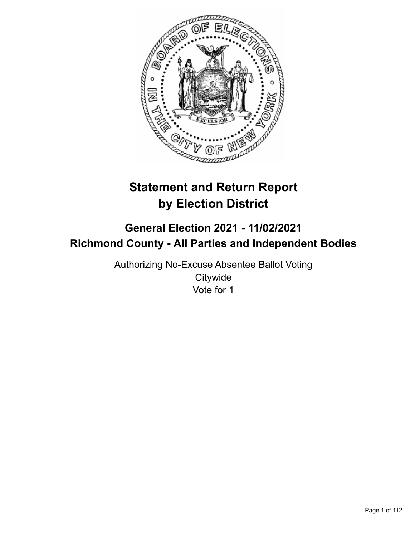

# **Statement and Return Report by Election District**

## **General Election 2021 - 11/02/2021 Richmond County - All Parties and Independent Bodies**

Authorizing No-Excuse Absentee Ballot Voting **Citywide** Vote for 1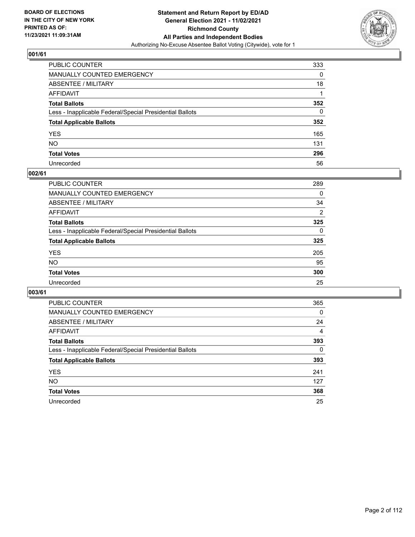

| PUBLIC COUNTER                                           | 333      |
|----------------------------------------------------------|----------|
| MANUALLY COUNTED EMERGENCY                               | 0        |
| ABSENTEE / MILITARY                                      | 18       |
| AFFIDAVIT                                                |          |
| Total Ballots                                            | 352      |
| Less - Inapplicable Federal/Special Presidential Ballots | $\Omega$ |
| <b>Total Applicable Ballots</b>                          | 352      |
| YES                                                      | 165      |
| NO.                                                      | 131      |
| <b>Total Votes</b>                                       | 296      |
| Unrecorded                                               | 56       |

#### **002/61**

| <b>PUBLIC COUNTER</b>                                    | 289          |
|----------------------------------------------------------|--------------|
| <b>MANUALLY COUNTED EMERGENCY</b>                        | 0            |
| ABSENTEE / MILITARY                                      | 34           |
| AFFIDAVIT                                                | 2            |
| <b>Total Ballots</b>                                     | 325          |
| Less - Inapplicable Federal/Special Presidential Ballots | $\mathbf{0}$ |
| <b>Total Applicable Ballots</b>                          | 325          |
| <b>YES</b>                                               | 205          |
| <b>NO</b>                                                | 95           |
| <b>Total Votes</b>                                       | 300          |
| Unrecorded                                               | 25           |

| <b>PUBLIC COUNTER</b>                                    | 365      |
|----------------------------------------------------------|----------|
| MANUALLY COUNTED EMERGENCY                               | 0        |
| ABSENTEE / MILITARY                                      | 24       |
| AFFIDAVIT                                                | 4        |
| <b>Total Ballots</b>                                     | 393      |
| Less - Inapplicable Federal/Special Presidential Ballots | $\Omega$ |
| <b>Total Applicable Ballots</b>                          | 393      |
| <b>YES</b>                                               | 241      |
| NO.                                                      | 127      |
| <b>Total Votes</b>                                       | 368      |
| Unrecorded                                               | 25       |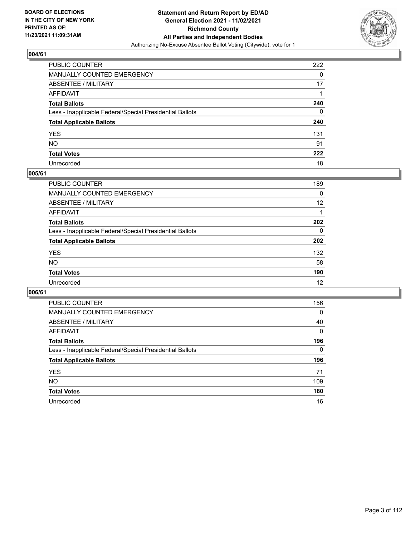

| PUBLIC COUNTER                                           | 222 |
|----------------------------------------------------------|-----|
| MANUALLY COUNTED EMERGENCY                               | 0   |
| ABSENTEE / MILITARY                                      | 17  |
| AFFIDAVIT                                                |     |
| Total Ballots                                            | 240 |
| Less - Inapplicable Federal/Special Presidential Ballots | 0   |
| <b>Total Applicable Ballots</b>                          | 240 |
| YES                                                      | 131 |
| NO.                                                      | 91  |
| <b>Total Votes</b>                                       | 222 |
| Unrecorded                                               | 18  |

#### **005/61**

| PUBLIC COUNTER                                           | 189      |
|----------------------------------------------------------|----------|
| MANUALLY COUNTED EMERGENCY                               | 0        |
| ABSENTEE / MILITARY                                      | 12       |
| AFFIDAVIT                                                |          |
| <b>Total Ballots</b>                                     | 202      |
| Less - Inapplicable Federal/Special Presidential Ballots | $\Omega$ |
| <b>Total Applicable Ballots</b>                          | 202      |
| <b>YES</b>                                               | 132      |
| <b>NO</b>                                                | 58       |
| <b>Total Votes</b>                                       | 190      |
| Unrecorded                                               | 12       |

| <b>PUBLIC COUNTER</b>                                    | 156      |
|----------------------------------------------------------|----------|
| <b>MANUALLY COUNTED EMERGENCY</b>                        | 0        |
| ABSENTEE / MILITARY                                      | 40       |
| AFFIDAVIT                                                | $\Omega$ |
| <b>Total Ballots</b>                                     | 196      |
| Less - Inapplicable Federal/Special Presidential Ballots | $\Omega$ |
| <b>Total Applicable Ballots</b>                          | 196      |
| <b>YES</b>                                               | 71       |
| NO.                                                      | 109      |
| <b>Total Votes</b>                                       | 180      |
|                                                          |          |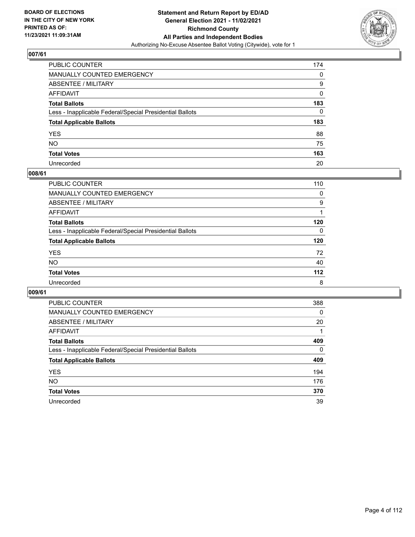

| PUBLIC COUNTER                                           | 174 |
|----------------------------------------------------------|-----|
| MANUALLY COUNTED EMERGENCY                               | 0   |
| ABSENTEE / MILITARY                                      | 9   |
| AFFIDAVIT                                                | 0   |
| Total Ballots                                            | 183 |
| Less - Inapplicable Federal/Special Presidential Ballots | 0   |
| <b>Total Applicable Ballots</b>                          | 183 |
| YES                                                      | 88  |
| NO.                                                      | 75  |
| <b>Total Votes</b>                                       | 163 |
| Unrecorded                                               | 20  |

#### **008/61**

| <b>PUBLIC COUNTER</b>                                    | 110      |
|----------------------------------------------------------|----------|
| <b>MANUALLY COUNTED EMERGENCY</b>                        | $\Omega$ |
| ABSENTEE / MILITARY                                      | 9        |
| AFFIDAVIT                                                |          |
| <b>Total Ballots</b>                                     | 120      |
| Less - Inapplicable Federal/Special Presidential Ballots | 0        |
| <b>Total Applicable Ballots</b>                          | 120      |
| <b>YES</b>                                               | 72       |
| <b>NO</b>                                                | 40       |
| <b>Total Votes</b>                                       | $112$    |
| Unrecorded                                               | 8        |

| <b>PUBLIC COUNTER</b>                                    | 388      |
|----------------------------------------------------------|----------|
| MANUALLY COUNTED EMERGENCY                               | $\Omega$ |
| ABSENTEE / MILITARY                                      | 20       |
| AFFIDAVIT                                                |          |
| <b>Total Ballots</b>                                     | 409      |
| Less - Inapplicable Federal/Special Presidential Ballots | $\Omega$ |
| <b>Total Applicable Ballots</b>                          | 409      |
| <b>YES</b>                                               | 194      |
| NO.                                                      | 176      |
| <b>Total Votes</b>                                       | 370      |
| Unrecorded                                               | 39       |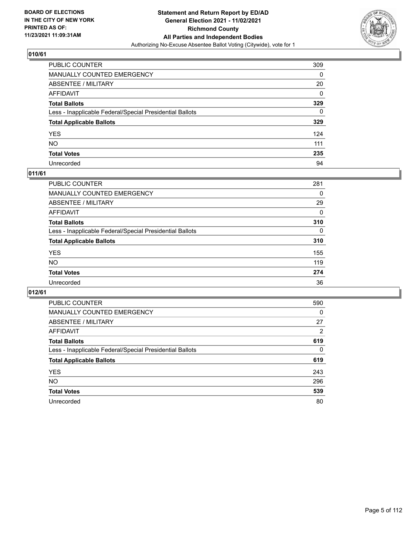

| PUBLIC COUNTER                                           | 309 |
|----------------------------------------------------------|-----|
| MANUALLY COUNTED EMERGENCY                               | 0   |
| ABSENTEE / MILITARY                                      | 20  |
| AFFIDAVIT                                                | 0   |
| Total Ballots                                            | 329 |
| Less - Inapplicable Federal/Special Presidential Ballots | 0   |
| <b>Total Applicable Ballots</b>                          | 329 |
| YES                                                      | 124 |
| NO.                                                      | 111 |
| <b>Total Votes</b>                                       | 235 |
| Unrecorded                                               | 94  |

## **011/61**

| PUBLIC COUNTER                                           | 281      |
|----------------------------------------------------------|----------|
| MANUALLY COUNTED EMERGENCY                               | 0        |
| ABSENTEE / MILITARY                                      | 29       |
| AFFIDAVIT                                                | $\Omega$ |
| <b>Total Ballots</b>                                     | 310      |
| Less - Inapplicable Federal/Special Presidential Ballots | $\Omega$ |
| <b>Total Applicable Ballots</b>                          | 310      |
| <b>YES</b>                                               | 155      |
| <b>NO</b>                                                | 119      |
| <b>Total Votes</b>                                       | 274      |
| Unrecorded                                               | 36       |

| <b>PUBLIC COUNTER</b>                                    | 590      |
|----------------------------------------------------------|----------|
| MANUALLY COUNTED EMERGENCY                               | $\Omega$ |
| ABSENTEE / MILITARY                                      | 27       |
| AFFIDAVIT                                                | 2        |
| <b>Total Ballots</b>                                     | 619      |
| Less - Inapplicable Federal/Special Presidential Ballots | $\Omega$ |
| <b>Total Applicable Ballots</b>                          | 619      |
| <b>YES</b>                                               | 243      |
| <b>NO</b>                                                | 296      |
| <b>Total Votes</b>                                       | 539      |
| Unrecorded                                               | 80       |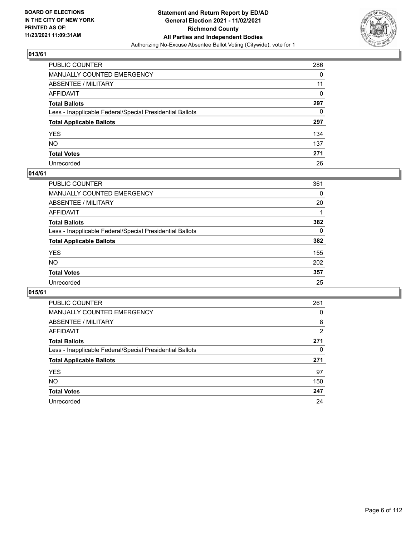

| PUBLIC COUNTER                                           | 286 |
|----------------------------------------------------------|-----|
| MANUALLY COUNTED EMERGENCY                               | 0   |
| ABSENTEE / MILITARY                                      | 11  |
| AFFIDAVIT                                                | 0   |
| Total Ballots                                            | 297 |
| Less - Inapplicable Federal/Special Presidential Ballots | 0   |
| <b>Total Applicable Ballots</b>                          | 297 |
| YES                                                      | 134 |
| NO.                                                      | 137 |
| <b>Total Votes</b>                                       | 271 |
| Unrecorded                                               | 26  |

#### **014/61**

| <b>PUBLIC COUNTER</b>                                    | 361 |
|----------------------------------------------------------|-----|
| <b>MANUALLY COUNTED EMERGENCY</b>                        | 0   |
| ABSENTEE / MILITARY                                      | 20  |
| AFFIDAVIT                                                |     |
| <b>Total Ballots</b>                                     | 382 |
| Less - Inapplicable Federal/Special Presidential Ballots | 0   |
| <b>Total Applicable Ballots</b>                          | 382 |
| <b>YES</b>                                               | 155 |
| <b>NO</b>                                                | 202 |
| <b>Total Votes</b>                                       | 357 |
| Unrecorded                                               | 25  |

| <b>PUBLIC COUNTER</b>                                    | 261 |
|----------------------------------------------------------|-----|
| MANUALLY COUNTED EMERGENCY                               | 0   |
| ABSENTEE / MILITARY                                      | 8   |
| AFFIDAVIT                                                | 2   |
| <b>Total Ballots</b>                                     | 271 |
| Less - Inapplicable Federal/Special Presidential Ballots | 0   |
| <b>Total Applicable Ballots</b>                          | 271 |
| <b>YES</b>                                               | 97  |
| NO.                                                      | 150 |
| <b>Total Votes</b>                                       | 247 |
| Unrecorded                                               | 24  |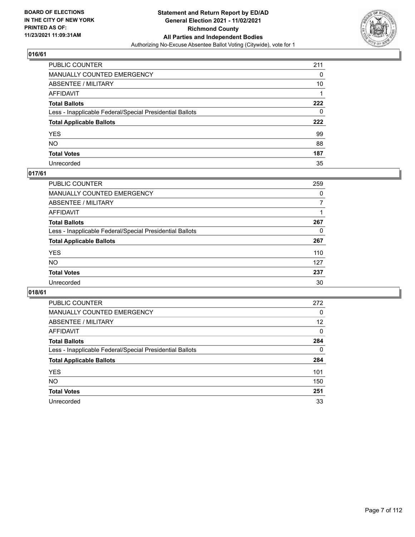

| PUBLIC COUNTER                                           | 211 |
|----------------------------------------------------------|-----|
| MANUALLY COUNTED EMERGENCY                               | 0   |
| ABSENTEE / MILITARY                                      | 10  |
| AFFIDAVIT                                                |     |
| Total Ballots                                            | 222 |
| Less - Inapplicable Federal/Special Presidential Ballots | 0   |
| <b>Total Applicable Ballots</b>                          | 222 |
| YES                                                      | 99  |
| NO.                                                      | 88  |
| <b>Total Votes</b>                                       | 187 |
| Unrecorded                                               | 35  |

## **017/61**

| <b>PUBLIC COUNTER</b>                                    | 259 |
|----------------------------------------------------------|-----|
| MANUALLY COUNTED EMERGENCY                               | 0   |
| ABSENTEE / MILITARY                                      | 7   |
| AFFIDAVIT                                                |     |
| <b>Total Ballots</b>                                     | 267 |
| Less - Inapplicable Federal/Special Presidential Ballots | 0   |
| <b>Total Applicable Ballots</b>                          | 267 |
| <b>YES</b>                                               | 110 |
| <b>NO</b>                                                | 127 |
| <b>Total Votes</b>                                       | 237 |
| Unrecorded                                               | 30  |

| <b>PUBLIC COUNTER</b>                                    | 272 |
|----------------------------------------------------------|-----|
| MANUALLY COUNTED EMERGENCY                               | 0   |
| ABSENTEE / MILITARY                                      | 12  |
| AFFIDAVIT                                                | 0   |
| <b>Total Ballots</b>                                     | 284 |
| Less - Inapplicable Federal/Special Presidential Ballots | 0   |
| <b>Total Applicable Ballots</b>                          | 284 |
| <b>YES</b>                                               | 101 |
| NO.                                                      | 150 |
| <b>Total Votes</b>                                       | 251 |
| Unrecorded                                               | 33  |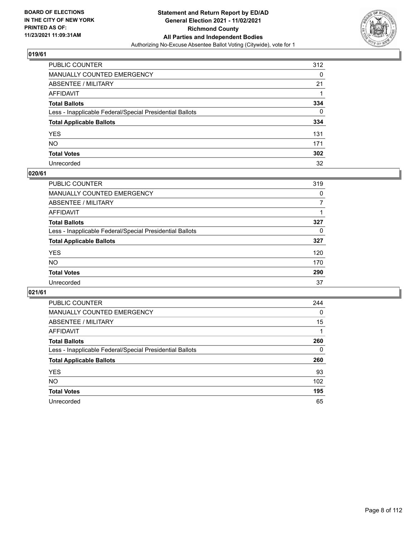

| PUBLIC COUNTER                                           | 312 |
|----------------------------------------------------------|-----|
| MANUALLY COUNTED EMERGENCY                               | 0   |
| ABSENTEE / MILITARY                                      | 21  |
| AFFIDAVIT                                                |     |
| Total Ballots                                            | 334 |
| Less - Inapplicable Federal/Special Presidential Ballots | 0   |
| <b>Total Applicable Ballots</b>                          | 334 |
| YES                                                      | 131 |
| NO.                                                      | 171 |
| <b>Total Votes</b>                                       | 302 |
| Unrecorded                                               | 32  |

#### **020/61**

| PUBLIC COUNTER                                           | 319      |
|----------------------------------------------------------|----------|
| MANUALLY COUNTED EMERGENCY                               | 0        |
| ABSENTEE / MILITARY                                      |          |
| AFFIDAVIT                                                |          |
| <b>Total Ballots</b>                                     | 327      |
| Less - Inapplicable Federal/Special Presidential Ballots | $\Omega$ |
| <b>Total Applicable Ballots</b>                          | 327      |
| <b>YES</b>                                               | 120      |
| <b>NO</b>                                                | 170      |
| <b>Total Votes</b>                                       | 290      |
| Unrecorded                                               | 37       |

| <b>PUBLIC COUNTER</b>                                    | 244      |
|----------------------------------------------------------|----------|
| <b>MANUALLY COUNTED EMERGENCY</b>                        | $\Omega$ |
| ABSENTEE / MILITARY                                      | 15       |
| AFFIDAVIT                                                |          |
| <b>Total Ballots</b>                                     | 260      |
| Less - Inapplicable Federal/Special Presidential Ballots | 0        |
| <b>Total Applicable Ballots</b>                          | 260      |
| <b>YES</b>                                               | 93       |
| NO.                                                      | 102      |
| <b>Total Votes</b>                                       | 195      |
| Unrecorded                                               | 65       |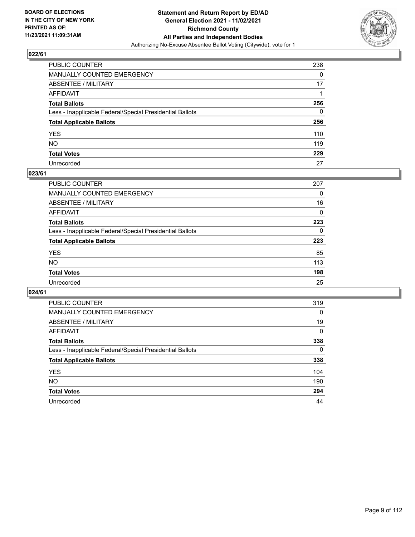

| PUBLIC COUNTER                                           | 238      |
|----------------------------------------------------------|----------|
| MANUALLY COUNTED EMERGENCY                               | $\Omega$ |
| ABSENTEE / MILITARY                                      | 17       |
| AFFIDAVIT                                                |          |
| Total Ballots                                            | 256      |
| Less - Inapplicable Federal/Special Presidential Ballots | 0        |
| <b>Total Applicable Ballots</b>                          | 256      |
| YES                                                      | 110      |
| NO.                                                      | 119      |
| <b>Total Votes</b>                                       | 229      |
| Unrecorded                                               | 27       |

#### **023/61**

| PUBLIC COUNTER                                           | 207      |
|----------------------------------------------------------|----------|
| <b>MANUALLY COUNTED EMERGENCY</b>                        | 0        |
| ABSENTEE / MILITARY                                      | 16       |
| AFFIDAVIT                                                | $\Omega$ |
| <b>Total Ballots</b>                                     | 223      |
| Less - Inapplicable Federal/Special Presidential Ballots | $\Omega$ |
| <b>Total Applicable Ballots</b>                          | 223      |
| <b>YES</b>                                               | 85       |
| <b>NO</b>                                                | 113      |
| <b>Total Votes</b>                                       | 198      |
| Unrecorded                                               | 25       |

| <b>PUBLIC COUNTER</b>                                    | 319      |
|----------------------------------------------------------|----------|
| MANUALLY COUNTED EMERGENCY                               | 0        |
| ABSENTEE / MILITARY                                      | 19       |
| AFFIDAVIT                                                | $\Omega$ |
| <b>Total Ballots</b>                                     | 338      |
| Less - Inapplicable Federal/Special Presidential Ballots | $\Omega$ |
| <b>Total Applicable Ballots</b>                          | 338      |
| <b>YES</b>                                               | 104      |
| <b>NO</b>                                                | 190      |
| <b>Total Votes</b>                                       | 294      |
| Unrecorded                                               | 44       |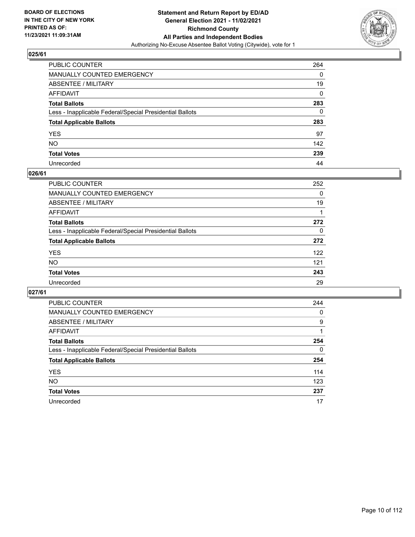

| PUBLIC COUNTER                                           | 264          |
|----------------------------------------------------------|--------------|
| MANUALLY COUNTED EMERGENCY                               | 0            |
| ABSENTEE / MILITARY                                      | 19           |
| AFFIDAVIT                                                | $\mathbf{0}$ |
| Total Ballots                                            | 283          |
| Less - Inapplicable Federal/Special Presidential Ballots | $\Omega$     |
| <b>Total Applicable Ballots</b>                          | 283          |
| YES                                                      | 97           |
| NO.                                                      | 142          |
| <b>Total Votes</b>                                       | 239          |
| Unrecorded                                               | 44           |

#### **026/61**

| PUBLIC COUNTER                                           | 252      |
|----------------------------------------------------------|----------|
| MANUALLY COUNTED EMERGENCY                               | 0        |
| ABSENTEE / MILITARY                                      | 19       |
| AFFIDAVIT                                                |          |
| <b>Total Ballots</b>                                     | 272      |
| Less - Inapplicable Federal/Special Presidential Ballots | $\Omega$ |
| <b>Total Applicable Ballots</b>                          | 272      |
| <b>YES</b>                                               | 122      |
| <b>NO</b>                                                | 121      |
| <b>Total Votes</b>                                       | 243      |
| Unrecorded                                               | 29       |

| <b>PUBLIC COUNTER</b>                                    | 244      |
|----------------------------------------------------------|----------|
| <b>MANUALLY COUNTED EMERGENCY</b>                        | 0        |
| ABSENTEE / MILITARY                                      | 9        |
| AFFIDAVIT                                                |          |
| <b>Total Ballots</b>                                     | 254      |
| Less - Inapplicable Federal/Special Presidential Ballots | $\Omega$ |
| <b>Total Applicable Ballots</b>                          | 254      |
| <b>YES</b>                                               | 114      |
| <b>NO</b>                                                | 123      |
| <b>Total Votes</b>                                       | 237      |
| Unrecorded                                               | 17       |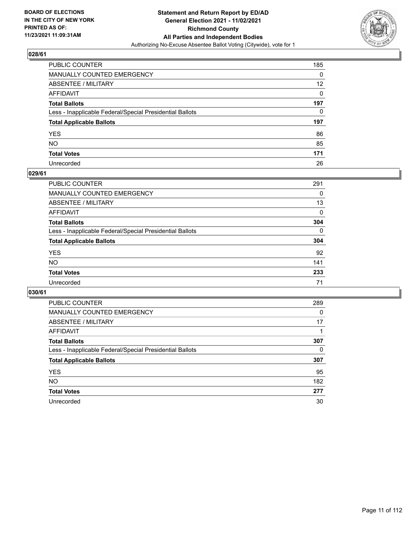

| PUBLIC COUNTER                                           | 185             |
|----------------------------------------------------------|-----------------|
| MANUALLY COUNTED EMERGENCY                               | 0               |
| ABSENTEE / MILITARY                                      | 12 <sup>2</sup> |
| AFFIDAVIT                                                | $\Omega$        |
| Total Ballots                                            | 197             |
| Less - Inapplicable Federal/Special Presidential Ballots | 0               |
| <b>Total Applicable Ballots</b>                          | 197             |
| YES                                                      | 86              |
| NO.                                                      | 85              |
| <b>Total Votes</b>                                       | 171             |
|                                                          |                 |

#### **029/61**

| PUBLIC COUNTER                                           | 291      |
|----------------------------------------------------------|----------|
| MANUALLY COUNTED EMERGENCY                               | 0        |
| ABSENTEE / MILITARY                                      | 13       |
| AFFIDAVIT                                                | $\Omega$ |
| <b>Total Ballots</b>                                     | 304      |
| Less - Inapplicable Federal/Special Presidential Ballots | $\Omega$ |
| <b>Total Applicable Ballots</b>                          | 304      |
| <b>YES</b>                                               | 92       |
| <b>NO</b>                                                | 141      |
| <b>Total Votes</b>                                       | 233      |
| Unrecorded                                               | 71       |

| <b>PUBLIC COUNTER</b>                                    | 289      |
|----------------------------------------------------------|----------|
| MANUALLY COUNTED EMERGENCY                               | $\Omega$ |
| ABSENTEE / MILITARY                                      | 17       |
| AFFIDAVIT                                                |          |
| <b>Total Ballots</b>                                     | 307      |
| Less - Inapplicable Federal/Special Presidential Ballots | 0        |
| <b>Total Applicable Ballots</b>                          | 307      |
| <b>YES</b>                                               | 95       |
| NO.                                                      | 182      |
| <b>Total Votes</b>                                       | 277      |
| Unrecorded                                               | 30       |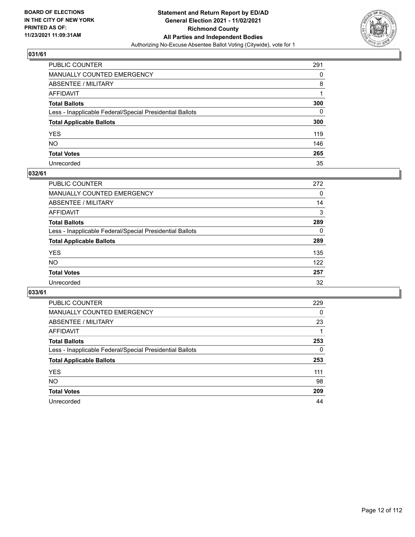

| PUBLIC COUNTER                                           | 291      |
|----------------------------------------------------------|----------|
| MANUALLY COUNTED EMERGENCY                               | 0        |
| ABSENTEE / MILITARY                                      | 8        |
| AFFIDAVIT                                                |          |
| Total Ballots                                            | 300      |
| Less - Inapplicable Federal/Special Presidential Ballots | $\Omega$ |
| <b>Total Applicable Ballots</b>                          | 300      |
| YES                                                      | 119      |
| NO.                                                      | 146      |
| <b>Total Votes</b>                                       | 265      |
| Unrecorded                                               | 35       |

#### **032/61**

| PUBLIC COUNTER                                           | 272      |
|----------------------------------------------------------|----------|
| MANUALLY COUNTED EMERGENCY                               | 0        |
| ABSENTEE / MILITARY                                      | 14       |
| AFFIDAVIT                                                | 3        |
| <b>Total Ballots</b>                                     | 289      |
| Less - Inapplicable Federal/Special Presidential Ballots | $\Omega$ |
| <b>Total Applicable Ballots</b>                          | 289      |
| <b>YES</b>                                               | 135      |
| <b>NO</b>                                                | 122      |
| <b>Total Votes</b>                                       | 257      |
| Unrecorded                                               | 32       |

| <b>PUBLIC COUNTER</b>                                    | 229      |
|----------------------------------------------------------|----------|
| <b>MANUALLY COUNTED EMERGENCY</b>                        | $\Omega$ |
| ABSENTEE / MILITARY                                      | 23       |
| AFFIDAVIT                                                |          |
| <b>Total Ballots</b>                                     | 253      |
| Less - Inapplicable Federal/Special Presidential Ballots | $\Omega$ |
| <b>Total Applicable Ballots</b>                          | 253      |
| <b>YES</b>                                               | 111      |
| <b>NO</b>                                                | 98       |
| <b>Total Votes</b>                                       | 209      |
| Unrecorded                                               | 44       |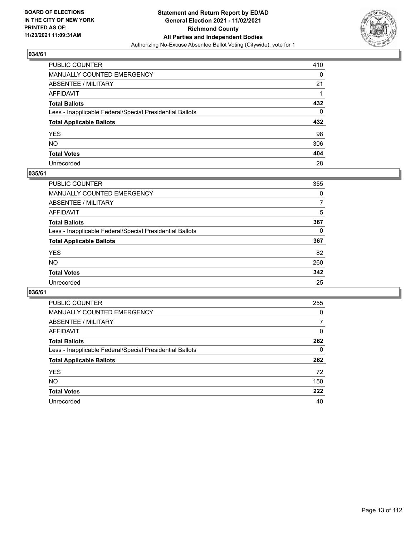

| PUBLIC COUNTER                                           | 410 |
|----------------------------------------------------------|-----|
| MANUALLY COUNTED EMERGENCY                               | 0   |
| ABSENTEE / MILITARY                                      | 21  |
| AFFIDAVIT                                                |     |
| Total Ballots                                            | 432 |
| Less - Inapplicable Federal/Special Presidential Ballots | 0   |
| <b>Total Applicable Ballots</b>                          | 432 |
| YES                                                      | 98  |
| NO.                                                      | 306 |
| <b>Total Votes</b>                                       | 404 |
| Unrecorded                                               | 28  |

#### **035/61**

| PUBLIC COUNTER                                           | 355      |
|----------------------------------------------------------|----------|
| MANUALLY COUNTED EMERGENCY                               | 0        |
| ABSENTEE / MILITARY                                      | 7        |
| AFFIDAVIT                                                | 5        |
| <b>Total Ballots</b>                                     | 367      |
| Less - Inapplicable Federal/Special Presidential Ballots | $\Omega$ |
| <b>Total Applicable Ballots</b>                          | 367      |
| <b>YES</b>                                               | 82       |
| <b>NO</b>                                                | 260      |
| <b>Total Votes</b>                                       | 342      |
| Unrecorded                                               | 25       |

| <b>PUBLIC COUNTER</b>                                    | 255      |
|----------------------------------------------------------|----------|
| MANUALLY COUNTED EMERGENCY                               | 0        |
| ABSENTEE / MILITARY                                      | 7        |
| AFFIDAVIT                                                | $\Omega$ |
| <b>Total Ballots</b>                                     | 262      |
| Less - Inapplicable Federal/Special Presidential Ballots | 0        |
| <b>Total Applicable Ballots</b>                          | 262      |
| <b>YES</b>                                               | 72       |
| <b>NO</b>                                                | 150      |
| <b>Total Votes</b>                                       | 222      |
| Unrecorded                                               | 40       |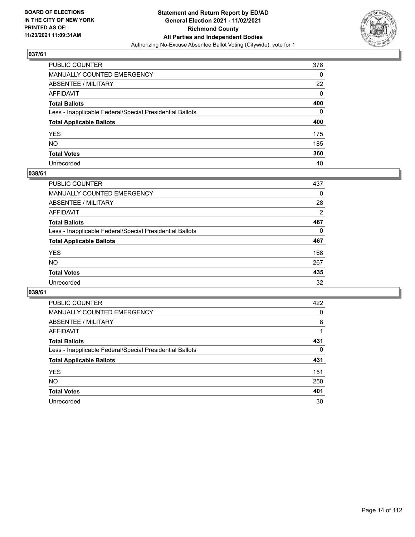

| PUBLIC COUNTER                                           | 378          |
|----------------------------------------------------------|--------------|
| MANUALLY COUNTED EMERGENCY                               | 0            |
| ABSENTEE / MILITARY                                      | 22           |
| AFFIDAVIT                                                | $\mathbf{0}$ |
| Total Ballots                                            | 400          |
| Less - Inapplicable Federal/Special Presidential Ballots | $\Omega$     |
| <b>Total Applicable Ballots</b>                          | 400          |
| YES                                                      | 175          |
| NO.                                                      | 185          |
| <b>Total Votes</b>                                       | 360          |
| Unrecorded                                               | 40           |

#### **038/61**

| <b>PUBLIC COUNTER</b>                                    | 437            |
|----------------------------------------------------------|----------------|
| <b>MANUALLY COUNTED EMERGENCY</b>                        | 0              |
| ABSENTEE / MILITARY                                      | 28             |
| AFFIDAVIT                                                | $\overline{2}$ |
| <b>Total Ballots</b>                                     | 467            |
| Less - Inapplicable Federal/Special Presidential Ballots | $\Omega$       |
| <b>Total Applicable Ballots</b>                          | 467            |
| <b>YES</b>                                               | 168            |
| <b>NO</b>                                                | 267            |
| <b>Total Votes</b>                                       | 435            |
| Unrecorded                                               | 32             |

| <b>PUBLIC COUNTER</b>                                    | 422 |
|----------------------------------------------------------|-----|
| MANUALLY COUNTED EMERGENCY                               | 0   |
| ABSENTEE / MILITARY                                      | 8   |
| AFFIDAVIT                                                |     |
| <b>Total Ballots</b>                                     | 431 |
| Less - Inapplicable Federal/Special Presidential Ballots | 0   |
| <b>Total Applicable Ballots</b>                          | 431 |
| <b>YES</b>                                               | 151 |
| NO.                                                      | 250 |
| <b>Total Votes</b>                                       | 401 |
| Unrecorded                                               | 30  |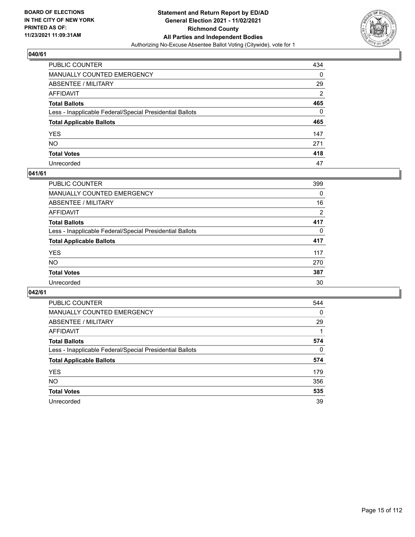

| PUBLIC COUNTER                                           | 434            |
|----------------------------------------------------------|----------------|
| MANUALLY COUNTED EMERGENCY                               | 0              |
| ABSENTEE / MILITARY                                      | 29             |
| AFFIDAVIT                                                | $\overline{2}$ |
| Total Ballots                                            | 465            |
| Less - Inapplicable Federal/Special Presidential Ballots | 0              |
| <b>Total Applicable Ballots</b>                          | 465            |
| YES                                                      | 147            |
| NO.                                                      | 271            |
| <b>Total Votes</b>                                       | 418            |
| Unrecorded                                               | 47             |

#### **041/61**

| PUBLIC COUNTER                                           | 399      |
|----------------------------------------------------------|----------|
| MANUALLY COUNTED EMERGENCY                               | 0        |
| ABSENTEE / MILITARY                                      | 16       |
| AFFIDAVIT                                                | 2        |
| <b>Total Ballots</b>                                     | 417      |
| Less - Inapplicable Federal/Special Presidential Ballots | $\Omega$ |
| <b>Total Applicable Ballots</b>                          | 417      |
| <b>YES</b>                                               | 117      |
| <b>NO</b>                                                | 270      |
| <b>Total Votes</b>                                       | 387      |
| Unrecorded                                               | 30       |

| <b>PUBLIC COUNTER</b>                                    | 544      |
|----------------------------------------------------------|----------|
| <b>MANUALLY COUNTED EMERGENCY</b>                        | $\Omega$ |
| ABSENTEE / MILITARY                                      | 29       |
| AFFIDAVIT                                                |          |
| <b>Total Ballots</b>                                     | 574      |
| Less - Inapplicable Federal/Special Presidential Ballots | 0        |
| <b>Total Applicable Ballots</b>                          | 574      |
| <b>YES</b>                                               | 179      |
| NO.                                                      | 356      |
| <b>Total Votes</b>                                       | 535      |
| Unrecorded                                               | 39       |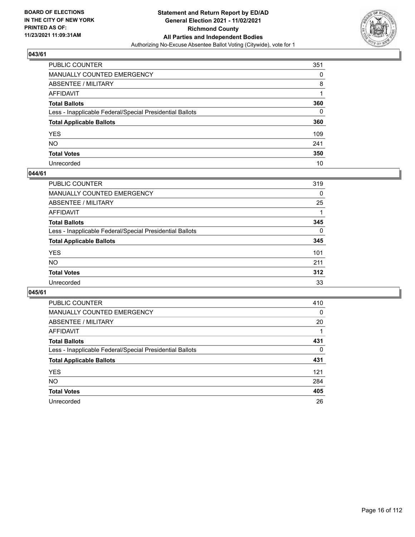

| PUBLIC COUNTER                                           | 351 |
|----------------------------------------------------------|-----|
| MANUALLY COUNTED EMERGENCY                               | 0   |
| ABSENTEE / MILITARY                                      | 8   |
| AFFIDAVIT                                                | 1   |
| Total Ballots                                            | 360 |
| Less - Inapplicable Federal/Special Presidential Ballots | 0   |
| <b>Total Applicable Ballots</b>                          | 360 |
| YES                                                      | 109 |
| NO.                                                      | 241 |
| <b>Total Votes</b>                                       | 350 |
| Unrecorded                                               | 10  |

#### **044/61**

| <b>PUBLIC COUNTER</b>                                    | 319      |
|----------------------------------------------------------|----------|
| <b>MANUALLY COUNTED EMERGENCY</b>                        | 0        |
| ABSENTEE / MILITARY                                      | 25       |
| AFFIDAVIT                                                |          |
| <b>Total Ballots</b>                                     | 345      |
| Less - Inapplicable Federal/Special Presidential Ballots | $\Omega$ |
| <b>Total Applicable Ballots</b>                          | 345      |
| <b>YES</b>                                               | 101      |
| <b>NO</b>                                                | 211      |
| <b>Total Votes</b>                                       | 312      |
| Unrecorded                                               | 33       |

| <b>PUBLIC COUNTER</b>                                    | 410      |
|----------------------------------------------------------|----------|
| MANUALLY COUNTED EMERGENCY                               | $\Omega$ |
| ABSENTEE / MILITARY                                      | 20       |
| AFFIDAVIT                                                |          |
| <b>Total Ballots</b>                                     | 431      |
| Less - Inapplicable Federal/Special Presidential Ballots | $\Omega$ |
| <b>Total Applicable Ballots</b>                          | 431      |
| <b>YES</b>                                               | 121      |
| NO.                                                      | 284      |
| <b>Total Votes</b>                                       | 405      |
| Unrecorded                                               | 26       |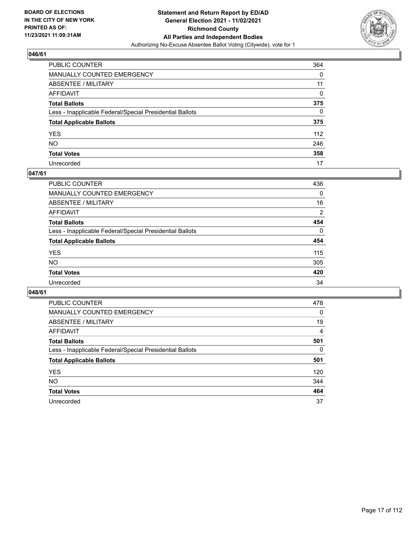

| PUBLIC COUNTER                                           | 364 |
|----------------------------------------------------------|-----|
| MANUALLY COUNTED EMERGENCY                               | 0   |
| ABSENTEE / MILITARY                                      | 11  |
| AFFIDAVIT                                                | 0   |
| Total Ballots                                            | 375 |
| Less - Inapplicable Federal/Special Presidential Ballots | 0   |
| <b>Total Applicable Ballots</b>                          | 375 |
| YES                                                      | 112 |
| NO.                                                      | 246 |
| <b>Total Votes</b>                                       | 358 |
| Unrecorded                                               | 17  |

#### **047/61**

| <b>PUBLIC COUNTER</b>                                    | 436          |
|----------------------------------------------------------|--------------|
| <b>MANUALLY COUNTED EMERGENCY</b>                        | 0            |
| ABSENTEE / MILITARY                                      | 16           |
| AFFIDAVIT                                                | 2            |
| <b>Total Ballots</b>                                     | 454          |
| Less - Inapplicable Federal/Special Presidential Ballots | $\mathbf{0}$ |
| <b>Total Applicable Ballots</b>                          | 454          |
| <b>YES</b>                                               | 115          |
| NO.                                                      | 305          |
| <b>Total Votes</b>                                       | 420          |
| Unrecorded                                               | 34           |

| <b>PUBLIC COUNTER</b>                                    | 478      |
|----------------------------------------------------------|----------|
| <b>MANUALLY COUNTED EMERGENCY</b>                        | 0        |
| ABSENTEE / MILITARY                                      | 19       |
| AFFIDAVIT                                                | 4        |
| <b>Total Ballots</b>                                     | 501      |
| Less - Inapplicable Federal/Special Presidential Ballots | $\Omega$ |
| <b>Total Applicable Ballots</b>                          | 501      |
| <b>YES</b>                                               | 120      |
| NO.                                                      | 344      |
| <b>Total Votes</b>                                       | 464      |
| Unrecorded                                               | 37       |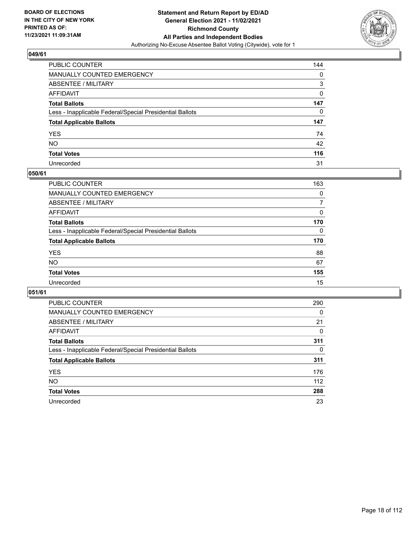

| PUBLIC COUNTER                                           | 144 |
|----------------------------------------------------------|-----|
| MANUALLY COUNTED EMERGENCY                               | 0   |
| ABSENTEE / MILITARY                                      | 3   |
| AFFIDAVIT                                                | 0   |
| Total Ballots                                            | 147 |
| Less - Inapplicable Federal/Special Presidential Ballots | 0   |
| <b>Total Applicable Ballots</b>                          | 147 |
| YES                                                      | 74  |
| NO.                                                      | 42  |
| <b>Total Votes</b>                                       | 116 |
| Unrecorded                                               | 31  |

#### **050/61**

| PUBLIC COUNTER                                           | 163      |
|----------------------------------------------------------|----------|
| MANUALLY COUNTED EMERGENCY                               | $\Omega$ |
| ABSENTEE / MILITARY                                      |          |
| AFFIDAVIT                                                | $\Omega$ |
| <b>Total Ballots</b>                                     | 170      |
| Less - Inapplicable Federal/Special Presidential Ballots | $\Omega$ |
| <b>Total Applicable Ballots</b>                          | 170      |
| <b>YES</b>                                               | 88       |
| <b>NO</b>                                                | 67       |
| <b>Total Votes</b>                                       | 155      |
| Unrecorded                                               | 15       |

| <b>PUBLIC COUNTER</b>                                    | 290      |
|----------------------------------------------------------|----------|
| MANUALLY COUNTED EMERGENCY                               | $\Omega$ |
| ABSENTEE / MILITARY                                      | 21       |
| AFFIDAVIT                                                | 0        |
| <b>Total Ballots</b>                                     | 311      |
| Less - Inapplicable Federal/Special Presidential Ballots | $\Omega$ |
| <b>Total Applicable Ballots</b>                          | 311      |
| <b>YES</b>                                               | 176      |
| NO.                                                      | 112      |
| <b>Total Votes</b>                                       | 288      |
| Unrecorded                                               | 23       |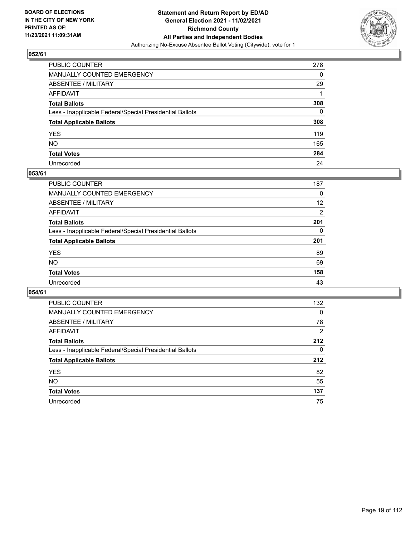

| PUBLIC COUNTER                                           | 278          |
|----------------------------------------------------------|--------------|
| MANUALLY COUNTED EMERGENCY                               | $\mathbf{0}$ |
| ABSENTEE / MILITARY                                      | 29           |
| AFFIDAVIT                                                |              |
| Total Ballots                                            | 308          |
| Less - Inapplicable Federal/Special Presidential Ballots | $\mathbf{0}$ |
| <b>Total Applicable Ballots</b>                          | 308          |
| YES                                                      | 119          |
| NO.                                                      | 165          |
| <b>Total Votes</b>                                       | 284          |
| Unrecorded                                               | 24           |

#### **053/61**

| <b>PUBLIC COUNTER</b>                                    | 187      |
|----------------------------------------------------------|----------|
| <b>MANUALLY COUNTED EMERGENCY</b>                        | 0        |
| ABSENTEE / MILITARY                                      | 12       |
| AFFIDAVIT                                                | 2        |
| <b>Total Ballots</b>                                     | 201      |
| Less - Inapplicable Federal/Special Presidential Ballots | $\Omega$ |
| <b>Total Applicable Ballots</b>                          | 201      |
| <b>YES</b>                                               | 89       |
| <b>NO</b>                                                | 69       |
| <b>Total Votes</b>                                       | 158      |
| Unrecorded                                               | 43       |

| <b>PUBLIC COUNTER</b>                                    | 132            |
|----------------------------------------------------------|----------------|
| MANUALLY COUNTED EMERGENCY                               | $\Omega$       |
| ABSENTEE / MILITARY                                      | 78             |
| AFFIDAVIT                                                | $\overline{2}$ |
| <b>Total Ballots</b>                                     | 212            |
| Less - Inapplicable Federal/Special Presidential Ballots | 0              |
| <b>Total Applicable Ballots</b>                          | 212            |
| <b>YES</b>                                               | 82             |
| NO.                                                      | 55             |
| <b>Total Votes</b>                                       | 137            |
| Unrecorded                                               | 75             |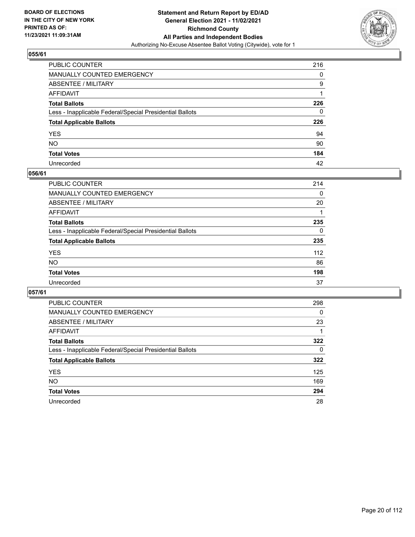

| PUBLIC COUNTER                                           | 216          |
|----------------------------------------------------------|--------------|
| MANUALLY COUNTED EMERGENCY                               | 0            |
| ABSENTEE / MILITARY                                      | 9            |
| AFFIDAVIT                                                |              |
| Total Ballots                                            | 226          |
| Less - Inapplicable Federal/Special Presidential Ballots | $\mathbf{0}$ |
| <b>Total Applicable Ballots</b>                          | 226          |
| YES                                                      | 94           |
| NO.                                                      | 90           |
| <b>Total Votes</b>                                       | 184          |
| Unrecorded                                               | 42           |

#### **056/61**

| <b>PUBLIC COUNTER</b>                                    | 214      |
|----------------------------------------------------------|----------|
| <b>MANUALLY COUNTED EMERGENCY</b>                        | 0        |
| ABSENTEE / MILITARY                                      | 20       |
| AFFIDAVIT                                                |          |
| <b>Total Ballots</b>                                     | 235      |
| Less - Inapplicable Federal/Special Presidential Ballots | $\Omega$ |
| <b>Total Applicable Ballots</b>                          | 235      |
| <b>YES</b>                                               | 112      |
| <b>NO</b>                                                | 86       |
| <b>Total Votes</b>                                       | 198      |
| Unrecorded                                               | 37       |

| <b>PUBLIC COUNTER</b>                                    | 298      |
|----------------------------------------------------------|----------|
| MANUALLY COUNTED EMERGENCY                               | 0        |
| ABSENTEE / MILITARY                                      | 23       |
| AFFIDAVIT                                                |          |
| <b>Total Ballots</b>                                     | 322      |
| Less - Inapplicable Federal/Special Presidential Ballots | $\Omega$ |
| <b>Total Applicable Ballots</b>                          | 322      |
| <b>YES</b>                                               | 125      |
| <b>NO</b>                                                | 169      |
| <b>Total Votes</b>                                       | 294      |
| Unrecorded                                               | 28       |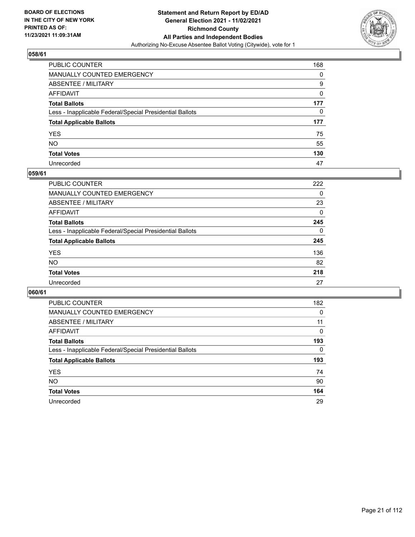

| PUBLIC COUNTER                                           | 168 |
|----------------------------------------------------------|-----|
| MANUALLY COUNTED EMERGENCY                               | 0   |
| ABSENTEE / MILITARY                                      | 9   |
| AFFIDAVIT                                                | 0   |
| Total Ballots                                            | 177 |
| Less - Inapplicable Federal/Special Presidential Ballots | 0   |
| <b>Total Applicable Ballots</b>                          | 177 |
| YES                                                      | 75  |
| NO.                                                      | 55  |
| <b>Total Votes</b>                                       | 130 |
| Unrecorded                                               | 47  |

#### **059/61**

| PUBLIC COUNTER                                           | 222      |
|----------------------------------------------------------|----------|
| MANUALLY COUNTED EMERGENCY                               | 0        |
| ABSENTEE / MILITARY                                      | 23       |
| AFFIDAVIT                                                | $\Omega$ |
| <b>Total Ballots</b>                                     | 245      |
| Less - Inapplicable Federal/Special Presidential Ballots | $\Omega$ |
| <b>Total Applicable Ballots</b>                          | 245      |
| <b>YES</b>                                               | 136      |
| <b>NO</b>                                                | 82       |
| <b>Total Votes</b>                                       | 218      |
| Unrecorded                                               | 27       |

| <b>PUBLIC COUNTER</b>                                    | 182 |
|----------------------------------------------------------|-----|
| MANUALLY COUNTED EMERGENCY                               | 0   |
| ABSENTEE / MILITARY                                      | 11  |
| AFFIDAVIT                                                | 0   |
| <b>Total Ballots</b>                                     | 193 |
| Less - Inapplicable Federal/Special Presidential Ballots | 0   |
| <b>Total Applicable Ballots</b>                          | 193 |
| <b>YES</b>                                               | 74  |
| NO.                                                      | 90  |
| <b>Total Votes</b>                                       | 164 |
| Unrecorded                                               | 29  |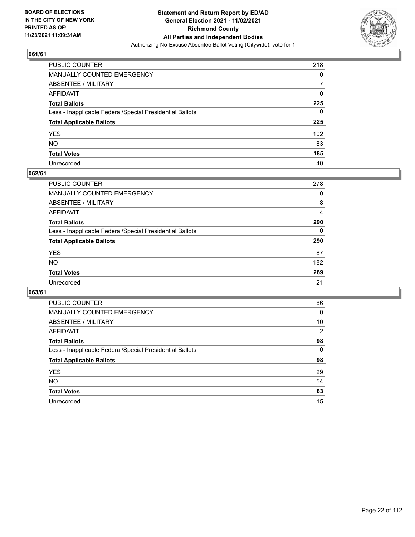

| PUBLIC COUNTER                                           | 218 |
|----------------------------------------------------------|-----|
| MANUALLY COUNTED EMERGENCY                               | 0   |
| ABSENTEE / MILITARY                                      | 7   |
| AFFIDAVIT                                                | 0   |
| Total Ballots                                            | 225 |
| Less - Inapplicable Federal/Special Presidential Ballots | 0   |
| <b>Total Applicable Ballots</b>                          | 225 |
| YES                                                      | 102 |
| NO.                                                      | 83  |
| <b>Total Votes</b>                                       | 185 |
| Unrecorded                                               | 40  |

#### **062/61**

| PUBLIC COUNTER                                           | 278      |
|----------------------------------------------------------|----------|
| MANUALLY COUNTED EMERGENCY                               | 0        |
| ABSENTEE / MILITARY                                      | 8        |
| AFFIDAVIT                                                | 4        |
| <b>Total Ballots</b>                                     | 290      |
| Less - Inapplicable Federal/Special Presidential Ballots | $\Omega$ |
| <b>Total Applicable Ballots</b>                          | 290      |
| <b>YES</b>                                               | 87       |
| <b>NO</b>                                                | 182      |
| <b>Total Votes</b>                                       | 269      |
| Unrecorded                                               | 21       |

| <b>PUBLIC COUNTER</b>                                    | 86       |
|----------------------------------------------------------|----------|
| MANUALLY COUNTED EMERGENCY                               | 0        |
| ABSENTEE / MILITARY                                      | 10       |
| AFFIDAVIT                                                | 2        |
| <b>Total Ballots</b>                                     | 98       |
| Less - Inapplicable Federal/Special Presidential Ballots | $\Omega$ |
| <b>Total Applicable Ballots</b>                          | 98       |
| <b>YES</b>                                               | 29       |
| <b>NO</b>                                                | 54       |
| <b>Total Votes</b>                                       | 83       |
| Unrecorded                                               | 15       |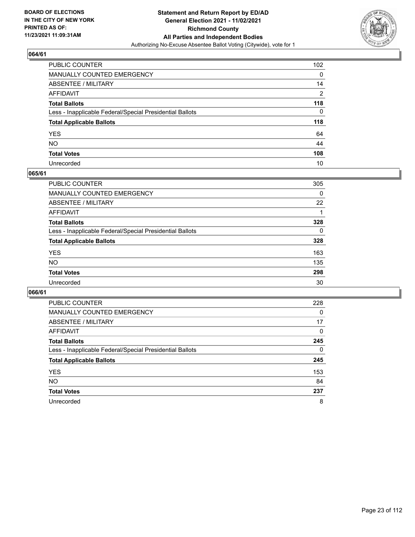

| PUBLIC COUNTER                                           | 102            |
|----------------------------------------------------------|----------------|
| MANUALLY COUNTED EMERGENCY                               | 0              |
| ABSENTEE / MILITARY                                      | 14             |
| AFFIDAVIT                                                | $\overline{2}$ |
| Total Ballots                                            | 118            |
| Less - Inapplicable Federal/Special Presidential Ballots | 0              |
| <b>Total Applicable Ballots</b>                          | 118            |
| YES                                                      | 64             |
| NO.                                                      | 44             |
| <b>Total Votes</b>                                       | 108            |
| Unrecorded                                               | 10             |

#### **065/61**

| PUBLIC COUNTER                                           | 305      |
|----------------------------------------------------------|----------|
| <b>MANUALLY COUNTED EMERGENCY</b>                        | 0        |
| <b>ABSENTEE / MILITARY</b>                               | 22       |
| AFFIDAVIT                                                |          |
| <b>Total Ballots</b>                                     | 328      |
| Less - Inapplicable Federal/Special Presidential Ballots | $\Omega$ |
| <b>Total Applicable Ballots</b>                          | 328      |
| <b>YES</b>                                               | 163      |
| <b>NO</b>                                                | 135      |
| <b>Total Votes</b>                                       | 298      |
| Unrecorded                                               | 30       |

| <b>PUBLIC COUNTER</b>                                    | 228      |
|----------------------------------------------------------|----------|
| <b>MANUALLY COUNTED EMERGENCY</b>                        | $\Omega$ |
| ABSENTEE / MILITARY                                      | 17       |
| AFFIDAVIT                                                | $\Omega$ |
| <b>Total Ballots</b>                                     | 245      |
| Less - Inapplicable Federal/Special Presidential Ballots | $\Omega$ |
| <b>Total Applicable Ballots</b>                          | 245      |
| <b>YES</b>                                               | 153      |
| NO.                                                      | 84       |
| <b>Total Votes</b>                                       | 237      |
| Unrecorded                                               | 8        |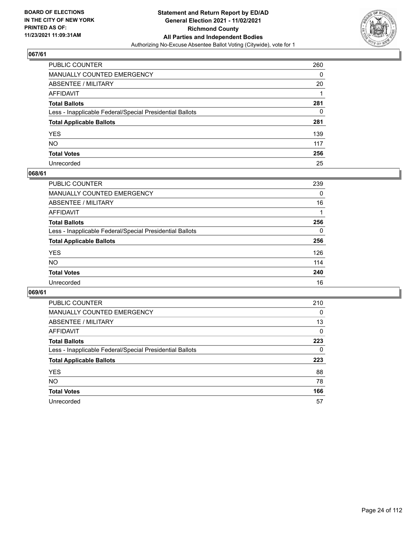

| PUBLIC COUNTER                                           | 260 |
|----------------------------------------------------------|-----|
| MANUALLY COUNTED EMERGENCY                               | 0   |
| ABSENTEE / MILITARY                                      | 20  |
| AFFIDAVIT                                                |     |
| Total Ballots                                            | 281 |
| Less - Inapplicable Federal/Special Presidential Ballots | 0   |
| <b>Total Applicable Ballots</b>                          | 281 |
| YES                                                      | 139 |
| NO.                                                      | 117 |
| <b>Total Votes</b>                                       | 256 |
| Unrecorded                                               | 25  |

#### **068/61**

| <b>PUBLIC COUNTER</b>                                    | 239      |
|----------------------------------------------------------|----------|
| <b>MANUALLY COUNTED EMERGENCY</b>                        | 0        |
| ABSENTEE / MILITARY                                      | 16       |
| AFFIDAVIT                                                |          |
| <b>Total Ballots</b>                                     | 256      |
| Less - Inapplicable Federal/Special Presidential Ballots | $\Omega$ |
| <b>Total Applicable Ballots</b>                          | 256      |
| <b>YES</b>                                               | 126      |
| <b>NO</b>                                                | 114      |
| <b>Total Votes</b>                                       | 240      |
| Unrecorded                                               | 16       |

| <b>PUBLIC COUNTER</b>                                    | 210      |
|----------------------------------------------------------|----------|
| <b>MANUALLY COUNTED EMERGENCY</b>                        | 0        |
| ABSENTEE / MILITARY                                      | 13       |
| AFFIDAVIT                                                | $\Omega$ |
| <b>Total Ballots</b>                                     | 223      |
| Less - Inapplicable Federal/Special Presidential Ballots | $\Omega$ |
| <b>Total Applicable Ballots</b>                          | 223      |
|                                                          |          |
| <b>YES</b>                                               | 88       |
| NO.                                                      | 78       |
| <b>Total Votes</b>                                       | 166      |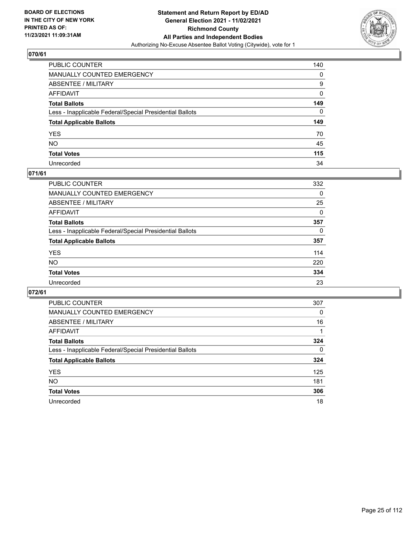

| PUBLIC COUNTER                                           | 140 |
|----------------------------------------------------------|-----|
| MANUALLY COUNTED EMERGENCY                               | 0   |
| ABSENTEE / MILITARY                                      | 9   |
| AFFIDAVIT                                                | 0   |
| Total Ballots                                            | 149 |
| Less - Inapplicable Federal/Special Presidential Ballots | 0   |
| <b>Total Applicable Ballots</b>                          | 149 |
| YES                                                      | 70  |
| NO.                                                      | 45  |
| <b>Total Votes</b>                                       | 115 |
| Unrecorded                                               | 34  |

#### **071/61**

| PUBLIC COUNTER                                           | 332      |
|----------------------------------------------------------|----------|
| MANUALLY COUNTED EMERGENCY                               | 0        |
| ABSENTEE / MILITARY                                      | 25       |
| AFFIDAVIT                                                | $\Omega$ |
| <b>Total Ballots</b>                                     | 357      |
| Less - Inapplicable Federal/Special Presidential Ballots | $\Omega$ |
| <b>Total Applicable Ballots</b>                          | 357      |
| <b>YES</b>                                               | 114      |
| <b>NO</b>                                                | 220      |
| <b>Total Votes</b>                                       | 334      |
| Unrecorded                                               | 23       |

| <b>PUBLIC COUNTER</b>                                    | 307      |
|----------------------------------------------------------|----------|
| MANUALLY COUNTED EMERGENCY                               | 0        |
| ABSENTEE / MILITARY                                      | 16       |
| AFFIDAVIT                                                |          |
| <b>Total Ballots</b>                                     | 324      |
| Less - Inapplicable Federal/Special Presidential Ballots | $\Omega$ |
| <b>Total Applicable Ballots</b>                          | 324      |
| <b>YES</b>                                               | 125      |
| <b>NO</b>                                                | 181      |
| <b>Total Votes</b>                                       | 306      |
| Unrecorded                                               | 18       |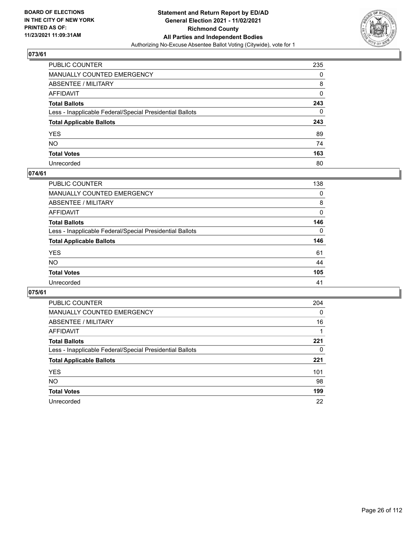

| PUBLIC COUNTER                                           | 235 |
|----------------------------------------------------------|-----|
| MANUALLY COUNTED EMERGENCY                               | 0   |
| ABSENTEE / MILITARY                                      | 8   |
| AFFIDAVIT                                                | 0   |
| Total Ballots                                            | 243 |
| Less - Inapplicable Federal/Special Presidential Ballots | 0   |
| <b>Total Applicable Ballots</b>                          | 243 |
| YES                                                      | 89  |
| NO.                                                      | 74  |
| <b>Total Votes</b>                                       | 163 |
| Unrecorded                                               | 80  |

#### **074/61**

| PUBLIC COUNTER                                           | 138      |
|----------------------------------------------------------|----------|
| MANUALLY COUNTED EMERGENCY                               | 0        |
| ABSENTEE / MILITARY                                      | 8        |
| AFFIDAVIT                                                | $\Omega$ |
| <b>Total Ballots</b>                                     | 146      |
| Less - Inapplicable Federal/Special Presidential Ballots | $\Omega$ |
| <b>Total Applicable Ballots</b>                          | 146      |
| <b>YES</b>                                               | 61       |
| <b>NO</b>                                                | 44       |
| <b>Total Votes</b>                                       | 105      |
| Unrecorded                                               | 41       |

| <b>PUBLIC COUNTER</b>                                    | 204      |
|----------------------------------------------------------|----------|
| MANUALLY COUNTED EMERGENCY                               | $\Omega$ |
| ABSENTEE / MILITARY                                      | 16       |
| AFFIDAVIT                                                |          |
| <b>Total Ballots</b>                                     | 221      |
| Less - Inapplicable Federal/Special Presidential Ballots | 0        |
| <b>Total Applicable Ballots</b>                          | 221      |
| <b>YES</b>                                               | 101      |
| NO.                                                      | 98       |
| <b>Total Votes</b>                                       | 199      |
| Unrecorded                                               | 22       |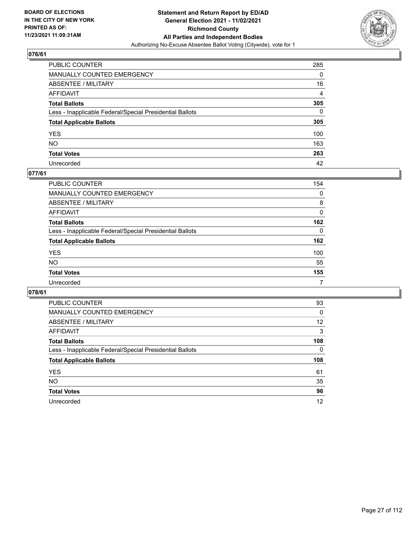

| PUBLIC COUNTER                                           | 285            |
|----------------------------------------------------------|----------------|
| MANUALLY COUNTED EMERGENCY                               | 0              |
| ABSENTEE / MILITARY                                      | 16             |
| AFFIDAVIT                                                | $\overline{4}$ |
| Total Ballots                                            | 305            |
| Less - Inapplicable Federal/Special Presidential Ballots | $\Omega$       |
| <b>Total Applicable Ballots</b>                          | 305            |
| YES                                                      | 100            |
| NO.                                                      | 163            |
| <b>Total Votes</b>                                       | 263            |
| Unrecorded                                               | 42             |

#### **077/61**

| PUBLIC COUNTER                                           | 154      |
|----------------------------------------------------------|----------|
| MANUALLY COUNTED EMERGENCY                               | 0        |
| ABSENTEE / MILITARY                                      | 8        |
| AFFIDAVIT                                                | $\Omega$ |
| <b>Total Ballots</b>                                     | 162      |
| Less - Inapplicable Federal/Special Presidential Ballots | $\Omega$ |
| <b>Total Applicable Ballots</b>                          | 162      |
| <b>YES</b>                                               | 100      |
| <b>NO</b>                                                | 55       |
| <b>Total Votes</b>                                       | 155      |
| Unrecorded                                               | 7        |

| <b>PUBLIC COUNTER</b>                                    | 93       |
|----------------------------------------------------------|----------|
| <b>MANUALLY COUNTED EMERGENCY</b>                        | $\Omega$ |
| ABSENTEE / MILITARY                                      | 12       |
| AFFIDAVIT                                                | 3        |
| <b>Total Ballots</b>                                     | 108      |
| Less - Inapplicable Federal/Special Presidential Ballots | 0        |
|                                                          |          |
| <b>Total Applicable Ballots</b>                          | 108      |
| <b>YES</b>                                               | 61       |
| NO.                                                      | 35       |
| <b>Total Votes</b>                                       | 96       |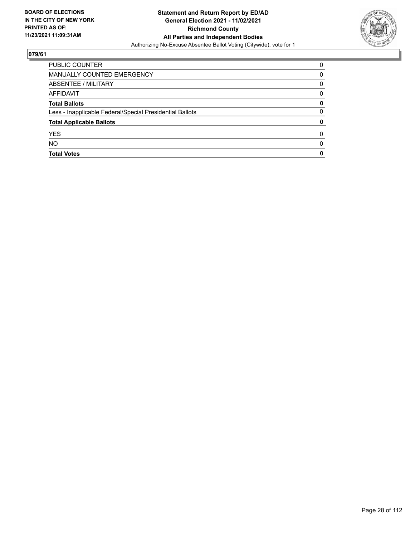

| PUBLIC COUNTER                                           | $\Omega$     |
|----------------------------------------------------------|--------------|
| MANUALLY COUNTED EMERGENCY                               | 0            |
| ABSENTEE / MILITARY                                      | 0            |
| AFFIDAVIT                                                | 0            |
| <b>Total Ballots</b>                                     | 0            |
| Less - Inapplicable Federal/Special Presidential Ballots | 0            |
| <b>Total Applicable Ballots</b>                          | 0            |
| <b>YES</b>                                               | 0            |
| <b>NO</b>                                                | <sup>0</sup> |
| <b>Total Votes</b>                                       | 0            |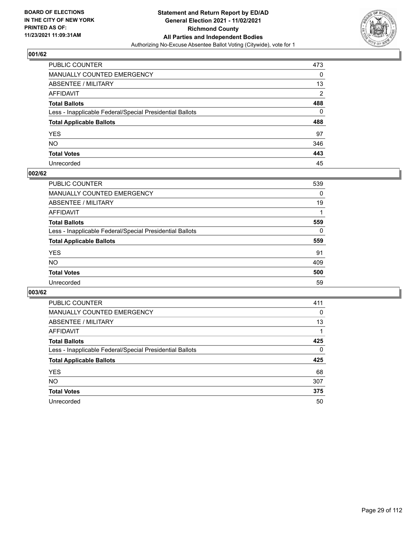

| PUBLIC COUNTER                                           | 473            |
|----------------------------------------------------------|----------------|
| MANUALLY COUNTED EMERGENCY                               | 0              |
| ABSENTEE / MILITARY                                      | 13             |
| AFFIDAVIT                                                | $\overline{2}$ |
| Total Ballots                                            | 488            |
| Less - Inapplicable Federal/Special Presidential Ballots | 0              |
| <b>Total Applicable Ballots</b>                          | 488            |
| YES                                                      | 97             |
| NO.                                                      | 346            |
| <b>Total Votes</b>                                       | 443            |
| Unrecorded                                               | 45             |

#### **002/62**

| PUBLIC COUNTER                                           | 539      |
|----------------------------------------------------------|----------|
| MANUALLY COUNTED EMERGENCY                               | 0        |
| ABSENTEE / MILITARY                                      | 19       |
| AFFIDAVIT                                                |          |
| <b>Total Ballots</b>                                     | 559      |
| Less - Inapplicable Federal/Special Presidential Ballots | $\Omega$ |
| <b>Total Applicable Ballots</b>                          | 559      |
| <b>YES</b>                                               | 91       |
| <b>NO</b>                                                | 409      |
| <b>Total Votes</b>                                       | 500      |
| Unrecorded                                               | 59       |

| <b>PUBLIC COUNTER</b>                                    | 411      |
|----------------------------------------------------------|----------|
| <b>MANUALLY COUNTED EMERGENCY</b>                        | $\Omega$ |
| ABSENTEE / MILITARY                                      | 13       |
| AFFIDAVIT                                                |          |
| <b>Total Ballots</b>                                     | 425      |
| Less - Inapplicable Federal/Special Presidential Ballots | $\Omega$ |
| <b>Total Applicable Ballots</b>                          | 425      |
| <b>YES</b>                                               | 68       |
| NO.                                                      | 307      |
| <b>Total Votes</b>                                       | 375      |
| Unrecorded                                               | 50       |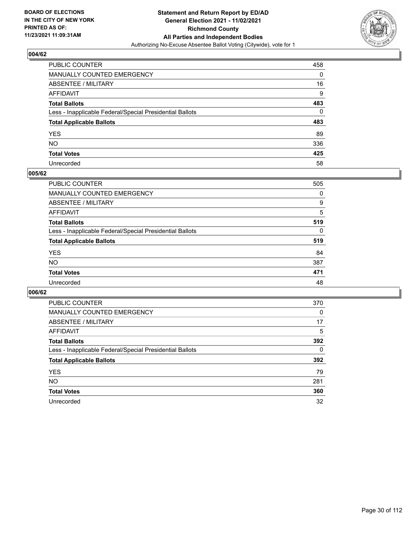

| PUBLIC COUNTER                                           | 458 |
|----------------------------------------------------------|-----|
| MANUALLY COUNTED EMERGENCY                               | 0   |
| ABSENTEE / MILITARY                                      | 16  |
| AFFIDAVIT                                                | 9   |
| Total Ballots                                            | 483 |
| Less - Inapplicable Federal/Special Presidential Ballots | 0   |
| <b>Total Applicable Ballots</b>                          | 483 |
| YES                                                      | 89  |
| NO.                                                      | 336 |
| <b>Total Votes</b>                                       | 425 |
| Unrecorded                                               | 58  |

#### **005/62**

| <b>PUBLIC COUNTER</b>                                    | 505      |
|----------------------------------------------------------|----------|
| <b>MANUALLY COUNTED EMERGENCY</b>                        | 0        |
| <b>ABSENTEE / MILITARY</b>                               | 9        |
| AFFIDAVIT                                                | 5        |
| <b>Total Ballots</b>                                     | 519      |
| Less - Inapplicable Federal/Special Presidential Ballots | $\Omega$ |
| <b>Total Applicable Ballots</b>                          | 519      |
| <b>YES</b>                                               | 84       |
| <b>NO</b>                                                | 387      |
| <b>Total Votes</b>                                       | 471      |
| Unrecorded                                               | 48       |

| <b>PUBLIC COUNTER</b>                                    | 370 |
|----------------------------------------------------------|-----|
| MANUALLY COUNTED EMERGENCY                               | 0   |
| ABSENTEE / MILITARY                                      | 17  |
| AFFIDAVIT                                                | 5   |
| <b>Total Ballots</b>                                     | 392 |
| Less - Inapplicable Federal/Special Presidential Ballots | 0   |
| <b>Total Applicable Ballots</b>                          | 392 |
| <b>YES</b>                                               | 79  |
| NO.                                                      | 281 |
| <b>Total Votes</b>                                       | 360 |
| Unrecorded                                               | 32  |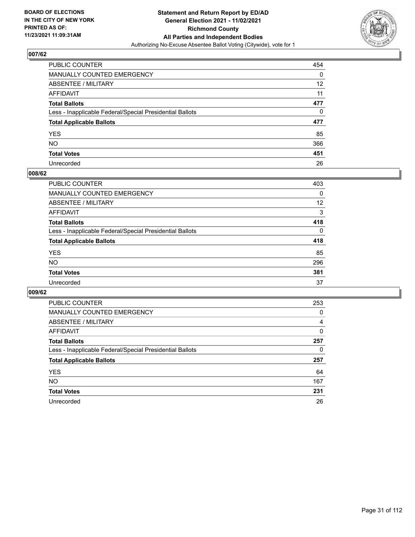

| PUBLIC COUNTER                                           | 454               |
|----------------------------------------------------------|-------------------|
| <b>MANUALLY COUNTED EMERGENCY</b>                        | 0                 |
| <b>ABSENTEE / MILITARY</b>                               | $12 \overline{ }$ |
| AFFIDAVIT                                                | 11                |
| <b>Total Ballots</b>                                     | 477               |
| Less - Inapplicable Federal/Special Presidential Ballots | 0                 |
| <b>Total Applicable Ballots</b>                          | 477               |
| YES.                                                     | 85                |
| NO.                                                      | 366               |
| <b>Total Votes</b>                                       | 451               |
| Unrecorded                                               | 26                |

#### **008/62**

| <b>PUBLIC COUNTER</b>                                    | 403      |
|----------------------------------------------------------|----------|
| <b>MANUALLY COUNTED EMERGENCY</b>                        | $\Omega$ |
| ABSENTEE / MILITARY                                      | 12       |
| AFFIDAVIT                                                | 3        |
| <b>Total Ballots</b>                                     | 418      |
| Less - Inapplicable Federal/Special Presidential Ballots | $\Omega$ |
| <b>Total Applicable Ballots</b>                          | 418      |
| <b>YES</b>                                               | 85       |
| <b>NO</b>                                                | 296      |
| <b>Total Votes</b>                                       | 381      |
| Unrecorded                                               | 37       |

| <b>PUBLIC COUNTER</b>                                    | 253 |
|----------------------------------------------------------|-----|
| MANUALLY COUNTED EMERGENCY                               | 0   |
| ABSENTEE / MILITARY                                      | 4   |
| AFFIDAVIT                                                | 0   |
| <b>Total Ballots</b>                                     | 257 |
| Less - Inapplicable Federal/Special Presidential Ballots | 0   |
| <b>Total Applicable Ballots</b>                          | 257 |
| <b>YES</b>                                               | 64  |
| NO.                                                      | 167 |
| <b>Total Votes</b>                                       | 231 |
| Unrecorded                                               | 26  |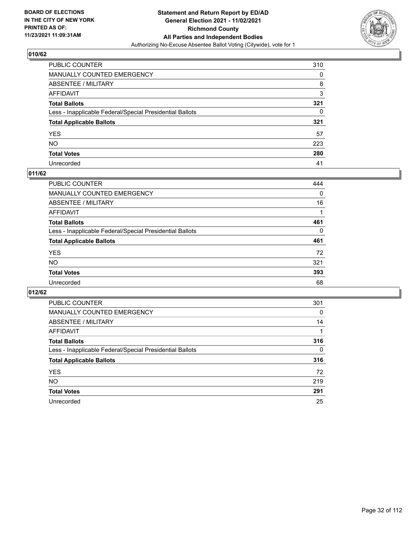

| PUBLIC COUNTER                                           | 310 |
|----------------------------------------------------------|-----|
| MANUALLY COUNTED EMERGENCY                               | 0   |
| ABSENTEE / MILITARY                                      | 8   |
| AFFIDAVIT                                                | 3   |
| Total Ballots                                            | 321 |
| Less - Inapplicable Federal/Special Presidential Ballots | 0   |
| <b>Total Applicable Ballots</b>                          | 321 |
| YES                                                      | 57  |
| NO.                                                      | 223 |
| <b>Total Votes</b>                                       | 280 |
| Unrecorded                                               | 41  |

#### **011/62**

| <b>PUBLIC COUNTER</b>                                    | 444      |
|----------------------------------------------------------|----------|
| MANUALLY COUNTED EMERGENCY                               | 0        |
| ABSENTEE / MILITARY                                      | 16       |
| AFFIDAVIT                                                |          |
| <b>Total Ballots</b>                                     | 461      |
| Less - Inapplicable Federal/Special Presidential Ballots | $\Omega$ |
| <b>Total Applicable Ballots</b>                          | 461      |
| <b>YES</b>                                               | 72       |
| <b>NO</b>                                                | 321      |
| <b>Total Votes</b>                                       | 393      |
| Unrecorded                                               | 68       |

| <b>PUBLIC COUNTER</b>                                    | 301          |
|----------------------------------------------------------|--------------|
| MANUALLY COUNTED EMERGENCY                               | 0            |
| ABSENTEE / MILITARY                                      | 14           |
| AFFIDAVIT                                                |              |
| <b>Total Ballots</b>                                     | 316          |
| Less - Inapplicable Federal/Special Presidential Ballots | $\mathbf{0}$ |
| <b>Total Applicable Ballots</b>                          | 316          |
| <b>YES</b>                                               | 72           |
| NO.                                                      | 219          |
| <b>Total Votes</b>                                       | 291          |
| Unrecorded                                               | 25           |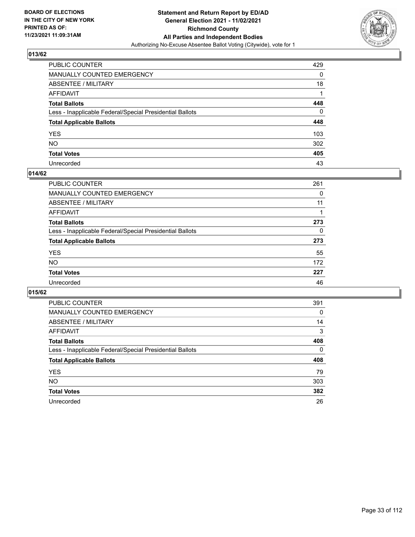

| PUBLIC COUNTER                                           | 429 |
|----------------------------------------------------------|-----|
| MANUALLY COUNTED EMERGENCY                               | 0   |
| ABSENTEE / MILITARY                                      | 18  |
| AFFIDAVIT                                                |     |
| Total Ballots                                            | 448 |
| Less - Inapplicable Federal/Special Presidential Ballots | 0   |
| <b>Total Applicable Ballots</b>                          | 448 |
| YES                                                      | 103 |
| NO.                                                      | 302 |
| <b>Total Votes</b>                                       | 405 |
| Unrecorded                                               | 43  |

#### **014/62**

| PUBLIC COUNTER                                           | 261 |
|----------------------------------------------------------|-----|
| <b>MANUALLY COUNTED EMERGENCY</b>                        | 0   |
| ABSENTEE / MILITARY                                      | 11  |
| AFFIDAVIT                                                |     |
| <b>Total Ballots</b>                                     | 273 |
| Less - Inapplicable Federal/Special Presidential Ballots | 0   |
| <b>Total Applicable Ballots</b>                          | 273 |
| <b>YES</b>                                               | 55  |
| <b>NO</b>                                                | 172 |
| <b>Total Votes</b>                                       | 227 |
| Unrecorded                                               | 46  |

| <b>PUBLIC COUNTER</b>                                    | 391      |
|----------------------------------------------------------|----------|
| MANUALLY COUNTED EMERGENCY                               | 0        |
| ABSENTEE / MILITARY                                      | 14       |
| AFFIDAVIT                                                | 3        |
| <b>Total Ballots</b>                                     | 408      |
| Less - Inapplicable Federal/Special Presidential Ballots | $\Omega$ |
| <b>Total Applicable Ballots</b>                          | 408      |
| <b>YES</b>                                               | 79       |
| NO.                                                      | 303      |
| <b>Total Votes</b>                                       | 382      |
| Unrecorded                                               | 26       |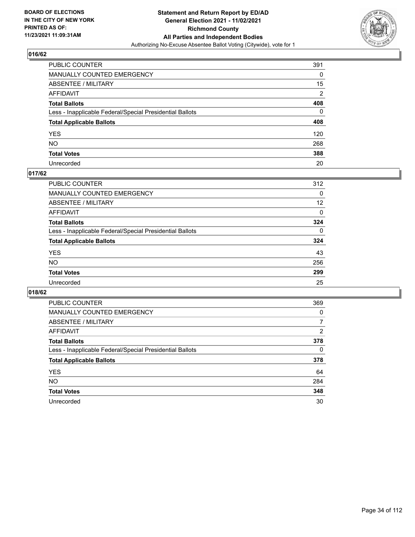

| PUBLIC COUNTER                                           | 391            |
|----------------------------------------------------------|----------------|
| MANUALLY COUNTED EMERGENCY                               | 0              |
| ABSENTEE / MILITARY                                      | 15             |
| AFFIDAVIT                                                | $\overline{2}$ |
| Total Ballots                                            | 408            |
| Less - Inapplicable Federal/Special Presidential Ballots | 0              |
| <b>Total Applicable Ballots</b>                          | 408            |
| YES                                                      | 120            |
| NO.                                                      | 268            |
| <b>Total Votes</b>                                       | 388            |
| Unrecorded                                               | 20             |

#### **017/62**

| <b>PUBLIC COUNTER</b>                                    | 312          |
|----------------------------------------------------------|--------------|
| <b>MANUALLY COUNTED EMERGENCY</b>                        | 0            |
| ABSENTEE / MILITARY                                      | 12           |
| AFFIDAVIT                                                | $\Omega$     |
| <b>Total Ballots</b>                                     | 324          |
| Less - Inapplicable Federal/Special Presidential Ballots | $\mathbf{0}$ |
| <b>Total Applicable Ballots</b>                          | 324          |
| <b>YES</b>                                               | 43           |
| <b>NO</b>                                                | 256          |
| <b>Total Votes</b>                                       | 299          |
| Unrecorded                                               | 25           |

| <b>PUBLIC COUNTER</b>                                    | 369            |
|----------------------------------------------------------|----------------|
| <b>MANUALLY COUNTED EMERGENCY</b>                        | 0              |
| ABSENTEE / MILITARY                                      | 7              |
| AFFIDAVIT                                                | $\overline{2}$ |
| <b>Total Ballots</b>                                     | 378            |
| Less - Inapplicable Federal/Special Presidential Ballots | 0              |
| <b>Total Applicable Ballots</b>                          | 378            |
| <b>YES</b>                                               | 64             |
| NO.                                                      | 284            |
| <b>Total Votes</b>                                       | 348            |
| Unrecorded                                               | 30             |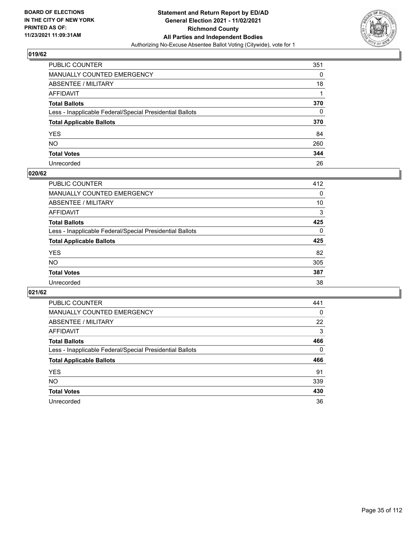

| PUBLIC COUNTER                                           | 351 |
|----------------------------------------------------------|-----|
| MANUALLY COUNTED EMERGENCY                               | 0   |
| ABSENTEE / MILITARY                                      | 18  |
| AFFIDAVIT                                                |     |
| Total Ballots                                            | 370 |
| Less - Inapplicable Federal/Special Presidential Ballots | 0   |
| <b>Total Applicable Ballots</b>                          | 370 |
| YES                                                      | 84  |
| NO.                                                      | 260 |
| <b>Total Votes</b>                                       | 344 |
| Unrecorded                                               | 26  |

#### **020/62**

| <b>PUBLIC COUNTER</b>                                    | 412      |
|----------------------------------------------------------|----------|
| MANUALLY COUNTED EMERGENCY                               | 0        |
| ABSENTEE / MILITARY                                      | 10       |
| AFFIDAVIT                                                | 3        |
| <b>Total Ballots</b>                                     | 425      |
| Less - Inapplicable Federal/Special Presidential Ballots | $\Omega$ |
| <b>Total Applicable Ballots</b>                          | 425      |
| <b>YES</b>                                               | 82       |
| <b>NO</b>                                                | 305      |
| <b>Total Votes</b>                                       | 387      |
| Unrecorded                                               | 38       |

| <b>PUBLIC COUNTER</b>                                    | 441      |
|----------------------------------------------------------|----------|
| MANUALLY COUNTED EMERGENCY                               | 0        |
| ABSENTEE / MILITARY                                      | 22       |
| AFFIDAVIT                                                | 3        |
| <b>Total Ballots</b>                                     | 466      |
| Less - Inapplicable Federal/Special Presidential Ballots | $\Omega$ |
| <b>Total Applicable Ballots</b>                          | 466      |
| <b>YES</b>                                               | 91       |
| NO.                                                      | 339      |
|                                                          |          |
| <b>Total Votes</b>                                       | 430      |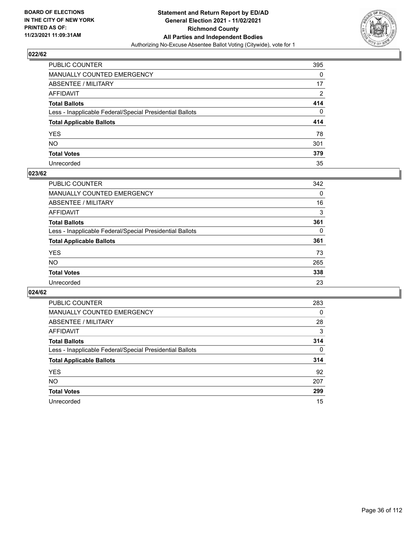

| PUBLIC COUNTER                                           | 395            |
|----------------------------------------------------------|----------------|
| MANUALLY COUNTED EMERGENCY                               | 0              |
| ABSENTEE / MILITARY                                      | 17             |
| AFFIDAVIT                                                | $\overline{2}$ |
| Total Ballots                                            | 414            |
| Less - Inapplicable Federal/Special Presidential Ballots | 0              |
| <b>Total Applicable Ballots</b>                          | 414            |
| YES                                                      | 78             |
| NO.                                                      | 301            |
| <b>Total Votes</b>                                       | 379            |
| Unrecorded                                               | 35             |

#### **023/62**

| <b>PUBLIC COUNTER</b>                                    | 342 |
|----------------------------------------------------------|-----|
| <b>MANUALLY COUNTED EMERGENCY</b>                        | 0   |
| ABSENTEE / MILITARY                                      | 16  |
| AFFIDAVIT                                                | 3   |
| <b>Total Ballots</b>                                     | 361 |
| Less - Inapplicable Federal/Special Presidential Ballots | 0   |
| <b>Total Applicable Ballots</b>                          | 361 |
| <b>YES</b>                                               | 73  |
| <b>NO</b>                                                | 265 |
| <b>Total Votes</b>                                       | 338 |
| Unrecorded                                               | 23  |

| <b>PUBLIC COUNTER</b>                                    | 283      |
|----------------------------------------------------------|----------|
| <b>MANUALLY COUNTED EMERGENCY</b>                        | $\Omega$ |
| ABSENTEE / MILITARY                                      | 28       |
| AFFIDAVIT                                                | 3        |
| <b>Total Ballots</b>                                     | 314      |
| Less - Inapplicable Federal/Special Presidential Ballots | $\Omega$ |
| <b>Total Applicable Ballots</b>                          | 314      |
| <b>YES</b>                                               | 92       |
| NO.                                                      | 207      |
| <b>Total Votes</b>                                       | 299      |
| Unrecorded                                               | 15       |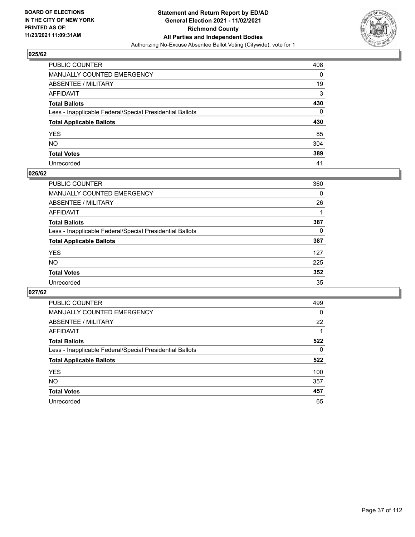

| PUBLIC COUNTER                                           | 408 |
|----------------------------------------------------------|-----|
| MANUALLY COUNTED EMERGENCY                               | 0   |
| ABSENTEE / MILITARY                                      | 19  |
| AFFIDAVIT                                                | 3   |
| Total Ballots                                            | 430 |
| Less - Inapplicable Federal/Special Presidential Ballots | 0   |
| <b>Total Applicable Ballots</b>                          | 430 |
| YES                                                      | 85  |
| NO.                                                      | 304 |
| <b>Total Votes</b>                                       | 389 |
| Unrecorded                                               | 41  |

#### **026/62**

| <b>PUBLIC COUNTER</b>                                    | 360      |
|----------------------------------------------------------|----------|
| <b>MANUALLY COUNTED EMERGENCY</b>                        | 0        |
| ABSENTEE / MILITARY                                      | 26       |
| AFFIDAVIT                                                |          |
| <b>Total Ballots</b>                                     | 387      |
| Less - Inapplicable Federal/Special Presidential Ballots | $\Omega$ |
| <b>Total Applicable Ballots</b>                          | 387      |
| <b>YES</b>                                               | 127      |
| <b>NO</b>                                                | 225      |
| <b>Total Votes</b>                                       | 352      |
| Unrecorded                                               | 35       |

| <b>PUBLIC COUNTER</b>                                    | 499      |
|----------------------------------------------------------|----------|
| MANUALLY COUNTED EMERGENCY                               | $\Omega$ |
| ABSENTEE / MILITARY                                      | 22       |
| AFFIDAVIT                                                |          |
| <b>Total Ballots</b>                                     | 522      |
| Less - Inapplicable Federal/Special Presidential Ballots | 0        |
| <b>Total Applicable Ballots</b>                          | 522      |
| <b>YES</b>                                               | 100      |
| NO.                                                      | 357      |
| <b>Total Votes</b>                                       | 457      |
| Unrecorded                                               | 65       |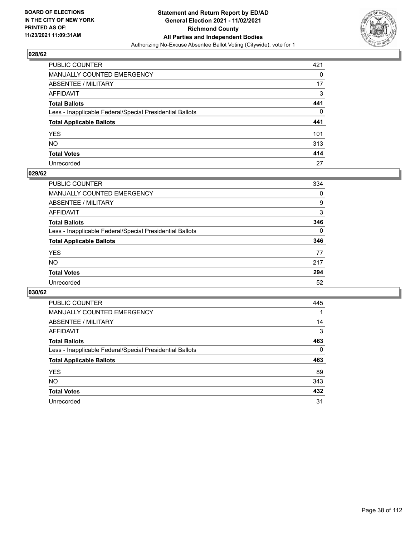

| PUBLIC COUNTER                                           | 421 |
|----------------------------------------------------------|-----|
| MANUALLY COUNTED EMERGENCY                               | 0   |
| ABSENTEE / MILITARY                                      | 17  |
| AFFIDAVIT                                                | 3   |
| Total Ballots                                            | 441 |
| Less - Inapplicable Federal/Special Presidential Ballots | 0   |
| <b>Total Applicable Ballots</b>                          | 441 |
| YES                                                      | 101 |
| NO.                                                      | 313 |
| <b>Total Votes</b>                                       | 414 |
| Unrecorded                                               | 27  |

#### **029/62**

| <b>PUBLIC COUNTER</b>                                    | 334      |
|----------------------------------------------------------|----------|
| MANUALLY COUNTED EMERGENCY                               | $\Omega$ |
| ABSENTEE / MILITARY                                      | 9        |
| AFFIDAVIT                                                | 3        |
| <b>Total Ballots</b>                                     | 346      |
| Less - Inapplicable Federal/Special Presidential Ballots | $\Omega$ |
| <b>Total Applicable Ballots</b>                          | 346      |
| <b>YES</b>                                               | 77       |
| <b>NO</b>                                                | 217      |
| <b>Total Votes</b>                                       | 294      |
| Unrecorded                                               | 52       |

| <b>PUBLIC COUNTER</b>                                    | 445 |
|----------------------------------------------------------|-----|
| <b>MANUALLY COUNTED EMERGENCY</b>                        |     |
| ABSENTEE / MILITARY                                      | 14  |
| AFFIDAVIT                                                | 3   |
| <b>Total Ballots</b>                                     | 463 |
| Less - Inapplicable Federal/Special Presidential Ballots | 0   |
| <b>Total Applicable Ballots</b>                          | 463 |
| <b>YES</b>                                               | 89  |
| NO.                                                      | 343 |
| <b>Total Votes</b>                                       | 432 |
| Unrecorded                                               | 31  |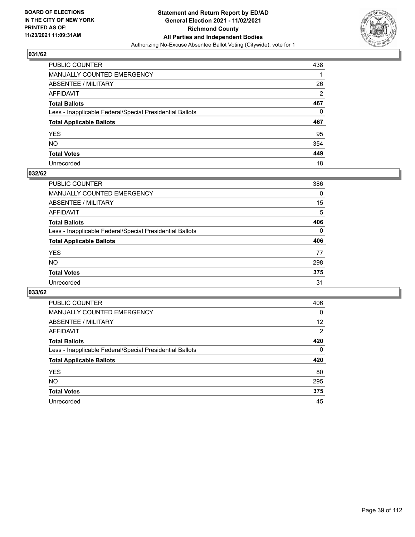

| PUBLIC COUNTER                                           | 438            |
|----------------------------------------------------------|----------------|
| MANUALLY COUNTED EMERGENCY                               |                |
| ABSENTEE / MILITARY                                      | 26             |
| AFFIDAVIT                                                | $\overline{2}$ |
| Total Ballots                                            | 467            |
| Less - Inapplicable Federal/Special Presidential Ballots | 0              |
| <b>Total Applicable Ballots</b>                          | 467            |
| YES                                                      | 95             |
| NO.                                                      | 354            |
| <b>Total Votes</b>                                       | 449            |
| Unrecorded                                               | 18             |

#### **032/62**

| <b>PUBLIC COUNTER</b>                                    | 386      |
|----------------------------------------------------------|----------|
| <b>MANUALLY COUNTED EMERGENCY</b>                        | $\Omega$ |
| ABSENTEE / MILITARY                                      | 15       |
| AFFIDAVIT                                                | 5        |
| <b>Total Ballots</b>                                     | 406      |
| Less - Inapplicable Federal/Special Presidential Ballots | $\Omega$ |
| <b>Total Applicable Ballots</b>                          | 406      |
| <b>YES</b>                                               | 77       |
| <b>NO</b>                                                | 298      |
| <b>Total Votes</b>                                       | 375      |
| Unrecorded                                               | 31       |

| <b>PUBLIC COUNTER</b>                                    | 406            |
|----------------------------------------------------------|----------------|
| <b>MANUALLY COUNTED EMERGENCY</b>                        | $\Omega$       |
| ABSENTEE / MILITARY                                      | 12             |
| AFFIDAVIT                                                | $\overline{2}$ |
| <b>Total Ballots</b>                                     | 420            |
| Less - Inapplicable Federal/Special Presidential Ballots | $\Omega$       |
| <b>Total Applicable Ballots</b>                          | 420            |
| <b>YES</b>                                               | 80             |
| NO.                                                      | 295            |
| <b>Total Votes</b>                                       | 375            |
| Unrecorded                                               | 45             |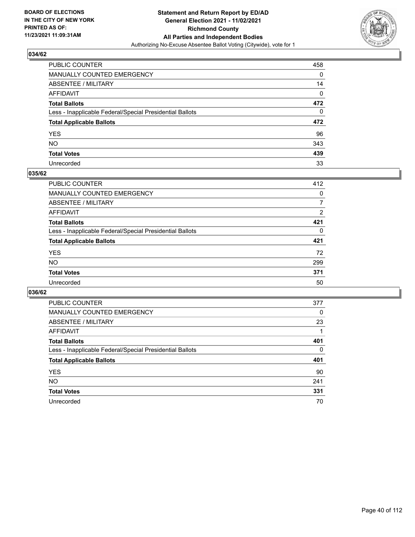

| PUBLIC COUNTER                                           | 458 |
|----------------------------------------------------------|-----|
| MANUALLY COUNTED EMERGENCY                               | 0   |
| ABSENTEE / MILITARY                                      | 14  |
| AFFIDAVIT                                                | 0   |
| Total Ballots                                            | 472 |
| Less - Inapplicable Federal/Special Presidential Ballots | 0   |
| <b>Total Applicable Ballots</b>                          | 472 |
| YES                                                      | 96  |
| NO.                                                      | 343 |
| <b>Total Votes</b>                                       | 439 |
| Unrecorded                                               | 33  |

#### **035/62**

| <b>PUBLIC COUNTER</b>                                    | 412            |
|----------------------------------------------------------|----------------|
| <b>MANUALLY COUNTED EMERGENCY</b>                        | $\Omega$       |
| ABSENTEE / MILITARY                                      | 7              |
| AFFIDAVIT                                                | $\overline{2}$ |
| <b>Total Ballots</b>                                     | 421            |
| Less - Inapplicable Federal/Special Presidential Ballots | 0              |
| <b>Total Applicable Ballots</b>                          | 421            |
| <b>YES</b>                                               | 72             |
| <b>NO</b>                                                | 299            |
| <b>Total Votes</b>                                       | 371            |
| Unrecorded                                               | 50             |

| <b>PUBLIC COUNTER</b>                                    | 377      |
|----------------------------------------------------------|----------|
| MANUALLY COUNTED EMERGENCY                               | $\Omega$ |
| ABSENTEE / MILITARY                                      | 23       |
| AFFIDAVIT                                                |          |
| <b>Total Ballots</b>                                     | 401      |
| Less - Inapplicable Federal/Special Presidential Ballots | $\Omega$ |
| <b>Total Applicable Ballots</b>                          | 401      |
| <b>YES</b>                                               | 90       |
| NO.                                                      | 241      |
| <b>Total Votes</b>                                       | 331      |
| Unrecorded                                               | 70       |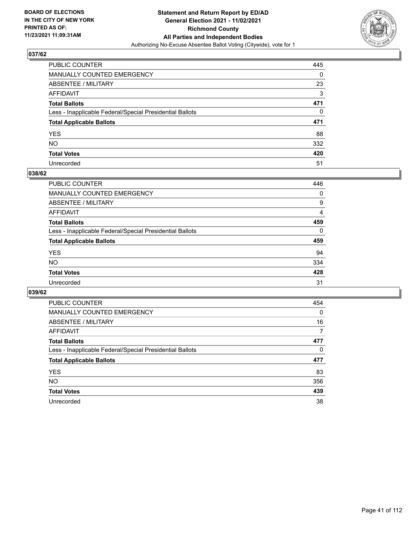

| PUBLIC COUNTER                                           | 445 |
|----------------------------------------------------------|-----|
| MANUALLY COUNTED EMERGENCY                               | 0   |
| ABSENTEE / MILITARY                                      | 23  |
| AFFIDAVIT                                                | 3   |
| Total Ballots                                            | 471 |
| Less - Inapplicable Federal/Special Presidential Ballots | 0   |
| <b>Total Applicable Ballots</b>                          | 471 |
| YES                                                      | 88  |
| NO.                                                      | 332 |
| <b>Total Votes</b>                                       | 420 |
| Unrecorded                                               | 51  |

#### **038/62**

| <b>PUBLIC COUNTER</b>                                    | 446      |
|----------------------------------------------------------|----------|
| <b>MANUALLY COUNTED EMERGENCY</b>                        | 0        |
| ABSENTEE / MILITARY                                      | 9        |
| AFFIDAVIT                                                | 4        |
| <b>Total Ballots</b>                                     | 459      |
| Less - Inapplicable Federal/Special Presidential Ballots | $\Omega$ |
| <b>Total Applicable Ballots</b>                          | 459      |
| <b>YES</b>                                               | 94       |
| <b>NO</b>                                                | 334      |
| <b>Total Votes</b>                                       | 428      |
| Unrecorded                                               | 31       |

| <b>PUBLIC COUNTER</b>                                    | 454      |
|----------------------------------------------------------|----------|
| MANUALLY COUNTED EMERGENCY                               | $\Omega$ |
| ABSENTEE / MILITARY                                      | 16       |
| AFFIDAVIT                                                | 7        |
| <b>Total Ballots</b>                                     | 477      |
| Less - Inapplicable Federal/Special Presidential Ballots | 0        |
| <b>Total Applicable Ballots</b>                          | 477      |
| <b>YES</b>                                               | 83       |
| NO.                                                      | 356      |
| <b>Total Votes</b>                                       | 439      |
| Unrecorded                                               | 38       |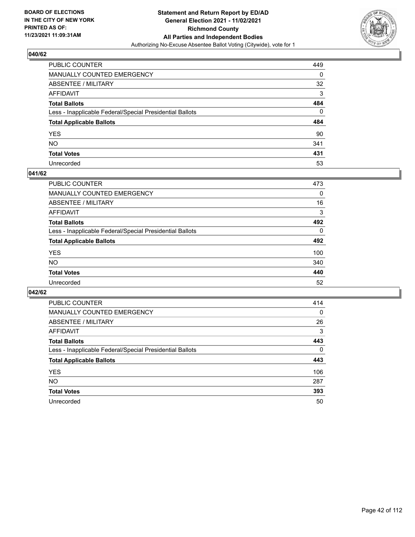

| PUBLIC COUNTER                                           | 449 |
|----------------------------------------------------------|-----|
| MANUALLY COUNTED EMERGENCY                               | 0   |
| ABSENTEE / MILITARY                                      | 32  |
| AFFIDAVIT                                                | 3   |
| Total Ballots                                            | 484 |
| Less - Inapplicable Federal/Special Presidential Ballots | 0   |
| <b>Total Applicable Ballots</b>                          | 484 |
| YES                                                      | 90  |
| NO.                                                      | 341 |
| <b>Total Votes</b>                                       | 431 |
| Unrecorded                                               | 53  |

#### **041/62**

| <b>PUBLIC COUNTER</b>                                    | 473      |
|----------------------------------------------------------|----------|
| <b>MANUALLY COUNTED EMERGENCY</b>                        | 0        |
| ABSENTEE / MILITARY                                      | 16       |
| AFFIDAVIT                                                | 3        |
| <b>Total Ballots</b>                                     | 492      |
| Less - Inapplicable Federal/Special Presidential Ballots | $\Omega$ |
| <b>Total Applicable Ballots</b>                          | 492      |
| <b>YES</b>                                               | 100      |
| <b>NO</b>                                                | 340      |
| <b>Total Votes</b>                                       | 440      |
| Unrecorded                                               | 52       |

| <b>PUBLIC COUNTER</b>                                    | 414      |
|----------------------------------------------------------|----------|
| MANUALLY COUNTED EMERGENCY                               | $\Omega$ |
| ABSENTEE / MILITARY                                      | 26       |
| AFFIDAVIT                                                | 3        |
| <b>Total Ballots</b>                                     | 443      |
| Less - Inapplicable Federal/Special Presidential Ballots | $\Omega$ |
| <b>Total Applicable Ballots</b>                          | 443      |
| <b>YES</b>                                               | 106      |
| NO.                                                      | 287      |
| <b>Total Votes</b>                                       | 393      |
| Unrecorded                                               | 50       |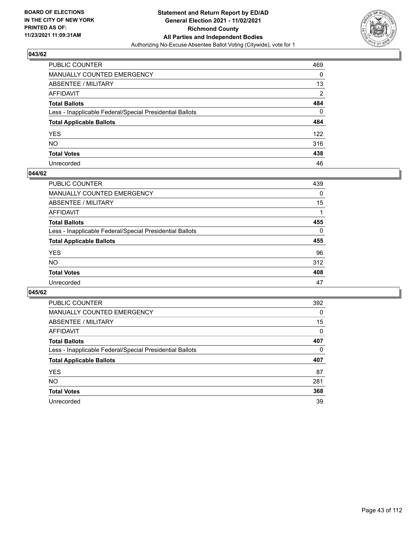

| PUBLIC COUNTER                                           | 469            |
|----------------------------------------------------------|----------------|
| MANUALLY COUNTED EMERGENCY                               | 0              |
| ABSENTEE / MILITARY                                      | 13             |
| AFFIDAVIT                                                | $\overline{2}$ |
| Total Ballots                                            | 484            |
| Less - Inapplicable Federal/Special Presidential Ballots | 0              |
| <b>Total Applicable Ballots</b>                          | 484            |
| YES                                                      | 122            |
| NO.                                                      | 316            |
| <b>Total Votes</b>                                       | 438            |
| Unrecorded                                               | 46             |

#### **044/62**

| <b>PUBLIC COUNTER</b>                                    | 439      |
|----------------------------------------------------------|----------|
| <b>MANUALLY COUNTED EMERGENCY</b>                        | 0        |
| ABSENTEE / MILITARY                                      | 15       |
| AFFIDAVIT                                                |          |
| <b>Total Ballots</b>                                     | 455      |
| Less - Inapplicable Federal/Special Presidential Ballots | $\Omega$ |
| <b>Total Applicable Ballots</b>                          | 455      |
| <b>YES</b>                                               | 96       |
| <b>NO</b>                                                | 312      |
| <b>Total Votes</b>                                       | 408      |
| Unrecorded                                               | 47       |

| <b>PUBLIC COUNTER</b>                                    | 392      |
|----------------------------------------------------------|----------|
| MANUALLY COUNTED EMERGENCY                               | $\Omega$ |
| ABSENTEE / MILITARY                                      | 15       |
| AFFIDAVIT                                                | 0        |
| <b>Total Ballots</b>                                     | 407      |
| Less - Inapplicable Federal/Special Presidential Ballots | 0        |
| <b>Total Applicable Ballots</b>                          | 407      |
| <b>YES</b>                                               | 87       |
|                                                          |          |
| NO.                                                      | 281      |
| <b>Total Votes</b>                                       | 368      |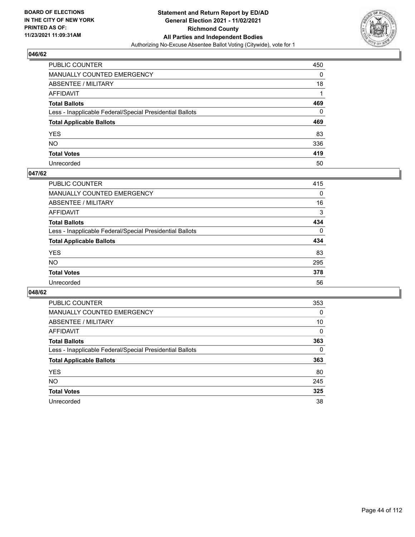

| PUBLIC COUNTER                                           | 450      |
|----------------------------------------------------------|----------|
| MANUALLY COUNTED EMERGENCY                               | 0        |
| <b>ABSENTEE / MILITARY</b>                               | 18       |
| AFFIDAVIT                                                |          |
| <b>Total Ballots</b>                                     | 469      |
| Less - Inapplicable Federal/Special Presidential Ballots | $\Omega$ |
| <b>Total Applicable Ballots</b>                          | 469      |
| YES                                                      | 83       |
| NO.                                                      | 336      |
| <b>Total Votes</b>                                       | 419      |
| Unrecorded                                               | 50       |

#### **047/62**

| <b>PUBLIC COUNTER</b>                                    | 415      |
|----------------------------------------------------------|----------|
| <b>MANUALLY COUNTED EMERGENCY</b>                        | 0        |
| ABSENTEE / MILITARY                                      | 16       |
| AFFIDAVIT                                                | 3        |
| <b>Total Ballots</b>                                     | 434      |
| Less - Inapplicable Federal/Special Presidential Ballots | $\Omega$ |
| <b>Total Applicable Ballots</b>                          | 434      |
| <b>YES</b>                                               | 83       |
| <b>NO</b>                                                | 295      |
| <b>Total Votes</b>                                       | 378      |
| Unrecorded                                               | 56       |

| <b>PUBLIC COUNTER</b>                                    | 353      |
|----------------------------------------------------------|----------|
| MANUALLY COUNTED EMERGENCY                               | $\Omega$ |
| ABSENTEE / MILITARY                                      | 10       |
| AFFIDAVIT                                                | $\Omega$ |
| <b>Total Ballots</b>                                     | 363      |
| Less - Inapplicable Federal/Special Presidential Ballots | $\Omega$ |
| <b>Total Applicable Ballots</b>                          | 363      |
| <b>YES</b>                                               | 80       |
| NO.                                                      | 245      |
| <b>Total Votes</b>                                       | 325      |
| Unrecorded                                               | 38       |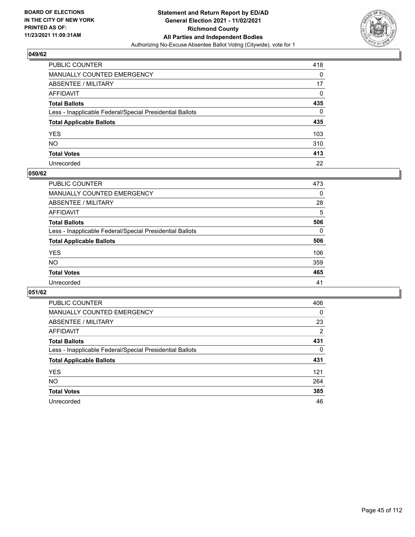

| PUBLIC COUNTER                                           | 418 |
|----------------------------------------------------------|-----|
| MANUALLY COUNTED EMERGENCY                               | 0   |
| ABSENTEE / MILITARY                                      | 17  |
| AFFIDAVIT                                                | 0   |
| Total Ballots                                            | 435 |
| Less - Inapplicable Federal/Special Presidential Ballots | 0   |
| <b>Total Applicable Ballots</b>                          | 435 |
| YES                                                      | 103 |
| NO.                                                      | 310 |
| <b>Total Votes</b>                                       | 413 |
| Unrecorded                                               | 22  |

#### **050/62**

| PUBLIC COUNTER                                           | 473      |
|----------------------------------------------------------|----------|
| <b>MANUALLY COUNTED EMERGENCY</b>                        | $\Omega$ |
| ABSENTEE / MILITARY                                      | 28       |
| AFFIDAVIT                                                | 5        |
| <b>Total Ballots</b>                                     | 506      |
| Less - Inapplicable Federal/Special Presidential Ballots | $\Omega$ |
| <b>Total Applicable Ballots</b>                          | 506      |
| <b>YES</b>                                               | 106      |
| <b>NO</b>                                                | 359      |
| <b>Total Votes</b>                                       | 465      |
| Unrecorded                                               | 41       |

| <b>PUBLIC COUNTER</b>                                    | 406      |
|----------------------------------------------------------|----------|
| MANUALLY COUNTED EMERGENCY                               | 0        |
| ABSENTEE / MILITARY                                      | 23       |
| AFFIDAVIT                                                | 2        |
| <b>Total Ballots</b>                                     | 431      |
| Less - Inapplicable Federal/Special Presidential Ballots | $\Omega$ |
| <b>Total Applicable Ballots</b>                          | 431      |
| <b>YES</b>                                               | 121      |
| <b>NO</b>                                                | 264      |
| <b>Total Votes</b>                                       | 385      |
| Unrecorded                                               | 46       |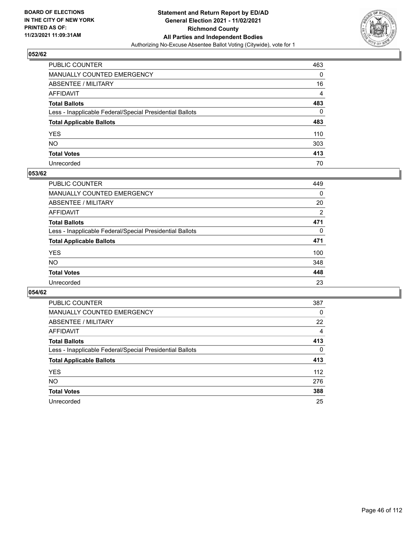

| PUBLIC COUNTER                                           | 463 |
|----------------------------------------------------------|-----|
| MANUALLY COUNTED EMERGENCY                               | 0   |
| ABSENTEE / MILITARY                                      | 16  |
| AFFIDAVIT                                                | 4   |
| Total Ballots                                            | 483 |
| Less - Inapplicable Federal/Special Presidential Ballots | 0   |
| <b>Total Applicable Ballots</b>                          | 483 |
| YES                                                      | 110 |
| NO.                                                      | 303 |
| <b>Total Votes</b>                                       | 413 |
| Unrecorded                                               | 70  |

#### **053/62**

| PUBLIC COUNTER                                           | 449            |
|----------------------------------------------------------|----------------|
| <b>MANUALLY COUNTED EMERGENCY</b>                        | $\Omega$       |
| ABSENTEE / MILITARY                                      | 20             |
| AFFIDAVIT                                                | $\overline{2}$ |
| <b>Total Ballots</b>                                     | 471            |
| Less - Inapplicable Federal/Special Presidential Ballots | $\Omega$       |
| <b>Total Applicable Ballots</b>                          | 471            |
| <b>YES</b>                                               | 100            |
| <b>NO</b>                                                | 348            |
| <b>Total Votes</b>                                       | 448            |
| Unrecorded                                               | 23             |

| <b>PUBLIC COUNTER</b>                                    | 387          |
|----------------------------------------------------------|--------------|
| <b>MANUALLY COUNTED EMERGENCY</b>                        | $\Omega$     |
| ABSENTEE / MILITARY                                      | 22           |
| AFFIDAVIT                                                | 4            |
| <b>Total Ballots</b>                                     | 413          |
| Less - Inapplicable Federal/Special Presidential Ballots | $\mathbf{0}$ |
| <b>Total Applicable Ballots</b>                          | 413          |
| <b>YES</b>                                               | 112          |
| NO.                                                      | 276          |
| <b>Total Votes</b>                                       | 388          |
| Unrecorded                                               | 25           |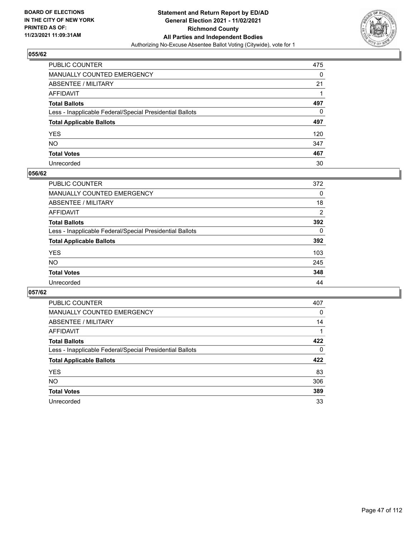

| PUBLIC COUNTER                                           | 475 |
|----------------------------------------------------------|-----|
| MANUALLY COUNTED EMERGENCY                               | 0   |
| ABSENTEE / MILITARY                                      | 21  |
| AFFIDAVIT                                                |     |
| Total Ballots                                            | 497 |
| Less - Inapplicable Federal/Special Presidential Ballots | 0   |
| <b>Total Applicable Ballots</b>                          | 497 |
| YES                                                      | 120 |
| NO.                                                      | 347 |
| <b>Total Votes</b>                                       | 467 |
| Unrecorded                                               | 30  |

#### **056/62**

| <b>PUBLIC COUNTER</b>                                    | 372            |
|----------------------------------------------------------|----------------|
| <b>MANUALLY COUNTED EMERGENCY</b>                        | 0              |
| <b>ABSENTEE / MILITARY</b>                               | 18             |
| AFFIDAVIT                                                | $\overline{2}$ |
| <b>Total Ballots</b>                                     | 392            |
| Less - Inapplicable Federal/Special Presidential Ballots | $\Omega$       |
| <b>Total Applicable Ballots</b>                          | 392            |
| <b>YES</b>                                               | 103            |
| <b>NO</b>                                                | 245            |
| <b>Total Votes</b>                                       | 348            |
| Unrecorded                                               | 44             |

| PUBLIC COUNTER                                           | 407      |
|----------------------------------------------------------|----------|
| MANUALLY COUNTED EMERGENCY                               | $\Omega$ |
| ABSENTEE / MILITARY                                      | 14       |
| AFFIDAVIT                                                |          |
| <b>Total Ballots</b>                                     | 422      |
| Less - Inapplicable Federal/Special Presidential Ballots | $\Omega$ |
| <b>Total Applicable Ballots</b>                          | 422      |
| <b>YES</b>                                               | 83       |
| <b>NO</b>                                                | 306      |
| <b>Total Votes</b>                                       | 389      |
| Unrecorded                                               | 33       |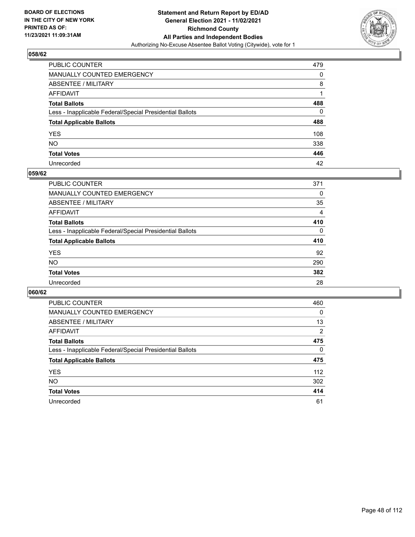

| PUBLIC COUNTER                                           | 479 |
|----------------------------------------------------------|-----|
| MANUALLY COUNTED EMERGENCY                               | 0   |
| ABSENTEE / MILITARY                                      | 8   |
| AFFIDAVIT                                                |     |
| Total Ballots                                            | 488 |
| Less - Inapplicable Federal/Special Presidential Ballots | 0   |
| <b>Total Applicable Ballots</b>                          | 488 |
| YES                                                      | 108 |
| NO.                                                      | 338 |
| <b>Total Votes</b>                                       | 446 |
| Unrecorded                                               | 42  |

#### **059/62**

| <b>PUBLIC COUNTER</b>                                    | 371            |
|----------------------------------------------------------|----------------|
| <b>MANUALLY COUNTED EMERGENCY</b>                        | 0              |
| ABSENTEE / MILITARY                                      | 35             |
| AFFIDAVIT                                                | $\overline{4}$ |
| <b>Total Ballots</b>                                     | 410            |
| Less - Inapplicable Federal/Special Presidential Ballots | $\Omega$       |
| <b>Total Applicable Ballots</b>                          | 410            |
| <b>YES</b>                                               | 92             |
| <b>NO</b>                                                | 290            |
| <b>Total Votes</b>                                       | 382            |
| Unrecorded                                               | 28             |

| <b>PUBLIC COUNTER</b>                                    | 460      |
|----------------------------------------------------------|----------|
| <b>MANUALLY COUNTED EMERGENCY</b>                        | 0        |
| ABSENTEE / MILITARY                                      | 13       |
| AFFIDAVIT                                                | 2        |
| <b>Total Ballots</b>                                     | 475      |
| Less - Inapplicable Federal/Special Presidential Ballots | $\Omega$ |
| <b>Total Applicable Ballots</b>                          | 475      |
| <b>YES</b>                                               | 112      |
| <b>NO</b>                                                | 302      |
| <b>Total Votes</b>                                       | 414      |
|                                                          |          |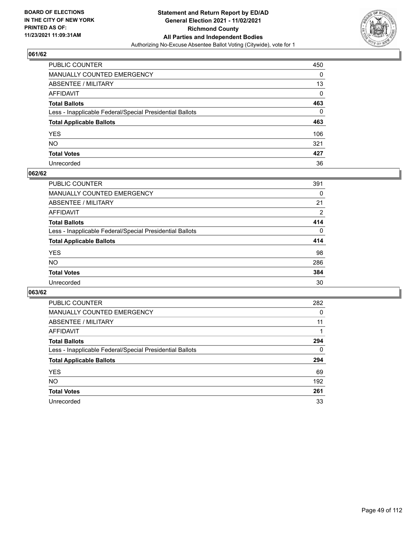

| PUBLIC COUNTER                                           | 450      |
|----------------------------------------------------------|----------|
| MANUALLY COUNTED EMERGENCY                               | 0        |
| ABSENTEE / MILITARY                                      | 13       |
| AFFIDAVIT                                                | 0        |
| Total Ballots                                            | 463      |
| Less - Inapplicable Federal/Special Presidential Ballots | $\Omega$ |
| <b>Total Applicable Ballots</b>                          | 463      |
| YES                                                      | 106      |
| NO.                                                      | 321      |
| <b>Total Votes</b>                                       | 427      |
| Unrecorded                                               | 36       |

#### **062/62**

| <b>PUBLIC COUNTER</b>                                    | 391          |
|----------------------------------------------------------|--------------|
| <b>MANUALLY COUNTED EMERGENCY</b>                        | 0            |
| ABSENTEE / MILITARY                                      | 21           |
| AFFIDAVIT                                                | 2            |
| <b>Total Ballots</b>                                     | 414          |
| Less - Inapplicable Federal/Special Presidential Ballots | $\mathbf{0}$ |
| <b>Total Applicable Ballots</b>                          | 414          |
| <b>YES</b>                                               | 98           |
| <b>NO</b>                                                | 286          |
| <b>Total Votes</b>                                       | 384          |
| Unrecorded                                               | 30           |

| <b>PUBLIC COUNTER</b>                                    | 282      |
|----------------------------------------------------------|----------|
| MANUALLY COUNTED EMERGENCY                               | 0        |
| ABSENTEE / MILITARY                                      | 11       |
| AFFIDAVIT                                                |          |
| <b>Total Ballots</b>                                     | 294      |
| Less - Inapplicable Federal/Special Presidential Ballots | $\Omega$ |
| <b>Total Applicable Ballots</b>                          | 294      |
| <b>YES</b>                                               | 69       |
| NO.                                                      | 192      |
| <b>Total Votes</b>                                       | 261      |
| Unrecorded                                               | 33       |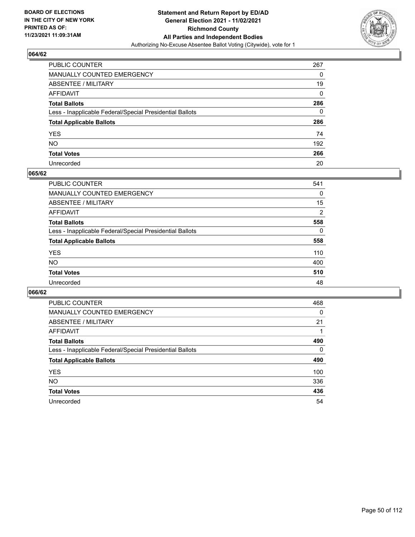

| PUBLIC COUNTER                                           | 267 |
|----------------------------------------------------------|-----|
| MANUALLY COUNTED EMERGENCY                               | 0   |
| ABSENTEE / MILITARY                                      | 19  |
| AFFIDAVIT                                                | 0   |
| Total Ballots                                            | 286 |
| Less - Inapplicable Federal/Special Presidential Ballots | 0   |
| <b>Total Applicable Ballots</b>                          | 286 |
| YES                                                      | 74  |
| NO.                                                      | 192 |
| <b>Total Votes</b>                                       | 266 |
| Unrecorded                                               | 20  |

#### **065/62**

| <b>PUBLIC COUNTER</b>                                    | 541            |
|----------------------------------------------------------|----------------|
| <b>MANUALLY COUNTED EMERGENCY</b>                        | $\Omega$       |
| ABSENTEE / MILITARY                                      | 15             |
| AFFIDAVIT                                                | $\overline{2}$ |
| <b>Total Ballots</b>                                     | 558            |
| Less - Inapplicable Federal/Special Presidential Ballots | $\Omega$       |
| <b>Total Applicable Ballots</b>                          | 558            |
| <b>YES</b>                                               | 110            |
| <b>NO</b>                                                | 400            |
| <b>Total Votes</b>                                       | 510            |
| Unrecorded                                               | 48             |

| <b>PUBLIC COUNTER</b>                                    | 468      |
|----------------------------------------------------------|----------|
| <b>MANUALLY COUNTED EMERGENCY</b>                        | 0        |
| ABSENTEE / MILITARY                                      | 21       |
| AFFIDAVIT                                                |          |
| <b>Total Ballots</b>                                     | 490      |
| Less - Inapplicable Federal/Special Presidential Ballots | $\Omega$ |
| <b>Total Applicable Ballots</b>                          | 490      |
| <b>YES</b>                                               | 100      |
| <b>NO</b>                                                | 336      |
| <b>Total Votes</b>                                       | 436      |
| Unrecorded                                               | 54       |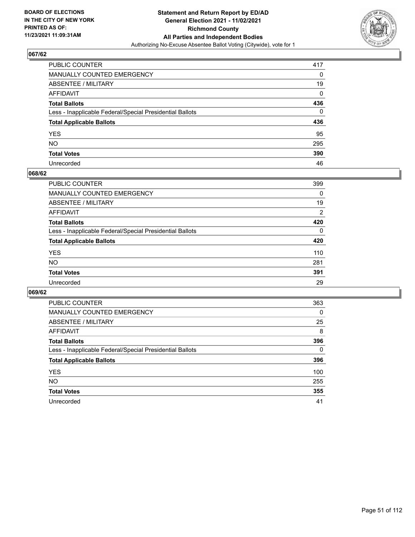

| PUBLIC COUNTER                                           | 417 |
|----------------------------------------------------------|-----|
| MANUALLY COUNTED EMERGENCY                               | 0   |
| ABSENTEE / MILITARY                                      | 19  |
| AFFIDAVIT                                                | 0   |
| Total Ballots                                            | 436 |
| Less - Inapplicable Federal/Special Presidential Ballots | 0   |
| <b>Total Applicable Ballots</b>                          | 436 |
| YES                                                      | 95  |
| NO.                                                      | 295 |
| <b>Total Votes</b>                                       | 390 |
| Unrecorded                                               | 46  |

#### **068/62**

| PUBLIC COUNTER                                           | 399      |
|----------------------------------------------------------|----------|
| MANUALLY COUNTED EMERGENCY                               | 0        |
| ABSENTEE / MILITARY                                      | 19       |
| AFFIDAVIT                                                | 2        |
| <b>Total Ballots</b>                                     | 420      |
| Less - Inapplicable Federal/Special Presidential Ballots | $\Omega$ |
| <b>Total Applicable Ballots</b>                          | 420      |
| <b>YES</b>                                               | 110      |
| <b>NO</b>                                                | 281      |
| <b>Total Votes</b>                                       | 391      |
| Unrecorded                                               | 29       |

| <b>PUBLIC COUNTER</b>                                    | 363      |
|----------------------------------------------------------|----------|
| <b>MANUALLY COUNTED EMERGENCY</b>                        | 0        |
| ABSENTEE / MILITARY                                      | 25       |
| AFFIDAVIT                                                | 8        |
| <b>Total Ballots</b>                                     | 396      |
| Less - Inapplicable Federal/Special Presidential Ballots | $\Omega$ |
| <b>Total Applicable Ballots</b>                          | 396      |
| <b>YES</b>                                               | 100      |
| <b>NO</b>                                                | 255      |
| <b>Total Votes</b>                                       | 355      |
| Unrecorded                                               | 41       |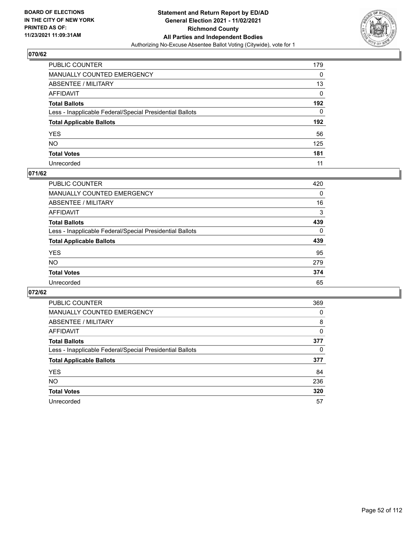

| PUBLIC COUNTER                                           | 179 |
|----------------------------------------------------------|-----|
| MANUALLY COUNTED EMERGENCY                               | 0   |
| ABSENTEE / MILITARY                                      | 13  |
| AFFIDAVIT                                                | 0   |
| Total Ballots                                            | 192 |
| Less - Inapplicable Federal/Special Presidential Ballots | 0   |
| <b>Total Applicable Ballots</b>                          | 192 |
| YES                                                      | 56  |
| NO.                                                      | 125 |
| <b>Total Votes</b>                                       | 181 |
| Unrecorded                                               | 11  |

#### **071/62**

| PUBLIC COUNTER                                           | 420      |
|----------------------------------------------------------|----------|
| MANUALLY COUNTED EMERGENCY                               | 0        |
| ABSENTEE / MILITARY                                      | 16       |
| AFFIDAVIT                                                | 3        |
| <b>Total Ballots</b>                                     | 439      |
| Less - Inapplicable Federal/Special Presidential Ballots | $\Omega$ |
| <b>Total Applicable Ballots</b>                          | 439      |
| <b>YES</b>                                               | 95       |
| <b>NO</b>                                                | 279      |
| <b>Total Votes</b>                                       | 374      |
| Unrecorded                                               | 65       |

| PUBLIC COUNTER                                           | 369 |
|----------------------------------------------------------|-----|
| <b>MANUALLY COUNTED EMERGENCY</b>                        | 0   |
| ABSENTEE / MILITARY                                      | 8   |
| AFFIDAVIT                                                | 0   |
| <b>Total Ballots</b>                                     | 377 |
| Less - Inapplicable Federal/Special Presidential Ballots | 0   |
| <b>Total Applicable Ballots</b>                          | 377 |
| <b>YES</b>                                               | 84  |
| <b>NO</b>                                                | 236 |
| <b>Total Votes</b>                                       | 320 |
| Unrecorded                                               | 57  |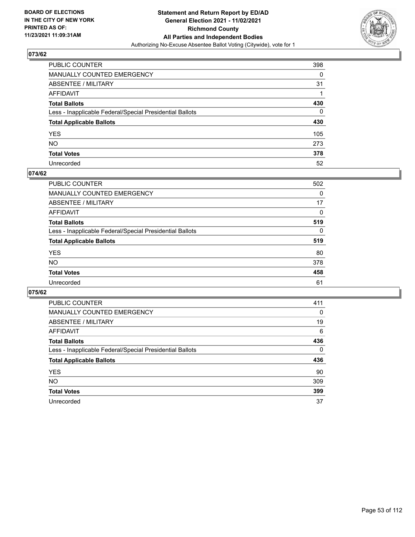

| PUBLIC COUNTER                                           | 398      |
|----------------------------------------------------------|----------|
| MANUALLY COUNTED EMERGENCY                               | 0        |
| ABSENTEE / MILITARY                                      | 31       |
| AFFIDAVIT                                                |          |
| Total Ballots                                            | 430      |
| Less - Inapplicable Federal/Special Presidential Ballots | $\Omega$ |
| <b>Total Applicable Ballots</b>                          | 430      |
| YES                                                      | 105      |
| NO.                                                      | 273      |
| <b>Total Votes</b>                                       | 378      |
| Unrecorded                                               | 52       |

#### **074/62**

| <b>PUBLIC COUNTER</b>                                    | 502      |
|----------------------------------------------------------|----------|
| <b>MANUALLY COUNTED EMERGENCY</b>                        | 0        |
| ABSENTEE / MILITARY                                      | 17       |
| AFFIDAVIT                                                | $\Omega$ |
| <b>Total Ballots</b>                                     | 519      |
| Less - Inapplicable Federal/Special Presidential Ballots | $\Omega$ |
| <b>Total Applicable Ballots</b>                          | 519      |
| <b>YES</b>                                               | 80       |
| <b>NO</b>                                                | 378      |
| <b>Total Votes</b>                                       | 458      |
| Unrecorded                                               | 61       |

| <b>PUBLIC COUNTER</b>                                    | 411      |
|----------------------------------------------------------|----------|
| MANUALLY COUNTED EMERGENCY                               | 0        |
| ABSENTEE / MILITARY                                      | 19       |
| AFFIDAVIT                                                | 6        |
| <b>Total Ballots</b>                                     | 436      |
| Less - Inapplicable Federal/Special Presidential Ballots | $\Omega$ |
| <b>Total Applicable Ballots</b>                          | 436      |
| <b>YES</b>                                               | 90       |
| <b>NO</b>                                                | 309      |
| <b>Total Votes</b>                                       | 399      |
| Unrecorded                                               | 37       |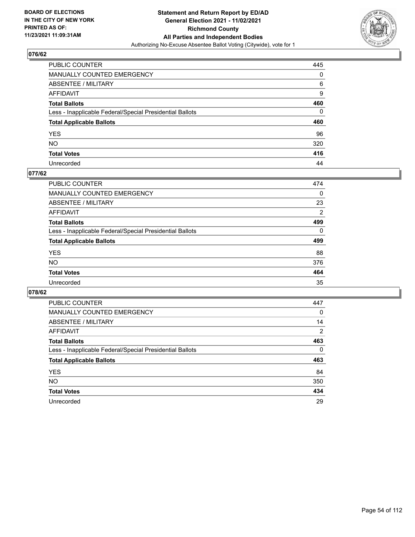

| PUBLIC COUNTER                                           | 445 |
|----------------------------------------------------------|-----|
| MANUALLY COUNTED EMERGENCY                               | 0   |
| ABSENTEE / MILITARY                                      | 6   |
| AFFIDAVIT                                                | 9   |
| Total Ballots                                            | 460 |
| Less - Inapplicable Federal/Special Presidential Ballots | 0   |
| <b>Total Applicable Ballots</b>                          | 460 |
| YES                                                      | 96  |
| NO.                                                      | 320 |
| <b>Total Votes</b>                                       | 416 |
| Unrecorded                                               | 44  |

#### **077/62**

| <b>PUBLIC COUNTER</b>                                    | 474            |
|----------------------------------------------------------|----------------|
| <b>MANUALLY COUNTED EMERGENCY</b>                        | $\Omega$       |
| ABSENTEE / MILITARY                                      | 23             |
| AFFIDAVIT                                                | $\overline{2}$ |
| <b>Total Ballots</b>                                     | 499            |
| Less - Inapplicable Federal/Special Presidential Ballots | $\Omega$       |
| <b>Total Applicable Ballots</b>                          | 499            |
| <b>YES</b>                                               | 88             |
| <b>NO</b>                                                | 376            |
| <b>Total Votes</b>                                       | 464            |
| Unrecorded                                               | 35             |

| <b>PUBLIC COUNTER</b>                                    | 447      |
|----------------------------------------------------------|----------|
| <b>MANUALLY COUNTED EMERGENCY</b>                        | 0        |
| ABSENTEE / MILITARY                                      | 14       |
| AFFIDAVIT                                                | 2        |
| <b>Total Ballots</b>                                     | 463      |
| Less - Inapplicable Federal/Special Presidential Ballots | $\Omega$ |
| <b>Total Applicable Ballots</b>                          | 463      |
| <b>YES</b>                                               | 84       |
| NO.                                                      | 350      |
| <b>Total Votes</b>                                       | 434      |
| Unrecorded                                               | 29       |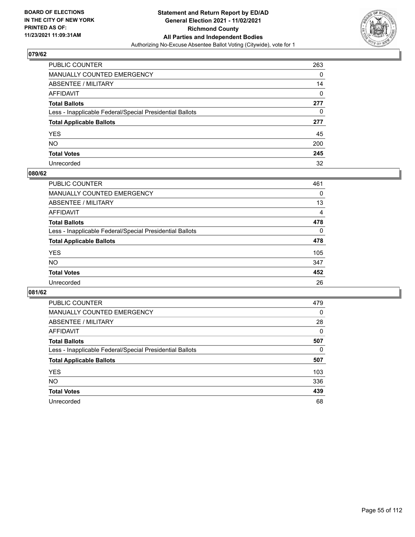

| PUBLIC COUNTER                                           | 263 |
|----------------------------------------------------------|-----|
| MANUALLY COUNTED EMERGENCY                               | 0   |
| ABSENTEE / MILITARY                                      | 14  |
| AFFIDAVIT                                                | 0   |
| Total Ballots                                            | 277 |
| Less - Inapplicable Federal/Special Presidential Ballots | 0   |
| <b>Total Applicable Ballots</b>                          | 277 |
| YES                                                      | 45  |
| NO.                                                      | 200 |
| <b>Total Votes</b>                                       | 245 |
| Unrecorded                                               | 32  |

#### **080/62**

| PUBLIC COUNTER                                           | 461      |
|----------------------------------------------------------|----------|
| <b>MANUALLY COUNTED EMERGENCY</b>                        | 0        |
| ABSENTEE / MILITARY                                      | 13       |
| AFFIDAVIT                                                | 4        |
| <b>Total Ballots</b>                                     | 478      |
| Less - Inapplicable Federal/Special Presidential Ballots | $\Omega$ |
| <b>Total Applicable Ballots</b>                          | 478      |
| <b>YES</b>                                               | 105      |
| <b>NO</b>                                                | 347      |
| <b>Total Votes</b>                                       | 452      |
| Unrecorded                                               | 26       |

| <b>PUBLIC COUNTER</b>                                    | 479      |
|----------------------------------------------------------|----------|
| <b>MANUALLY COUNTED EMERGENCY</b>                        | 0        |
| ABSENTEE / MILITARY                                      | 28       |
| AFFIDAVIT                                                | $\Omega$ |
| <b>Total Ballots</b>                                     | 507      |
| Less - Inapplicable Federal/Special Presidential Ballots | 0        |
| <b>Total Applicable Ballots</b>                          | 507      |
|                                                          |          |
| <b>YES</b>                                               | 103      |
| <b>NO</b>                                                | 336      |
| <b>Total Votes</b>                                       | 439      |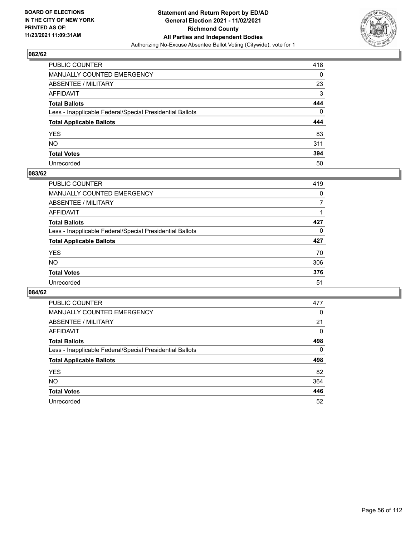

| PUBLIC COUNTER                                           | 418 |
|----------------------------------------------------------|-----|
| MANUALLY COUNTED EMERGENCY                               | 0   |
| ABSENTEE / MILITARY                                      | 23  |
| AFFIDAVIT                                                | 3   |
| Total Ballots                                            | 444 |
| Less - Inapplicable Federal/Special Presidential Ballots | 0   |
| <b>Total Applicable Ballots</b>                          | 444 |
| YES                                                      | 83  |
| NO.                                                      | 311 |
| <b>Total Votes</b>                                       | 394 |
| Unrecorded                                               | 50  |

#### **083/62**

| <b>PUBLIC COUNTER</b>                                    | 419      |
|----------------------------------------------------------|----------|
| <b>MANUALLY COUNTED EMERGENCY</b>                        | $\Omega$ |
| ABSENTEE / MILITARY                                      |          |
| AFFIDAVIT                                                |          |
| <b>Total Ballots</b>                                     | 427      |
| Less - Inapplicable Federal/Special Presidential Ballots | $\Omega$ |
| <b>Total Applicable Ballots</b>                          | 427      |
| <b>YES</b>                                               | 70       |
| <b>NO</b>                                                | 306      |
| <b>Total Votes</b>                                       | 376      |
| Unrecorded                                               | 51       |

| <b>PUBLIC COUNTER</b>                                    | 477      |
|----------------------------------------------------------|----------|
| MANUALLY COUNTED EMERGENCY                               | 0        |
| ABSENTEE / MILITARY                                      | 21       |
| AFFIDAVIT                                                | $\Omega$ |
| <b>Total Ballots</b>                                     | 498      |
| Less - Inapplicable Federal/Special Presidential Ballots | $\Omega$ |
| <b>Total Applicable Ballots</b>                          | 498      |
| <b>YES</b>                                               | 82       |
| <b>NO</b>                                                | 364      |
| <b>Total Votes</b>                                       | 446      |
| Unrecorded                                               | 52       |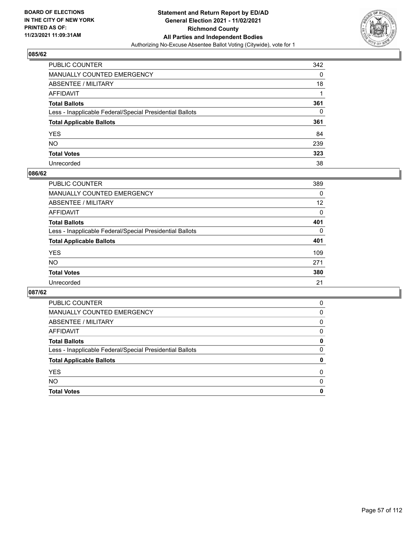

| PUBLIC COUNTER                                           | 342 |
|----------------------------------------------------------|-----|
| MANUALLY COUNTED EMERGENCY                               | 0   |
| ABSENTEE / MILITARY                                      | 18  |
| AFFIDAVIT                                                |     |
| Total Ballots                                            | 361 |
| Less - Inapplicable Federal/Special Presidential Ballots | 0   |
| <b>Total Applicable Ballots</b>                          | 361 |
| YES                                                      | 84  |
| NO.                                                      | 239 |
| <b>Total Votes</b>                                       | 323 |
| Unrecorded                                               | 38  |

#### **086/62**

| PUBLIC COUNTER                                           | 389      |
|----------------------------------------------------------|----------|
| <b>MANUALLY COUNTED EMERGENCY</b>                        | $\Omega$ |
| ABSENTEE / MILITARY                                      | 12       |
| AFFIDAVIT                                                | 0        |
| <b>Total Ballots</b>                                     | 401      |
| Less - Inapplicable Federal/Special Presidential Ballots | 0        |
| <b>Total Applicable Ballots</b>                          | 401      |
| <b>YES</b>                                               | 109      |
| <b>NO</b>                                                | 271      |
| <b>Total Votes</b>                                       | 380      |
| Unrecorded                                               | 21       |

| <b>PUBLIC COUNTER</b>                                    | 0        |
|----------------------------------------------------------|----------|
| <b>MANUALLY COUNTED EMERGENCY</b>                        | 0        |
| ABSENTEE / MILITARY                                      | 0        |
| AFFIDAVIT                                                | 0        |
| <b>Total Ballots</b>                                     | 0        |
| Less - Inapplicable Federal/Special Presidential Ballots | $\Omega$ |
| <b>Total Applicable Ballots</b>                          | 0        |
| <b>YES</b>                                               | $\Omega$ |
| <b>NO</b>                                                | $\Omega$ |
| <b>Total Votes</b>                                       | 0        |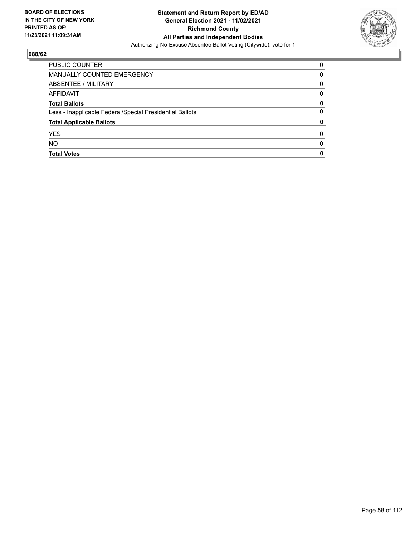

| PUBLIC COUNTER                                           | 0 |
|----------------------------------------------------------|---|
| MANUALLY COUNTED EMERGENCY                               | 0 |
| ABSENTEE / MILITARY                                      | 0 |
| AFFIDAVIT                                                | 0 |
| <b>Total Ballots</b>                                     | 0 |
| Less - Inapplicable Federal/Special Presidential Ballots | 0 |
| <b>Total Applicable Ballots</b>                          | 0 |
| <b>YES</b>                                               | O |
| <b>NO</b>                                                | 0 |
| <b>Total Votes</b>                                       | 0 |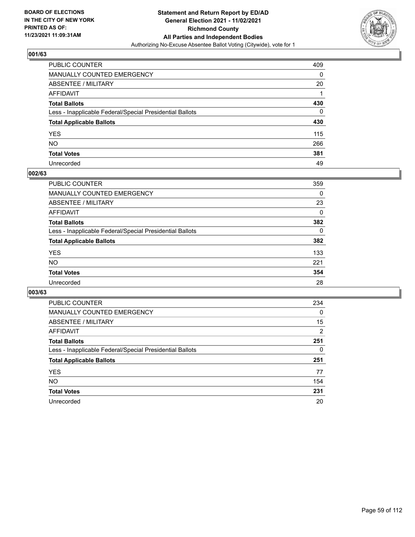

| PUBLIC COUNTER                                           | 409 |
|----------------------------------------------------------|-----|
| MANUALLY COUNTED EMERGENCY                               | 0   |
| ABSENTEE / MILITARY                                      | 20  |
| AFFIDAVIT                                                |     |
| Total Ballots                                            | 430 |
| Less - Inapplicable Federal/Special Presidential Ballots | 0   |
| <b>Total Applicable Ballots</b>                          | 430 |
| YES                                                      | 115 |
| NO.                                                      | 266 |
| <b>Total Votes</b>                                       | 381 |
| Unrecorded                                               | 49  |

#### **002/63**

| PUBLIC COUNTER                                           | 359      |
|----------------------------------------------------------|----------|
| MANUALLY COUNTED EMERGENCY                               | 0        |
| ABSENTEE / MILITARY                                      | 23       |
| AFFIDAVIT                                                | $\Omega$ |
| <b>Total Ballots</b>                                     | 382      |
| Less - Inapplicable Federal/Special Presidential Ballots | $\Omega$ |
| <b>Total Applicable Ballots</b>                          | 382      |
| <b>YES</b>                                               | 133      |
| <b>NO</b>                                                | 221      |
| <b>Total Votes</b>                                       | 354      |
| Unrecorded                                               | 28       |

| <b>PUBLIC COUNTER</b>                                    | 234      |
|----------------------------------------------------------|----------|
| MANUALLY COUNTED EMERGENCY                               | $\Omega$ |
| ABSENTEE / MILITARY                                      | 15       |
| AFFIDAVIT                                                | 2        |
| <b>Total Ballots</b>                                     | 251      |
| Less - Inapplicable Federal/Special Presidential Ballots | 0        |
| <b>Total Applicable Ballots</b>                          | 251      |
| <b>YES</b>                                               | 77       |
| NO.                                                      | 154      |
| <b>Total Votes</b>                                       | 231      |
| Unrecorded                                               | 20       |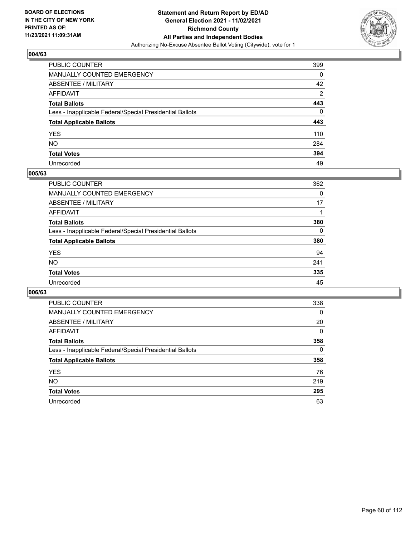

| PUBLIC COUNTER                                           | 399            |
|----------------------------------------------------------|----------------|
| MANUALLY COUNTED EMERGENCY                               | 0              |
| ABSENTEE / MILITARY                                      | 42             |
| AFFIDAVIT                                                | $\overline{2}$ |
| Total Ballots                                            | 443            |
| Less - Inapplicable Federal/Special Presidential Ballots | 0              |
| <b>Total Applicable Ballots</b>                          | 443            |
| YES                                                      | 110            |
| NO.                                                      | 284            |
| <b>Total Votes</b>                                       | 394            |
| Unrecorded                                               | 49             |

#### **005/63**

| PUBLIC COUNTER                                           | 362      |
|----------------------------------------------------------|----------|
| MANUALLY COUNTED EMERGENCY                               | 0        |
| ABSENTEE / MILITARY                                      | 17       |
| AFFIDAVIT                                                |          |
| <b>Total Ballots</b>                                     | 380      |
| Less - Inapplicable Federal/Special Presidential Ballots | $\Omega$ |
| <b>Total Applicable Ballots</b>                          | 380      |
| <b>YES</b>                                               | 94       |
| <b>NO</b>                                                | 241      |
| <b>Total Votes</b>                                       | 335      |
| Unrecorded                                               | 45       |

| <b>PUBLIC COUNTER</b>                                    | 338      |
|----------------------------------------------------------|----------|
| <b>MANUALLY COUNTED EMERGENCY</b>                        | 0        |
| ABSENTEE / MILITARY                                      | 20       |
| AFFIDAVIT                                                | $\Omega$ |
| <b>Total Ballots</b>                                     | 358      |
| Less - Inapplicable Federal/Special Presidential Ballots | 0        |
| <b>Total Applicable Ballots</b>                          | 358      |
| <b>YES</b>                                               | 76       |
| NO.                                                      | 219      |
| <b>Total Votes</b>                                       | 295      |
| Unrecorded                                               | 63       |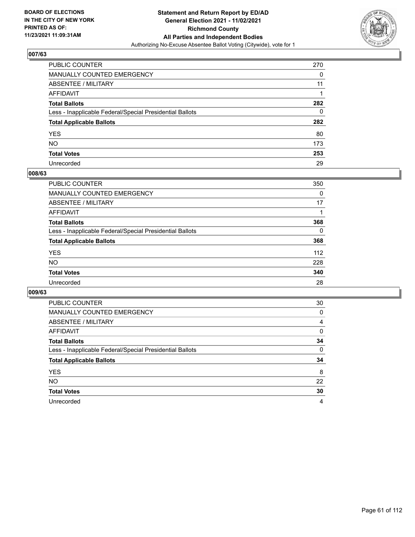

| PUBLIC COUNTER                                           | 270 |
|----------------------------------------------------------|-----|
| MANUALLY COUNTED EMERGENCY                               | 0   |
| ABSENTEE / MILITARY                                      | 11  |
| AFFIDAVIT                                                |     |
| Total Ballots                                            | 282 |
| Less - Inapplicable Federal/Special Presidential Ballots | 0   |
| <b>Total Applicable Ballots</b>                          | 282 |
| YES                                                      | 80  |
| NO.                                                      | 173 |
| <b>Total Votes</b>                                       | 253 |
| Unrecorded                                               | 29  |

#### **008/63**

| <b>PUBLIC COUNTER</b>                                    | 350      |
|----------------------------------------------------------|----------|
| <b>MANUALLY COUNTED EMERGENCY</b>                        | 0        |
| ABSENTEE / MILITARY                                      | 17       |
| AFFIDAVIT                                                |          |
| <b>Total Ballots</b>                                     | 368      |
| Less - Inapplicable Federal/Special Presidential Ballots | $\Omega$ |
| <b>Total Applicable Ballots</b>                          | 368      |
| <b>YES</b>                                               | 112      |
| <b>NO</b>                                                | 228      |
| <b>Total Votes</b>                                       | 340      |
| Unrecorded                                               | 28       |

| PUBLIC COUNTER                                           | 30       |
|----------------------------------------------------------|----------|
| <b>MANUALLY COUNTED EMERGENCY</b>                        | 0        |
| ABSENTEE / MILITARY                                      | 4        |
| AFFIDAVIT                                                | $\Omega$ |
| <b>Total Ballots</b>                                     | 34       |
| Less - Inapplicable Federal/Special Presidential Ballots | $\Omega$ |
| <b>Total Applicable Ballots</b>                          | 34       |
| <b>YES</b>                                               | 8        |
| <b>NO</b>                                                | 22       |
| <b>Total Votes</b>                                       | 30       |
| Unrecorded                                               | 4        |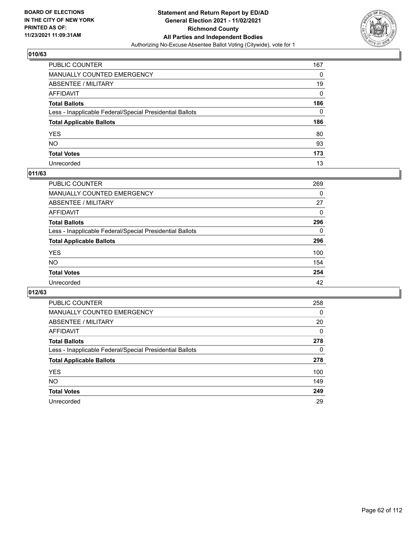

| PUBLIC COUNTER                                           | 167 |
|----------------------------------------------------------|-----|
| MANUALLY COUNTED EMERGENCY                               | 0   |
| ABSENTEE / MILITARY                                      | 19  |
| AFFIDAVIT                                                | 0   |
| Total Ballots                                            | 186 |
| Less - Inapplicable Federal/Special Presidential Ballots | 0   |
| <b>Total Applicable Ballots</b>                          | 186 |
| YES                                                      | 80  |
| NO.                                                      | 93  |
| <b>Total Votes</b>                                       | 173 |
| Unrecorded                                               | 13  |

## **011/63**

| <b>PUBLIC COUNTER</b>                                    | 269      |
|----------------------------------------------------------|----------|
| <b>MANUALLY COUNTED EMERGENCY</b>                        | 0        |
| ABSENTEE / MILITARY                                      | 27       |
| AFFIDAVIT                                                | $\Omega$ |
| <b>Total Ballots</b>                                     | 296      |
| Less - Inapplicable Federal/Special Presidential Ballots | $\Omega$ |
| <b>Total Applicable Ballots</b>                          | 296      |
| <b>YES</b>                                               | 100      |
| <b>NO</b>                                                | 154      |
| <b>Total Votes</b>                                       | 254      |
| Unrecorded                                               | 42       |

| <b>PUBLIC COUNTER</b>                                    | 258      |
|----------------------------------------------------------|----------|
| MANUALLY COUNTED EMERGENCY                               | 0        |
| ABSENTEE / MILITARY                                      | 20       |
| AFFIDAVIT                                                | $\Omega$ |
| <b>Total Ballots</b>                                     | 278      |
| Less - Inapplicable Federal/Special Presidential Ballots | 0        |
| <b>Total Applicable Ballots</b>                          | 278      |
| <b>YES</b>                                               | 100      |
| <b>NO</b>                                                | 149      |
| <b>Total Votes</b>                                       | 249      |
| Unrecorded                                               | 29       |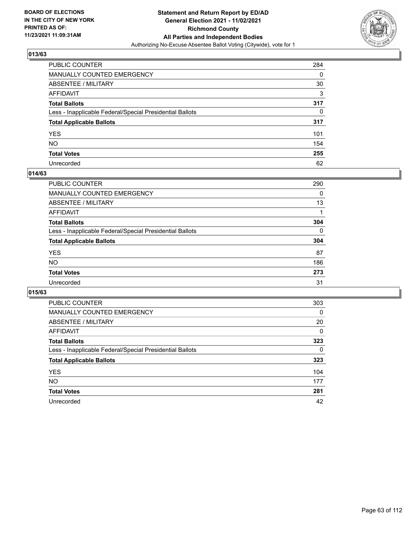

| PUBLIC COUNTER                                           | 284 |
|----------------------------------------------------------|-----|
| MANUALLY COUNTED EMERGENCY                               | 0   |
| ABSENTEE / MILITARY                                      | 30  |
| AFFIDAVIT                                                | 3   |
| Total Ballots                                            | 317 |
| Less - Inapplicable Federal/Special Presidential Ballots | 0   |
| <b>Total Applicable Ballots</b>                          | 317 |
| YES                                                      | 101 |
| NO.                                                      | 154 |
| <b>Total Votes</b>                                       | 255 |
| Unrecorded                                               | 62  |

#### **014/63**

| <b>PUBLIC COUNTER</b>                                    | 290      |
|----------------------------------------------------------|----------|
| <b>MANUALLY COUNTED EMERGENCY</b>                        | 0        |
| ABSENTEE / MILITARY                                      | 13       |
| AFFIDAVIT                                                |          |
| <b>Total Ballots</b>                                     | 304      |
| Less - Inapplicable Federal/Special Presidential Ballots | $\Omega$ |
| <b>Total Applicable Ballots</b>                          | 304      |
| <b>YES</b>                                               | 87       |
| <b>NO</b>                                                | 186      |
| <b>Total Votes</b>                                       | 273      |
| Unrecorded                                               | 31       |

| <b>PUBLIC COUNTER</b>                                    | 303      |
|----------------------------------------------------------|----------|
| MANUALLY COUNTED EMERGENCY                               | $\Omega$ |
| ABSENTEE / MILITARY                                      | 20       |
| AFFIDAVIT                                                | 0        |
| <b>Total Ballots</b>                                     | 323      |
| Less - Inapplicable Federal/Special Presidential Ballots | 0        |
| <b>Total Applicable Ballots</b>                          | 323      |
| <b>YES</b>                                               | 104      |
| NO.                                                      | 177      |
| <b>Total Votes</b>                                       | 281      |
| Unrecorded                                               | 42       |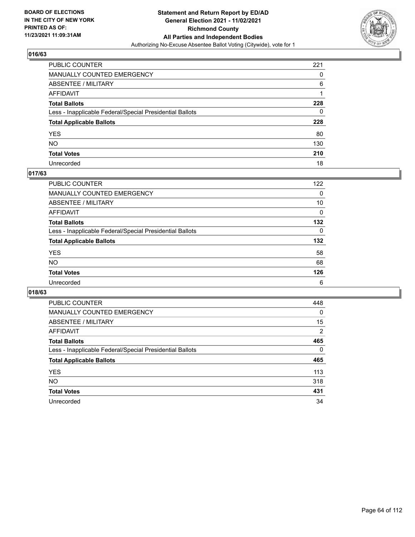

| PUBLIC COUNTER                                           | 221 |
|----------------------------------------------------------|-----|
| MANUALLY COUNTED EMERGENCY                               | 0   |
| ABSENTEE / MILITARY                                      | 6   |
| AFFIDAVIT                                                |     |
| Total Ballots                                            | 228 |
| Less - Inapplicable Federal/Special Presidential Ballots | 0   |
| <b>Total Applicable Ballots</b>                          | 228 |
| YES                                                      | 80  |
| NO.                                                      | 130 |
| <b>Total Votes</b>                                       | 210 |
| Unrecorded                                               | 18  |

## **017/63**

| <b>PUBLIC COUNTER</b>                                    | 122      |
|----------------------------------------------------------|----------|
| <b>MANUALLY COUNTED EMERGENCY</b>                        | $\Omega$ |
| ABSENTEE / MILITARY                                      | 10       |
| AFFIDAVIT                                                | 0        |
| <b>Total Ballots</b>                                     | 132      |
| Less - Inapplicable Federal/Special Presidential Ballots | $\Omega$ |
| <b>Total Applicable Ballots</b>                          | 132      |
| <b>YES</b>                                               | 58       |
| <b>NO</b>                                                | 68       |
| <b>Total Votes</b>                                       | 126      |
| Unrecorded                                               | 6        |

| <b>PUBLIC COUNTER</b>                                    | 448      |
|----------------------------------------------------------|----------|
| <b>MANUALLY COUNTED EMERGENCY</b>                        | 0        |
| ABSENTEE / MILITARY                                      | 15       |
| AFFIDAVIT                                                | 2        |
| <b>Total Ballots</b>                                     | 465      |
| Less - Inapplicable Federal/Special Presidential Ballots | $\Omega$ |
| <b>Total Applicable Ballots</b>                          | 465      |
| <b>YES</b>                                               | 113      |
| <b>NO</b>                                                | 318      |
| <b>Total Votes</b>                                       | 431      |
| Unrecorded                                               | 34       |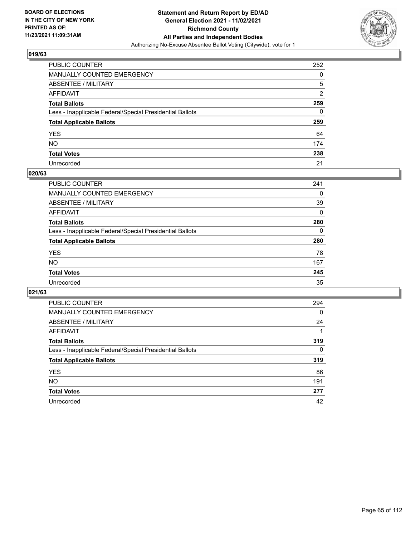

| PUBLIC COUNTER                                           | 252 |
|----------------------------------------------------------|-----|
| MANUALLY COUNTED EMERGENCY                               | 0   |
| ABSENTEE / MILITARY                                      | 5   |
| AFFIDAVIT                                                | 2   |
| Total Ballots                                            | 259 |
| Less - Inapplicable Federal/Special Presidential Ballots | 0   |
| <b>Total Applicable Ballots</b>                          | 259 |
| YES                                                      | 64  |
| NO.                                                      | 174 |
| <b>Total Votes</b>                                       | 238 |
| Unrecorded                                               | 21  |

#### **020/63**

| PUBLIC COUNTER                                           | 241      |
|----------------------------------------------------------|----------|
| MANUALLY COUNTED EMERGENCY                               | 0        |
| ABSENTEE / MILITARY                                      | 39       |
| AFFIDAVIT                                                | $\Omega$ |
| <b>Total Ballots</b>                                     | 280      |
| Less - Inapplicable Federal/Special Presidential Ballots | $\Omega$ |
| <b>Total Applicable Ballots</b>                          | 280      |
| <b>YES</b>                                               | 78       |
| <b>NO</b>                                                | 167      |
| <b>Total Votes</b>                                       | 245      |
| Unrecorded                                               | 35       |

| <b>PUBLIC COUNTER</b>                                    | 294      |
|----------------------------------------------------------|----------|
| <b>MANUALLY COUNTED EMERGENCY</b>                        | 0        |
| ABSENTEE / MILITARY                                      | 24       |
| AFFIDAVIT                                                |          |
| <b>Total Ballots</b>                                     | 319      |
| Less - Inapplicable Federal/Special Presidential Ballots | $\Omega$ |
| <b>Total Applicable Ballots</b>                          | 319      |
| <b>YES</b>                                               | 86       |
| NO.                                                      | 191      |
| <b>Total Votes</b>                                       | 277      |
| Unrecorded                                               | 42       |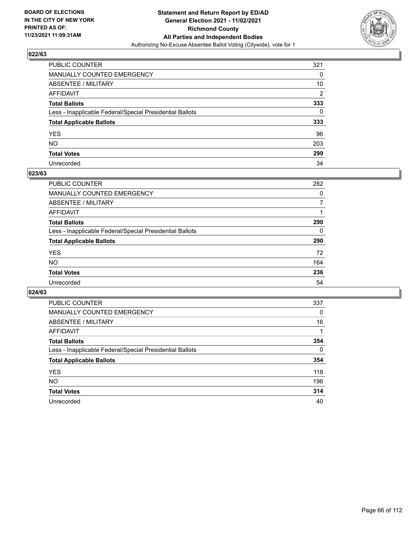

| PUBLIC COUNTER                                           | 321            |
|----------------------------------------------------------|----------------|
| MANUALLY COUNTED EMERGENCY                               | 0              |
| ABSENTEE / MILITARY                                      | 10             |
| AFFIDAVIT                                                | $\overline{2}$ |
| Total Ballots                                            | 333            |
| Less - Inapplicable Federal/Special Presidential Ballots | 0              |
| <b>Total Applicable Ballots</b>                          | 333            |
| YES                                                      | 96             |
| NO.                                                      | 203            |
| <b>Total Votes</b>                                       | 299            |
| Unrecorded                                               | 34             |

#### **023/63**

| <b>PUBLIC COUNTER</b>                                    | 282 |
|----------------------------------------------------------|-----|
| <b>MANUALLY COUNTED EMERGENCY</b>                        | 0   |
| ABSENTEE / MILITARY                                      |     |
| AFFIDAVIT                                                |     |
| <b>Total Ballots</b>                                     | 290 |
| Less - Inapplicable Federal/Special Presidential Ballots | 0   |
| <b>Total Applicable Ballots</b>                          | 290 |
| <b>YES</b>                                               | 72  |
| <b>NO</b>                                                | 164 |
| <b>Total Votes</b>                                       | 236 |
| Unrecorded                                               | 54  |

| <b>PUBLIC COUNTER</b>                                    | 337      |
|----------------------------------------------------------|----------|
| <b>MANUALLY COUNTED EMERGENCY</b>                        | $\Omega$ |
| ABSENTEE / MILITARY                                      | 16       |
| AFFIDAVIT                                                |          |
| <b>Total Ballots</b>                                     | 354      |
| Less - Inapplicable Federal/Special Presidential Ballots | $\Omega$ |
| <b>Total Applicable Ballots</b>                          | 354      |
| <b>YES</b>                                               | 118      |
| NO.                                                      | 196      |
| <b>Total Votes</b>                                       | 314      |
| Unrecorded                                               | 40       |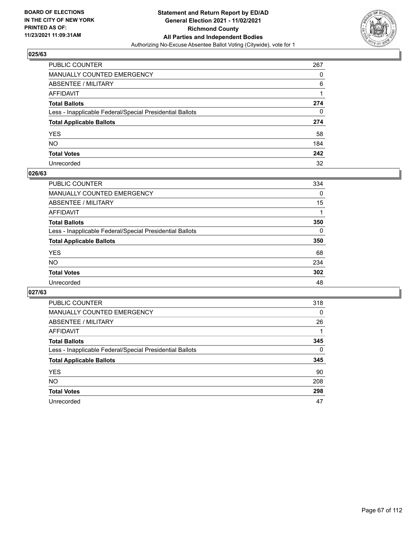

| PUBLIC COUNTER                                           | 267      |
|----------------------------------------------------------|----------|
| MANUALLY COUNTED EMERGENCY                               | 0        |
| ABSENTEE / MILITARY                                      | 6        |
| AFFIDAVIT                                                |          |
| Total Ballots                                            | 274      |
| Less - Inapplicable Federal/Special Presidential Ballots | $\Omega$ |
| <b>Total Applicable Ballots</b>                          | 274      |
| YES                                                      | 58       |
| NO.                                                      | 184      |
| <b>Total Votes</b>                                       | 242      |
| Unrecorded                                               | 32       |

#### **026/63**

| <b>PUBLIC COUNTER</b>                                    | 334      |
|----------------------------------------------------------|----------|
| <b>MANUALLY COUNTED EMERGENCY</b>                        | $\Omega$ |
| <b>ABSENTEE / MILITARY</b>                               | 15       |
| AFFIDAVIT                                                |          |
| <b>Total Ballots</b>                                     | 350      |
| Less - Inapplicable Federal/Special Presidential Ballots | $\Omega$ |
| <b>Total Applicable Ballots</b>                          | 350      |
| <b>YES</b>                                               | 68       |
| <b>NO</b>                                                | 234      |
| <b>Total Votes</b>                                       | 302      |
| Unrecorded                                               | 48       |

| PUBLIC COUNTER                                           | 318      |
|----------------------------------------------------------|----------|
| <b>MANUALLY COUNTED EMERGENCY</b>                        | $\Omega$ |
| ABSENTEE / MILITARY                                      | 26       |
| AFFIDAVIT                                                |          |
| <b>Total Ballots</b>                                     | 345      |
| Less - Inapplicable Federal/Special Presidential Ballots | $\Omega$ |
| <b>Total Applicable Ballots</b>                          | 345      |
| <b>YES</b>                                               | 90       |
| <b>NO</b>                                                | 208      |
| <b>Total Votes</b>                                       | 298      |
| Unrecorded                                               | 47       |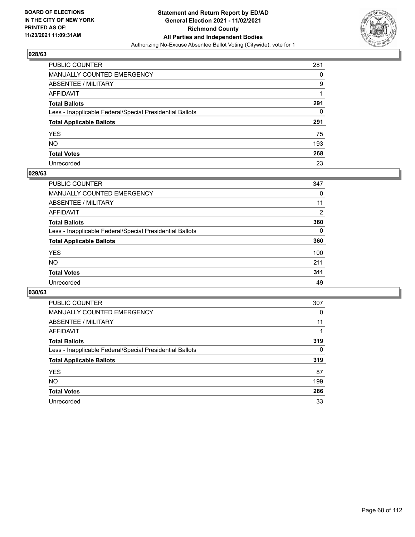

| PUBLIC COUNTER                                           | 281 |
|----------------------------------------------------------|-----|
| <b>MANUALLY COUNTED EMERGENCY</b>                        | 0   |
| <b>ABSENTEE / MILITARY</b>                               | 9   |
| AFFIDAVIT                                                |     |
| <b>Total Ballots</b>                                     | 291 |
| Less - Inapplicable Federal/Special Presidential Ballots | 0   |
| <b>Total Applicable Ballots</b>                          | 291 |
| YES.                                                     | 75  |
| NO.                                                      | 193 |
| <b>Total Votes</b>                                       | 268 |
| Unrecorded                                               | 23  |

#### **029/63**

| PUBLIC COUNTER                                           | 347      |
|----------------------------------------------------------|----------|
| MANUALLY COUNTED EMERGENCY                               | 0        |
| ABSENTEE / MILITARY                                      | 11       |
| AFFIDAVIT                                                | 2        |
| <b>Total Ballots</b>                                     | 360      |
| Less - Inapplicable Federal/Special Presidential Ballots | $\Omega$ |
| <b>Total Applicable Ballots</b>                          | 360      |
| <b>YES</b>                                               | 100      |
| <b>NO</b>                                                | 211      |
| <b>Total Votes</b>                                       | 311      |
| Unrecorded                                               | 49       |

| <b>PUBLIC COUNTER</b>                                    | 307      |
|----------------------------------------------------------|----------|
| MANUALLY COUNTED EMERGENCY                               | 0        |
| ABSENTEE / MILITARY                                      | 11       |
| AFFIDAVIT                                                |          |
| <b>Total Ballots</b>                                     | 319      |
| Less - Inapplicable Federal/Special Presidential Ballots | $\Omega$ |
| <b>Total Applicable Ballots</b>                          | 319      |
| <b>YES</b>                                               | 87       |
| NO.                                                      | 199      |
| <b>Total Votes</b>                                       | 286      |
| Unrecorded                                               | 33       |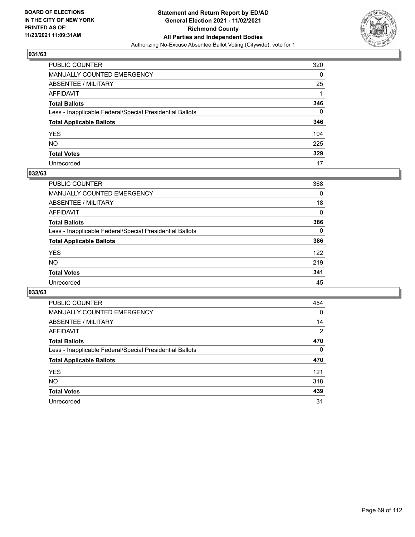

| PUBLIC COUNTER                                           | 320 |
|----------------------------------------------------------|-----|
| MANUALLY COUNTED EMERGENCY                               | 0   |
| ABSENTEE / MILITARY                                      | 25  |
| AFFIDAVIT                                                |     |
| Total Ballots                                            | 346 |
| Less - Inapplicable Federal/Special Presidential Ballots | 0   |
| <b>Total Applicable Ballots</b>                          | 346 |
| YES                                                      | 104 |
| NO.                                                      | 225 |
| <b>Total Votes</b>                                       | 329 |
| Unrecorded                                               | 17  |

#### **032/63**

| <b>PUBLIC COUNTER</b>                                    | 368      |
|----------------------------------------------------------|----------|
| <b>MANUALLY COUNTED EMERGENCY</b>                        | 0        |
| ABSENTEE / MILITARY                                      | 18       |
| AFFIDAVIT                                                | 0        |
| <b>Total Ballots</b>                                     | 386      |
| Less - Inapplicable Federal/Special Presidential Ballots | $\Omega$ |
| <b>Total Applicable Ballots</b>                          | 386      |
| <b>YES</b>                                               | 122      |
| <b>NO</b>                                                | 219      |
| <b>Total Votes</b>                                       | 341      |
| Unrecorded                                               | 45       |

| <b>PUBLIC COUNTER</b>                                    | 454            |
|----------------------------------------------------------|----------------|
| <b>MANUALLY COUNTED EMERGENCY</b>                        | 0              |
| ABSENTEE / MILITARY                                      | 14             |
| AFFIDAVIT                                                | $\overline{2}$ |
| <b>Total Ballots</b>                                     | 470            |
| Less - Inapplicable Federal/Special Presidential Ballots | $\Omega$       |
| <b>Total Applicable Ballots</b>                          | 470            |
| <b>YES</b>                                               | 121            |
| <b>NO</b>                                                | 318            |
| <b>Total Votes</b>                                       | 439            |
| Unrecorded                                               | 31             |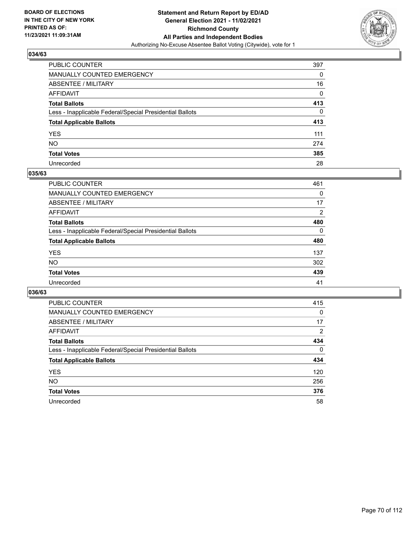

| PUBLIC COUNTER                                           | 397 |
|----------------------------------------------------------|-----|
| <b>MANUALLY COUNTED EMERGENCY</b>                        | 0   |
| <b>ABSENTEE / MILITARY</b>                               | 16  |
| AFFIDAVIT                                                | 0   |
| <b>Total Ballots</b>                                     | 413 |
| Less - Inapplicable Federal/Special Presidential Ballots | 0   |
| <b>Total Applicable Ballots</b>                          | 413 |
| YES.                                                     | 111 |
| NO.                                                      | 274 |
| <b>Total Votes</b>                                       | 385 |
| Unrecorded                                               | 28  |

#### **035/63**

| PUBLIC COUNTER                                           | 461            |
|----------------------------------------------------------|----------------|
| <b>MANUALLY COUNTED EMERGENCY</b>                        | 0              |
| ABSENTEE / MILITARY                                      | 17             |
| AFFIDAVIT                                                | $\overline{2}$ |
| <b>Total Ballots</b>                                     | 480            |
| Less - Inapplicable Federal/Special Presidential Ballots | $\Omega$       |
| <b>Total Applicable Ballots</b>                          | 480            |
| <b>YES</b>                                               | 137            |
| <b>NO</b>                                                | 302            |
| <b>Total Votes</b>                                       | 439            |
| Unrecorded                                               | 41             |

| <b>PUBLIC COUNTER</b>                                    | 415            |
|----------------------------------------------------------|----------------|
| <b>MANUALLY COUNTED EMERGENCY</b>                        | 0              |
| ABSENTEE / MILITARY                                      | 17             |
| AFFIDAVIT                                                | $\overline{2}$ |
| <b>Total Ballots</b>                                     | 434            |
| Less - Inapplicable Federal/Special Presidential Ballots | $\Omega$       |
| <b>Total Applicable Ballots</b>                          | 434            |
| <b>YES</b>                                               | 120            |
| NO.                                                      | 256            |
| <b>Total Votes</b>                                       | 376            |
| Unrecorded                                               | 58             |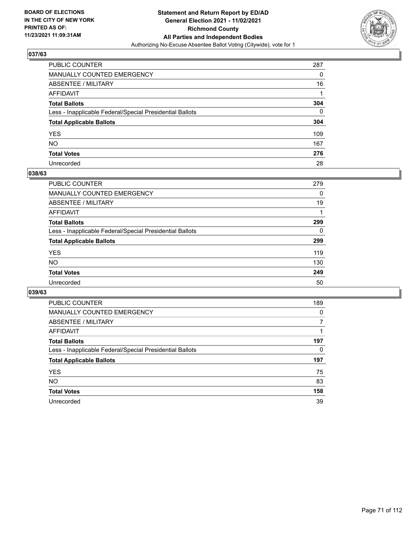

| PUBLIC COUNTER                                           | 287          |
|----------------------------------------------------------|--------------|
| MANUALLY COUNTED EMERGENCY                               | 0            |
| ABSENTEE / MILITARY                                      | 16           |
| AFFIDAVIT                                                |              |
| Total Ballots                                            | 304          |
| Less - Inapplicable Federal/Special Presidential Ballots | $\mathbf{0}$ |
| <b>Total Applicable Ballots</b>                          | 304          |
| YES                                                      | 109          |
| NO.                                                      | 167          |
| <b>Total Votes</b>                                       | 276          |
| Unrecorded                                               | 28           |

#### **038/63**

| <b>PUBLIC COUNTER</b>                                    | 279 |
|----------------------------------------------------------|-----|
| <b>MANUALLY COUNTED EMERGENCY</b>                        | 0   |
| <b>ABSENTEE / MILITARY</b>                               | 19  |
| AFFIDAVIT                                                |     |
| <b>Total Ballots</b>                                     | 299 |
| Less - Inapplicable Federal/Special Presidential Ballots | 0   |
| <b>Total Applicable Ballots</b>                          | 299 |
| <b>YES</b>                                               | 119 |
| <b>NO</b>                                                | 130 |
| <b>Total Votes</b>                                       | 249 |
| Unrecorded                                               | 50  |

| <b>PUBLIC COUNTER</b>                                    | 189 |
|----------------------------------------------------------|-----|
| MANUALLY COUNTED EMERGENCY                               | 0   |
| ABSENTEE / MILITARY                                      |     |
| AFFIDAVIT                                                |     |
| <b>Total Ballots</b>                                     | 197 |
| Less - Inapplicable Federal/Special Presidential Ballots | 0   |
| <b>Total Applicable Ballots</b>                          | 197 |
| <b>YES</b>                                               | 75  |
| <b>NO</b>                                                | 83  |
| <b>Total Votes</b>                                       | 158 |
| Unrecorded                                               | 39  |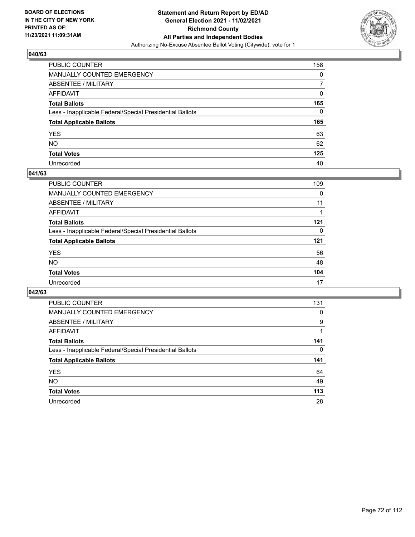

| PUBLIC COUNTER                                           | 158      |
|----------------------------------------------------------|----------|
| MANUALLY COUNTED EMERGENCY                               | 0        |
| <b>ABSENTEE / MILITARY</b>                               |          |
| AFFIDAVIT                                                | $\Omega$ |
| <b>Total Ballots</b>                                     | 165      |
| Less - Inapplicable Federal/Special Presidential Ballots | $\Omega$ |
| <b>Total Applicable Ballots</b>                          | 165      |
| YES                                                      | 63       |
| NO.                                                      | 62       |
| <b>Total Votes</b>                                       | 125      |
| Unrecorded                                               | 40       |

#### **041/63**

| <b>PUBLIC COUNTER</b>                                    | 109 |
|----------------------------------------------------------|-----|
| <b>MANUALLY COUNTED EMERGENCY</b>                        | 0   |
| ABSENTEE / MILITARY                                      | 11  |
| AFFIDAVIT                                                |     |
| <b>Total Ballots</b>                                     | 121 |
| Less - Inapplicable Federal/Special Presidential Ballots | 0   |
| <b>Total Applicable Ballots</b>                          | 121 |
| <b>YES</b>                                               | 56  |
| <b>NO</b>                                                | 48  |
| <b>Total Votes</b>                                       | 104 |
| Unrecorded                                               | 17  |

| <b>PUBLIC COUNTER</b>                                    | 131 |
|----------------------------------------------------------|-----|
| MANUALLY COUNTED EMERGENCY                               | 0   |
| ABSENTEE / MILITARY                                      | 9   |
| AFFIDAVIT                                                |     |
| <b>Total Ballots</b>                                     | 141 |
| Less - Inapplicable Federal/Special Presidential Ballots | 0   |
| <b>Total Applicable Ballots</b>                          | 141 |
| <b>YES</b>                                               | 64  |
| NO.                                                      | 49  |
| <b>Total Votes</b>                                       | 113 |
| Unrecorded                                               | 28  |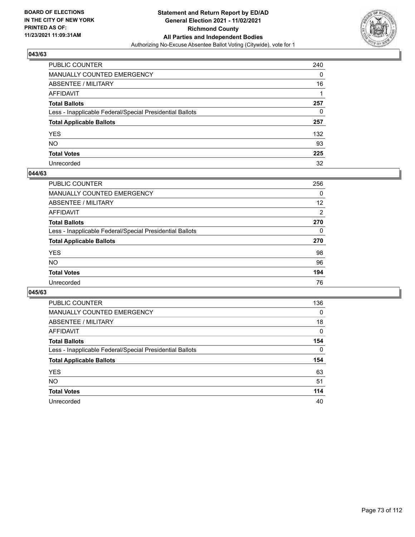

| PUBLIC COUNTER                                           | 240      |
|----------------------------------------------------------|----------|
| MANUALLY COUNTED EMERGENCY                               | 0        |
| ABSENTEE / MILITARY                                      | 16       |
| <b>AFFIDAVIT</b>                                         |          |
| <b>Total Ballots</b>                                     | 257      |
| Less - Inapplicable Federal/Special Presidential Ballots | $\Omega$ |
| <b>Total Applicable Ballots</b>                          | 257      |
| YES                                                      | 132      |
| NO.                                                      | 93       |
| <b>Total Votes</b>                                       | 225      |
| Unrecorded                                               | 32       |

#### **044/63**

| <b>PUBLIC COUNTER</b>                                    | 256 |
|----------------------------------------------------------|-----|
| MANUALLY COUNTED EMERGENCY                               | 0   |
| ABSENTEE / MILITARY                                      | 12  |
| AFFIDAVIT                                                | 2   |
| <b>Total Ballots</b>                                     | 270 |
| Less - Inapplicable Federal/Special Presidential Ballots | 0   |
| <b>Total Applicable Ballots</b>                          | 270 |
| <b>YES</b>                                               | 98  |
| <b>NO</b>                                                | 96  |
| <b>Total Votes</b>                                       | 194 |
| Unrecorded                                               | 76  |

| <b>PUBLIC COUNTER</b>                                    | 136      |
|----------------------------------------------------------|----------|
| <b>MANUALLY COUNTED EMERGENCY</b>                        | $\Omega$ |
| ABSENTEE / MILITARY                                      | 18       |
| AFFIDAVIT                                                | 0        |
| <b>Total Ballots</b>                                     | 154      |
| Less - Inapplicable Federal/Special Presidential Ballots | $\Omega$ |
| <b>Total Applicable Ballots</b>                          | 154      |
| <b>YES</b>                                               | 63       |
| NO.                                                      | 51       |
|                                                          |          |
| <b>Total Votes</b>                                       | 114      |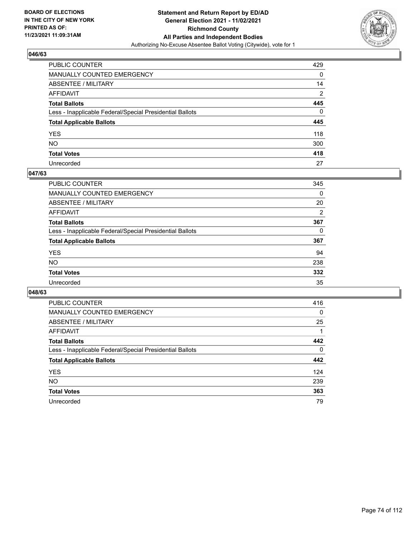

| PUBLIC COUNTER                                           | 429            |
|----------------------------------------------------------|----------------|
| MANUALLY COUNTED EMERGENCY                               | 0              |
| <b>ABSENTEE / MILITARY</b>                               | 14             |
| AFFIDAVIT                                                | $\overline{2}$ |
| <b>Total Ballots</b>                                     | 445            |
| Less - Inapplicable Federal/Special Presidential Ballots | 0              |
| <b>Total Applicable Ballots</b>                          | 445            |
| YES.                                                     | 118            |
| NΟ                                                       | 300            |
| <b>Total Votes</b>                                       | 418            |
| Unrecorded                                               | 27             |

### **047/63**

| <b>PUBLIC COUNTER</b>                                    | 345            |
|----------------------------------------------------------|----------------|
| <b>MANUALLY COUNTED EMERGENCY</b>                        | $\Omega$       |
| ABSENTEE / MILITARY                                      | 20             |
| AFFIDAVIT                                                | $\overline{2}$ |
| <b>Total Ballots</b>                                     | 367            |
| Less - Inapplicable Federal/Special Presidential Ballots | 0              |
| <b>Total Applicable Ballots</b>                          | 367            |
| <b>YES</b>                                               | 94             |
| <b>NO</b>                                                | 238            |
| <b>Total Votes</b>                                       | 332            |
| Unrecorded                                               | 35             |

| <b>PUBLIC COUNTER</b>                                    | 416      |
|----------------------------------------------------------|----------|
| MANUALLY COUNTED EMERGENCY                               | 0        |
| ABSENTEE / MILITARY                                      | 25       |
| AFFIDAVIT                                                |          |
| <b>Total Ballots</b>                                     | 442      |
| Less - Inapplicable Federal/Special Presidential Ballots | $\Omega$ |
| <b>Total Applicable Ballots</b>                          | 442      |
| <b>YES</b>                                               | 124      |
| <b>NO</b>                                                | 239      |
| <b>Total Votes</b>                                       | 363      |
| Unrecorded                                               | 79       |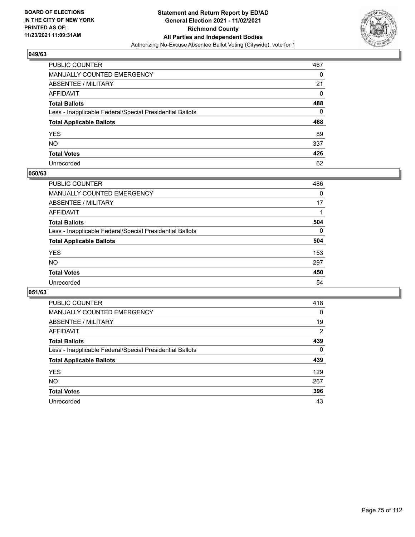

| PUBLIC COUNTER                                           | 467 |
|----------------------------------------------------------|-----|
| MANUALLY COUNTED EMERGENCY                               | 0   |
| ABSENTEE / MILITARY                                      | 21  |
| AFFIDAVIT                                                | 0   |
| Total Ballots                                            | 488 |
| Less - Inapplicable Federal/Special Presidential Ballots | 0   |
| <b>Total Applicable Ballots</b>                          | 488 |
| YES                                                      | 89  |
| NO.                                                      | 337 |
| <b>Total Votes</b>                                       | 426 |
| Unrecorded                                               | 62  |

#### **050/63**

| <b>PUBLIC COUNTER</b>                                    | 486      |
|----------------------------------------------------------|----------|
| <b>MANUALLY COUNTED EMERGENCY</b>                        | 0        |
| <b>ABSENTEE / MILITARY</b>                               | 17       |
| AFFIDAVIT                                                |          |
| <b>Total Ballots</b>                                     | 504      |
| Less - Inapplicable Federal/Special Presidential Ballots | $\Omega$ |
| <b>Total Applicable Ballots</b>                          | 504      |
| <b>YES</b>                                               | 153      |
| <b>NO</b>                                                | 297      |
| <b>Total Votes</b>                                       | 450      |
| Unrecorded                                               | 54       |

| <b>PUBLIC COUNTER</b>                                    | 418      |
|----------------------------------------------------------|----------|
| MANUALLY COUNTED EMERGENCY                               | 0        |
| ABSENTEE / MILITARY                                      | 19       |
| AFFIDAVIT                                                | 2        |
| <b>Total Ballots</b>                                     | 439      |
| Less - Inapplicable Federal/Special Presidential Ballots | $\Omega$ |
| <b>Total Applicable Ballots</b>                          | 439      |
| <b>YES</b>                                               | 129      |
| <b>NO</b>                                                | 267      |
| <b>Total Votes</b>                                       | 396      |
| Unrecorded                                               | 43       |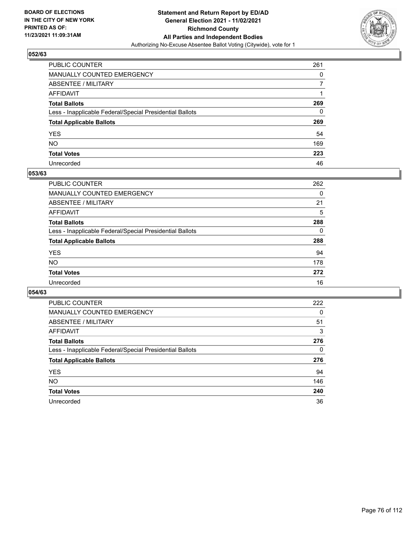

| PUBLIC COUNTER                                           | 261 |
|----------------------------------------------------------|-----|
| MANUALLY COUNTED EMERGENCY                               | 0   |
| ABSENTEE / MILITARY                                      | 7   |
| AFFIDAVIT                                                |     |
| Total Ballots                                            | 269 |
| Less - Inapplicable Federal/Special Presidential Ballots | 0   |
| <b>Total Applicable Ballots</b>                          | 269 |
| YES                                                      | 54  |
| NO.                                                      | 169 |
| <b>Total Votes</b>                                       | 223 |
| Unrecorded                                               | 46  |

#### **053/63**

| PUBLIC COUNTER                                           | 262      |
|----------------------------------------------------------|----------|
| <b>MANUALLY COUNTED EMERGENCY</b>                        | 0        |
| <b>ABSENTEE / MILITARY</b>                               | 21       |
| AFFIDAVIT                                                | 5        |
| <b>Total Ballots</b>                                     | 288      |
| Less - Inapplicable Federal/Special Presidential Ballots | $\Omega$ |
| <b>Total Applicable Ballots</b>                          | 288      |
| <b>YES</b>                                               | 94       |
| <b>NO</b>                                                | 178      |
| <b>Total Votes</b>                                       | 272      |
| Unrecorded                                               | 16       |

| <b>PUBLIC COUNTER</b>                                    | 222      |
|----------------------------------------------------------|----------|
| <b>MANUALLY COUNTED EMERGENCY</b>                        | $\Omega$ |
| ABSENTEE / MILITARY                                      | 51       |
| AFFIDAVIT                                                | 3        |
| <b>Total Ballots</b>                                     | 276      |
| Less - Inapplicable Federal/Special Presidential Ballots | 0        |
| <b>Total Applicable Ballots</b>                          | 276      |
| <b>YES</b>                                               | 94       |
| NO.                                                      | 146      |
| <b>Total Votes</b>                                       | 240      |
| Unrecorded                                               | 36       |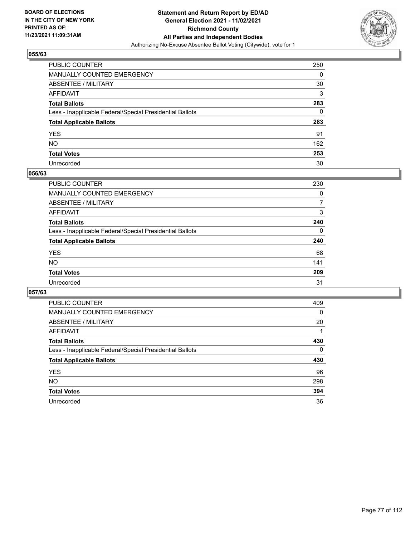

| PUBLIC COUNTER                                           | 250 |
|----------------------------------------------------------|-----|
| MANUALLY COUNTED EMERGENCY                               | 0   |
| ABSENTEE / MILITARY                                      | 30  |
| AFFIDAVIT                                                | 3   |
| Total Ballots                                            | 283 |
| Less - Inapplicable Federal/Special Presidential Ballots | 0   |
| <b>Total Applicable Ballots</b>                          | 283 |
| YES                                                      | 91  |
| NO.                                                      | 162 |
| <b>Total Votes</b>                                       | 253 |
| Unrecorded                                               | 30  |

#### **056/63**

| <b>PUBLIC COUNTER</b>                                    | 230      |
|----------------------------------------------------------|----------|
| MANUALLY COUNTED EMERGENCY                               | 0        |
| ABSENTEE / MILITARY                                      | 7        |
| AFFIDAVIT                                                | 3        |
| <b>Total Ballots</b>                                     | 240      |
| Less - Inapplicable Federal/Special Presidential Ballots | $\Omega$ |
| <b>Total Applicable Ballots</b>                          | 240      |
| <b>YES</b>                                               | 68       |
| <b>NO</b>                                                | 141      |
| <b>Total Votes</b>                                       | 209      |
| Unrecorded                                               | 31       |

| <b>PUBLIC COUNTER</b>                                    | 409      |
|----------------------------------------------------------|----------|
| <b>MANUALLY COUNTED EMERGENCY</b>                        | 0        |
| ABSENTEE / MILITARY                                      | 20       |
| AFFIDAVIT                                                |          |
| <b>Total Ballots</b>                                     | 430      |
| Less - Inapplicable Federal/Special Presidential Ballots | $\Omega$ |
| <b>Total Applicable Ballots</b>                          | 430      |
| <b>YES</b>                                               | 96       |
| <b>NO</b>                                                | 298      |
| <b>Total Votes</b>                                       | 394      |
| Unrecorded                                               |          |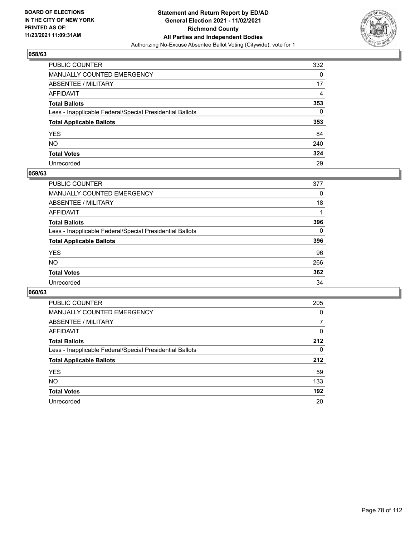

| PUBLIC COUNTER                                           | 332 |
|----------------------------------------------------------|-----|
| MANUALLY COUNTED EMERGENCY                               | 0   |
| ABSENTEE / MILITARY                                      | 17  |
| AFFIDAVIT                                                | 4   |
| Total Ballots                                            | 353 |
| Less - Inapplicable Federal/Special Presidential Ballots | 0   |
| <b>Total Applicable Ballots</b>                          | 353 |
| YES                                                      | 84  |
| NO.                                                      | 240 |
| <b>Total Votes</b>                                       | 324 |
| Unrecorded                                               | 29  |

#### **059/63**

| <b>PUBLIC COUNTER</b>                                    | 377      |
|----------------------------------------------------------|----------|
| MANUALLY COUNTED EMERGENCY                               | 0        |
| ABSENTEE / MILITARY                                      | 18       |
| AFFIDAVIT                                                |          |
| <b>Total Ballots</b>                                     | 396      |
| Less - Inapplicable Federal/Special Presidential Ballots | $\Omega$ |
| <b>Total Applicable Ballots</b>                          | 396      |
| <b>YES</b>                                               | 96       |
| <b>NO</b>                                                | 266      |
| <b>Total Votes</b>                                       | 362      |
| Unrecorded                                               | 34       |

| <b>PUBLIC COUNTER</b>                                    | 205      |
|----------------------------------------------------------|----------|
| MANUALLY COUNTED EMERGENCY                               | 0        |
| ABSENTEE / MILITARY                                      | 7        |
| AFFIDAVIT                                                | $\Omega$ |
| <b>Total Ballots</b>                                     | 212      |
| Less - Inapplicable Federal/Special Presidential Ballots | $\Omega$ |
| <b>Total Applicable Ballots</b>                          | 212      |
| <b>YES</b>                                               | 59       |
| NO.                                                      | 133      |
| <b>Total Votes</b>                                       | 192      |
| Unrecorded                                               | 20       |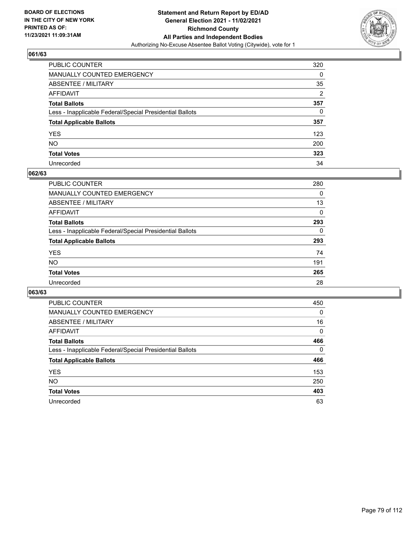

| PUBLIC COUNTER                                           | 320 |
|----------------------------------------------------------|-----|
| MANUALLY COUNTED EMERGENCY                               | 0   |
| ABSENTEE / MILITARY                                      | 35  |
| AFFIDAVIT                                                | 2   |
| Total Ballots                                            | 357 |
| Less - Inapplicable Federal/Special Presidential Ballots | 0   |
| <b>Total Applicable Ballots</b>                          | 357 |
| YES                                                      | 123 |
| NO.                                                      | 200 |
| <b>Total Votes</b>                                       | 323 |
| Unrecorded                                               | 34  |

#### **062/63**

| <b>PUBLIC COUNTER</b>                                    | 280      |
|----------------------------------------------------------|----------|
| <b>MANUALLY COUNTED EMERGENCY</b>                        | 0        |
| ABSENTEE / MILITARY                                      | 13       |
| AFFIDAVIT                                                | 0        |
| <b>Total Ballots</b>                                     | 293      |
| Less - Inapplicable Federal/Special Presidential Ballots | $\Omega$ |
| <b>Total Applicable Ballots</b>                          | 293      |
| <b>YES</b>                                               | 74       |
| <b>NO</b>                                                | 191      |
| <b>Total Votes</b>                                       | 265      |
| Unrecorded                                               | 28       |

| <b>PUBLIC COUNTER</b>                                    | 450      |
|----------------------------------------------------------|----------|
| MANUALLY COUNTED EMERGENCY                               | $\Omega$ |
| ABSENTEE / MILITARY                                      | 16       |
| AFFIDAVIT                                                | 0        |
| <b>Total Ballots</b>                                     | 466      |
| Less - Inapplicable Federal/Special Presidential Ballots | $\Omega$ |
| <b>Total Applicable Ballots</b>                          | 466      |
| <b>YES</b>                                               | 153      |
| NO.                                                      | 250      |
| <b>Total Votes</b>                                       | 403      |
| Unrecorded                                               | 63       |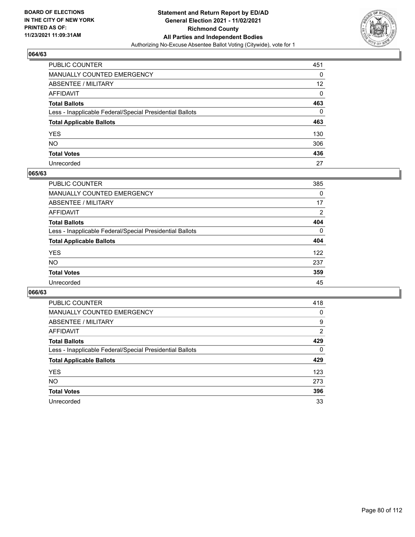

| PUBLIC COUNTER                                           | 451             |
|----------------------------------------------------------|-----------------|
| MANUALLY COUNTED EMERGENCY                               | 0               |
| ABSENTEE / MILITARY                                      | 12 <sup>°</sup> |
| AFFIDAVIT                                                | 0               |
| Total Ballots                                            | 463             |
| Less - Inapplicable Federal/Special Presidential Ballots | 0               |
| <b>Total Applicable Ballots</b>                          | 463             |
| YES                                                      | 130             |
| NO.                                                      | 306             |
| <b>Total Votes</b>                                       | 436             |
| Unrecorded                                               | 27              |

#### **065/63**

| <b>PUBLIC COUNTER</b>                                    | 385      |
|----------------------------------------------------------|----------|
| MANUALLY COUNTED EMERGENCY                               | 0        |
| ABSENTEE / MILITARY                                      | 17       |
| AFFIDAVIT                                                | 2        |
| <b>Total Ballots</b>                                     | 404      |
| Less - Inapplicable Federal/Special Presidential Ballots | $\Omega$ |
| <b>Total Applicable Ballots</b>                          | 404      |
| <b>YES</b>                                               | 122      |
| <b>NO</b>                                                | 237      |
| <b>Total Votes</b>                                       | 359      |
| Unrecorded                                               | 45       |

| <b>PUBLIC COUNTER</b>                                    | 418            |
|----------------------------------------------------------|----------------|
| <b>MANUALLY COUNTED EMERGENCY</b>                        | 0              |
| ABSENTEE / MILITARY                                      | 9              |
| AFFIDAVIT                                                | $\overline{2}$ |
| <b>Total Ballots</b>                                     | 429            |
| Less - Inapplicable Federal/Special Presidential Ballots | $\Omega$       |
| <b>Total Applicable Ballots</b>                          | 429            |
| <b>YES</b>                                               | 123            |
| NO.                                                      | 273            |
| <b>Total Votes</b>                                       | 396            |
|                                                          |                |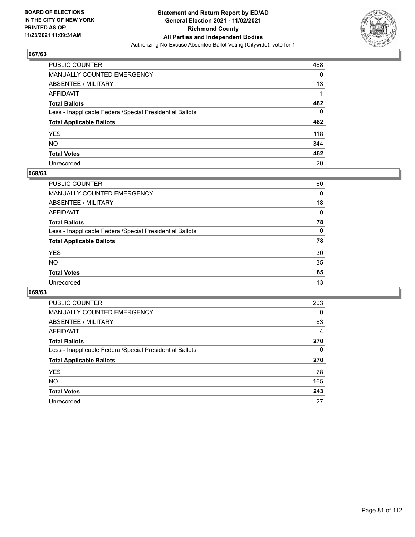

| PUBLIC COUNTER                                           | 468 |
|----------------------------------------------------------|-----|
| MANUALLY COUNTED EMERGENCY                               | 0   |
| <b>ABSENTEE / MILITARY</b>                               | 13  |
| AFFIDAVIT                                                |     |
| <b>Total Ballots</b>                                     | 482 |
| Less - Inapplicable Federal/Special Presidential Ballots | 0   |
| <b>Total Applicable Ballots</b>                          | 482 |
| YES                                                      | 118 |
| NΟ                                                       | 344 |
| <b>Total Votes</b>                                       | 462 |
| Unrecorded                                               | 20  |

#### **068/63**

| <b>PUBLIC COUNTER</b>                                    | 60       |
|----------------------------------------------------------|----------|
| MANUALLY COUNTED EMERGENCY                               | 0        |
| ABSENTEE / MILITARY                                      | 18       |
| AFFIDAVIT                                                | $\Omega$ |
| <b>Total Ballots</b>                                     | 78       |
| Less - Inapplicable Federal/Special Presidential Ballots | $\Omega$ |
| <b>Total Applicable Ballots</b>                          | 78       |
| <b>YES</b>                                               | 30       |
| <b>NO</b>                                                | 35       |
| <b>Total Votes</b>                                       | 65       |
| Unrecorded                                               | 13       |

| <b>PUBLIC COUNTER</b>                                    | 203      |
|----------------------------------------------------------|----------|
| MANUALLY COUNTED EMERGENCY                               | $\Omega$ |
| ABSENTEE / MILITARY                                      | 63       |
| AFFIDAVIT                                                | 4        |
| <b>Total Ballots</b>                                     | 270      |
| Less - Inapplicable Federal/Special Presidential Ballots | 0        |
| <b>Total Applicable Ballots</b>                          | 270      |
| <b>YES</b>                                               | 78       |
| NO.                                                      | 165      |
| <b>Total Votes</b>                                       | 243      |
| Unrecorded                                               | 27       |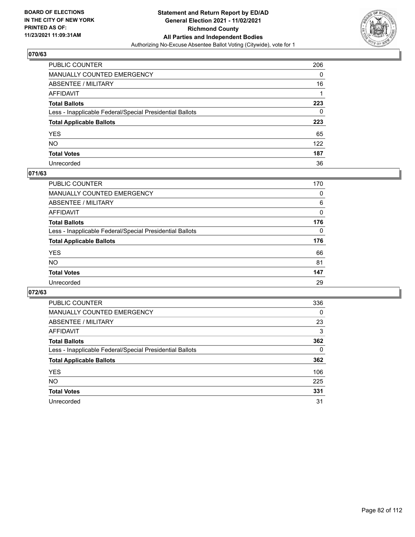

| PUBLIC COUNTER                                           | 206 |
|----------------------------------------------------------|-----|
| MANUALLY COUNTED EMERGENCY                               | 0   |
| ABSENTEE / MILITARY                                      | 16  |
| AFFIDAVIT                                                |     |
| Total Ballots                                            | 223 |
| Less - Inapplicable Federal/Special Presidential Ballots | 0   |
| <b>Total Applicable Ballots</b>                          | 223 |
| YES                                                      | 65  |
| NO.                                                      | 122 |
| <b>Total Votes</b>                                       | 187 |
| Unrecorded                                               | 36  |

### **071/63**

| <b>PUBLIC COUNTER</b>                                    | 170      |
|----------------------------------------------------------|----------|
| <b>MANUALLY COUNTED EMERGENCY</b>                        | $\Omega$ |
| ABSENTEE / MILITARY                                      | 6        |
| AFFIDAVIT                                                | 0        |
| <b>Total Ballots</b>                                     | 176      |
| Less - Inapplicable Federal/Special Presidential Ballots | $\Omega$ |
| <b>Total Applicable Ballots</b>                          | 176      |
| <b>YES</b>                                               | 66       |
| <b>NO</b>                                                | 81       |
| <b>Total Votes</b>                                       | 147      |
| Unrecorded                                               | 29       |

| PUBLIC COUNTER                                           | 336      |
|----------------------------------------------------------|----------|
| MANUALLY COUNTED EMERGENCY                               | $\Omega$ |
| ABSENTEE / MILITARY                                      | 23       |
| AFFIDAVIT                                                | 3        |
| <b>Total Ballots</b>                                     | 362      |
| Less - Inapplicable Federal/Special Presidential Ballots | 0        |
| <b>Total Applicable Ballots</b>                          | 362      |
| <b>YES</b>                                               | 106      |
| NO.                                                      | 225      |
| <b>Total Votes</b>                                       | 331      |
| Unrecorded                                               | 31       |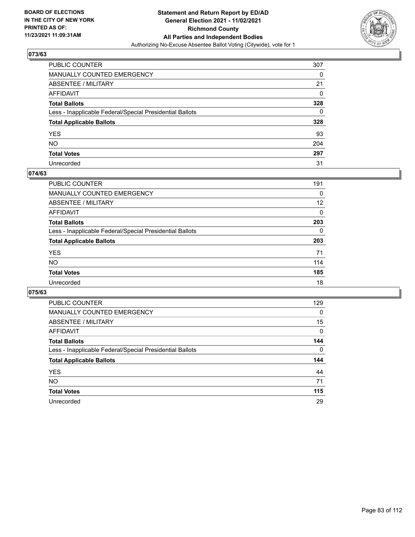

| PUBLIC COUNTER                                           | 307 |
|----------------------------------------------------------|-----|
| MANUALLY COUNTED EMERGENCY                               | 0   |
| ABSENTEE / MILITARY                                      | 21  |
| AFFIDAVIT                                                | 0   |
| Total Ballots                                            | 328 |
| Less - Inapplicable Federal/Special Presidential Ballots | 0   |
| <b>Total Applicable Ballots</b>                          | 328 |
| YES                                                      | 93  |
| NO.                                                      | 204 |
| <b>Total Votes</b>                                       | 297 |
| Unrecorded                                               | 31  |

#### **074/63**

| <b>PUBLIC COUNTER</b>                                    | 191      |
|----------------------------------------------------------|----------|
| <b>MANUALLY COUNTED EMERGENCY</b>                        | 0        |
| ABSENTEE / MILITARY                                      | 12       |
| AFFIDAVIT                                                | 0        |
| <b>Total Ballots</b>                                     | 203      |
| Less - Inapplicable Federal/Special Presidential Ballots | $\Omega$ |
| <b>Total Applicable Ballots</b>                          | 203      |
| <b>YES</b>                                               | 71       |
| <b>NO</b>                                                | 114      |
| <b>Total Votes</b>                                       | 185      |
| Unrecorded                                               | 18       |

| PUBLIC COUNTER                                           | 129      |
|----------------------------------------------------------|----------|
| <b>MANUALLY COUNTED EMERGENCY</b>                        | $\Omega$ |
| ABSENTEE / MILITARY                                      | 15       |
| AFFIDAVIT                                                | 0        |
| <b>Total Ballots</b>                                     | 144      |
| Less - Inapplicable Federal/Special Presidential Ballots | $\Omega$ |
| <b>Total Applicable Ballots</b>                          | 144      |
| <b>YES</b>                                               | 44       |
| NO.                                                      | 71       |
| <b>Total Votes</b>                                       | 115      |
| Unrecorded                                               | 29       |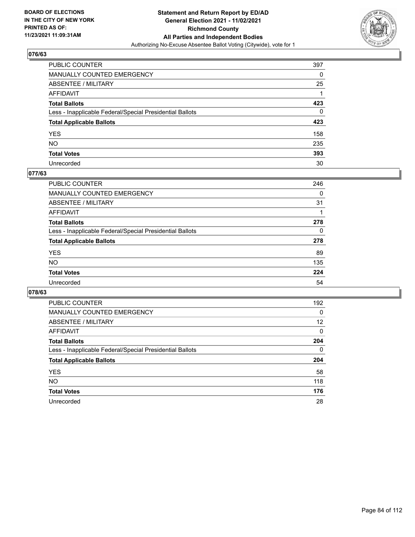

| PUBLIC COUNTER                                           | 397 |
|----------------------------------------------------------|-----|
| MANUALLY COUNTED EMERGENCY                               | 0   |
| ABSENTEE / MILITARY                                      | 25  |
| AFFIDAVIT                                                |     |
| Total Ballots                                            | 423 |
| Less - Inapplicable Federal/Special Presidential Ballots | 0   |
| <b>Total Applicable Ballots</b>                          | 423 |
| YES                                                      | 158 |
| NO.                                                      | 235 |
| <b>Total Votes</b>                                       | 393 |
| Unrecorded                                               | 30  |

### **077/63**

| <b>PUBLIC COUNTER</b>                                    | 246      |
|----------------------------------------------------------|----------|
| MANUALLY COUNTED EMERGENCY                               | 0        |
| ABSENTEE / MILITARY                                      | 31       |
| AFFIDAVIT                                                |          |
| <b>Total Ballots</b>                                     | 278      |
| Less - Inapplicable Federal/Special Presidential Ballots | $\Omega$ |
| <b>Total Applicable Ballots</b>                          | 278      |
| <b>YES</b>                                               | 89       |
| <b>NO</b>                                                | 135      |
| <b>Total Votes</b>                                       | 224      |
| Unrecorded                                               | 54       |

| PUBLIC COUNTER                                           | 192 |
|----------------------------------------------------------|-----|
| <b>MANUALLY COUNTED EMERGENCY</b>                        | 0   |
| ABSENTEE / MILITARY                                      | 12  |
| AFFIDAVIT                                                | 0   |
| <b>Total Ballots</b>                                     | 204 |
| Less - Inapplicable Federal/Special Presidential Ballots | 0   |
| <b>Total Applicable Ballots</b>                          | 204 |
| <b>YES</b>                                               | 58  |
| NO.                                                      | 118 |
| <b>Total Votes</b>                                       | 176 |
| Unrecorded                                               | 28  |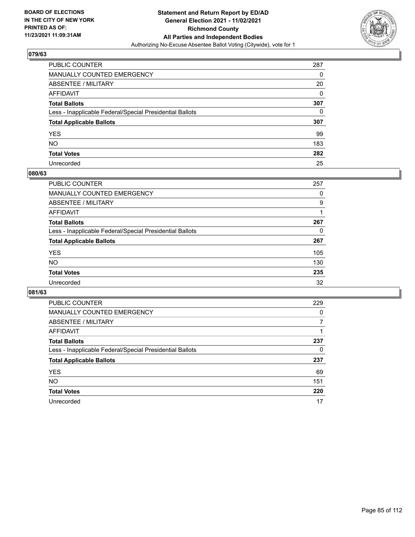

| PUBLIC COUNTER                                           | 287 |
|----------------------------------------------------------|-----|
| MANUALLY COUNTED EMERGENCY                               | 0   |
| ABSENTEE / MILITARY                                      | 20  |
| AFFIDAVIT                                                | 0   |
| Total Ballots                                            | 307 |
| Less - Inapplicable Federal/Special Presidential Ballots | 0   |
| <b>Total Applicable Ballots</b>                          | 307 |
| YES                                                      | 99  |
| NO.                                                      | 183 |
| <b>Total Votes</b>                                       | 282 |
| Unrecorded                                               | 25  |

#### **080/63**

| PUBLIC COUNTER                                           | 257 |
|----------------------------------------------------------|-----|
| <b>MANUALLY COUNTED EMERGENCY</b>                        | 0   |
| <b>ABSENTEE / MILITARY</b>                               | 9   |
| AFFIDAVIT                                                |     |
| <b>Total Ballots</b>                                     | 267 |
| Less - Inapplicable Federal/Special Presidential Ballots | 0   |
| <b>Total Applicable Ballots</b>                          | 267 |
| <b>YES</b>                                               | 105 |
| <b>NO</b>                                                | 130 |
| <b>Total Votes</b>                                       | 235 |
| Unrecorded                                               | 32  |

| PUBLIC COUNTER                                           | 229      |
|----------------------------------------------------------|----------|
| <b>MANUALLY COUNTED EMERGENCY</b>                        | $\Omega$ |
| ABSENTEE / MILITARY                                      |          |
| AFFIDAVIT                                                |          |
| <b>Total Ballots</b>                                     | 237      |
| Less - Inapplicable Federal/Special Presidential Ballots | 0        |
| <b>Total Applicable Ballots</b>                          | 237      |
| <b>YES</b>                                               | 69       |
| <b>NO</b>                                                | 151      |
| <b>Total Votes</b>                                       | 220      |
| Unrecorded                                               | 17       |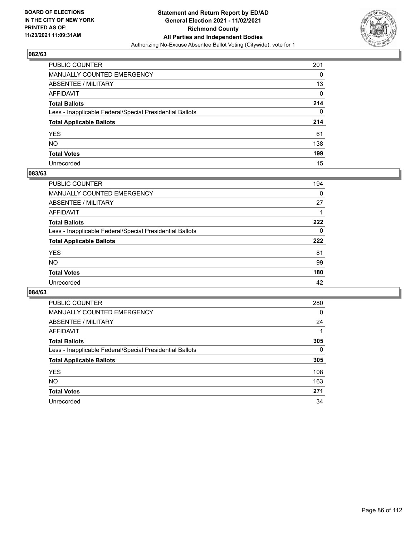

| PUBLIC COUNTER                                           | 201          |
|----------------------------------------------------------|--------------|
| MANUALLY COUNTED EMERGENCY                               | 0            |
| ABSENTEE / MILITARY                                      | 13           |
| AFFIDAVIT                                                | 0            |
| Total Ballots                                            | 214          |
| Less - Inapplicable Federal/Special Presidential Ballots | $\mathbf{0}$ |
| <b>Total Applicable Ballots</b>                          | 214          |
| YES                                                      | 61           |
| NO.                                                      | 138          |
| <b>Total Votes</b>                                       | 199          |
| Unrecorded                                               | 15           |

#### **083/63**

| <b>PUBLIC COUNTER</b>                                    | 194      |
|----------------------------------------------------------|----------|
| MANUALLY COUNTED EMERGENCY                               | 0        |
| ABSENTEE / MILITARY                                      | 27       |
| AFFIDAVIT                                                |          |
| <b>Total Ballots</b>                                     | 222      |
| Less - Inapplicable Federal/Special Presidential Ballots | $\Omega$ |
| <b>Total Applicable Ballots</b>                          | 222      |
| <b>YES</b>                                               | 81       |
| <b>NO</b>                                                | 99       |
| <b>Total Votes</b>                                       | 180      |
| Unrecorded                                               | 42       |

| PUBLIC COUNTER                                           | 280      |
|----------------------------------------------------------|----------|
| MANUALLY COUNTED EMERGENCY                               | 0        |
| ABSENTEE / MILITARY                                      | 24       |
| AFFIDAVIT                                                |          |
| <b>Total Ballots</b>                                     | 305      |
| Less - Inapplicable Federal/Special Presidential Ballots | $\Omega$ |
| <b>Total Applicable Ballots</b>                          | 305      |
| <b>YES</b>                                               | 108      |
| <b>NO</b>                                                | 163      |
| <b>Total Votes</b>                                       | 271      |
| Unrecorded                                               | 34       |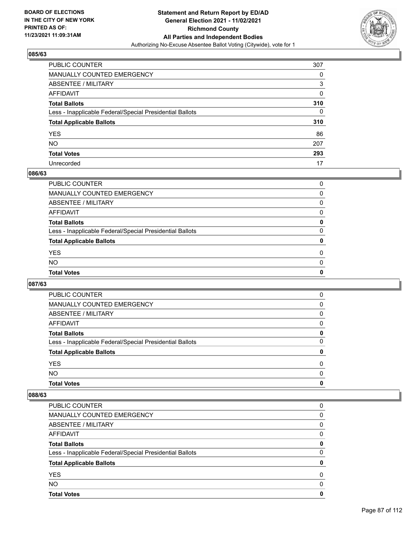

| PUBLIC COUNTER                                           | 307 |
|----------------------------------------------------------|-----|
| MANUALLY COUNTED EMERGENCY                               | 0   |
| <b>ABSENTEE / MILITARY</b>                               | 3   |
| AFFIDAVIT                                                | 0   |
| <b>Total Ballots</b>                                     | 310 |
| Less - Inapplicable Federal/Special Presidential Ballots | 0   |
| <b>Total Applicable Ballots</b>                          | 310 |
| YES                                                      | 86  |
| NO.                                                      | 207 |
| <b>Total Votes</b>                                       | 293 |
| Unrecorded                                               | 17  |

### **086/63**

| <b>Total Votes</b>                                       | 0        |
|----------------------------------------------------------|----------|
| <b>NO</b>                                                | $\Omega$ |
| <b>YES</b>                                               | $\Omega$ |
| <b>Total Applicable Ballots</b>                          | 0        |
| Less - Inapplicable Federal/Special Presidential Ballots | $\Omega$ |
| <b>Total Ballots</b>                                     | 0        |
| AFFIDAVIT                                                | 0        |
| ABSENTEE / MILITARY                                      | $\Omega$ |
| MANUALLY COUNTED EMERGENCY                               | 0        |
| <b>PUBLIC COUNTER</b>                                    | 0        |

## **087/63**

| <b>PUBLIC COUNTER</b>                                    | 0        |
|----------------------------------------------------------|----------|
| <b>MANUALLY COUNTED EMERGENCY</b>                        | 0        |
| ABSENTEE / MILITARY                                      | 0        |
| AFFIDAVIT                                                | 0        |
| <b>Total Ballots</b>                                     | 0        |
| Less - Inapplicable Federal/Special Presidential Ballots | $\Omega$ |
| <b>Total Applicable Ballots</b>                          | 0        |
| <b>YES</b>                                               | 0        |
| <b>NO</b>                                                | $\Omega$ |
| <b>Total Votes</b>                                       | 0        |

| <b>Total Votes</b>                                       | 0 |
|----------------------------------------------------------|---|
| <b>NO</b>                                                | 0 |
| <b>YES</b>                                               | 0 |
| <b>Total Applicable Ballots</b>                          | 0 |
| Less - Inapplicable Federal/Special Presidential Ballots | 0 |
| <b>Total Ballots</b>                                     | 0 |
| AFFIDAVIT                                                | 0 |
| ABSENTEE / MILITARY                                      | 0 |
| MANUALLY COUNTED EMERGENCY                               | 0 |
| PUBLIC COUNTER                                           | 0 |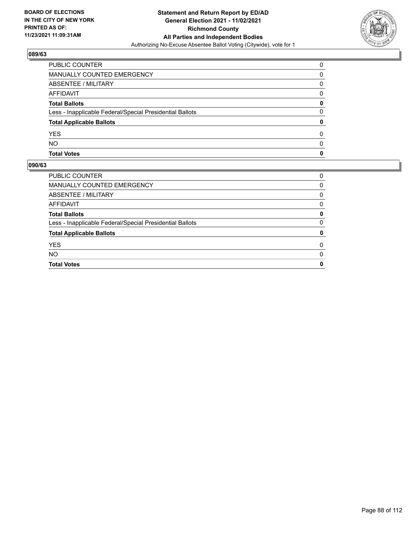

| <b>YES</b><br><b>NO</b>                                  | 0<br><sup>0</sup> |
|----------------------------------------------------------|-------------------|
| <b>Total Applicable Ballots</b>                          | 0                 |
| Less - Inapplicable Federal/Special Presidential Ballots | 0                 |
| <b>Total Ballots</b>                                     | 0                 |
| AFFIDAVIT                                                | <sup>0</sup>      |
| ABSENTEE / MILITARY                                      | 0                 |
| MANUALLY COUNTED EMERGENCY                               | 0                 |
| PUBLIC COUNTER                                           | $\Omega$          |

| <b>PUBLIC COUNTER</b>                                    | 0 |
|----------------------------------------------------------|---|
| MANUALLY COUNTED EMERGENCY                               | 0 |
| ABSENTEE / MILITARY                                      | 0 |
| AFFIDAVIT                                                | 0 |
| <b>Total Ballots</b>                                     | 0 |
| Less - Inapplicable Federal/Special Presidential Ballots | 0 |
| <b>Total Applicable Ballots</b>                          | 0 |
| <b>YES</b>                                               | 0 |
| <b>NO</b>                                                | 0 |
| <b>Total Votes</b>                                       | 0 |
|                                                          |   |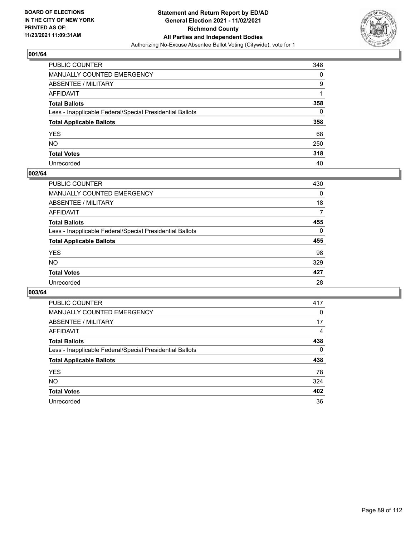

| PUBLIC COUNTER                                           | 348 |
|----------------------------------------------------------|-----|
| MANUALLY COUNTED EMERGENCY                               | 0   |
| ABSENTEE / MILITARY                                      | 9   |
| AFFIDAVIT                                                |     |
| Total Ballots                                            | 358 |
| Less - Inapplicable Federal/Special Presidential Ballots | 0   |
| <b>Total Applicable Ballots</b>                          | 358 |
| YES                                                      | 68  |
| NO.                                                      | 250 |
| <b>Total Votes</b>                                       | 318 |
| Unrecorded                                               | 40  |

#### **002/64**

| PUBLIC COUNTER                                           | 430      |
|----------------------------------------------------------|----------|
| <b>MANUALLY COUNTED EMERGENCY</b>                        | 0        |
| <b>ABSENTEE / MILITARY</b>                               | 18       |
| AFFIDAVIT                                                | 7        |
| <b>Total Ballots</b>                                     | 455      |
| Less - Inapplicable Federal/Special Presidential Ballots | $\Omega$ |
| <b>Total Applicable Ballots</b>                          | 455      |
| <b>YES</b>                                               | 98       |
| NO                                                       | 329      |
| <b>Total Votes</b>                                       | 427      |
| Unrecorded                                               | 28       |

| PUBLIC COUNTER                                           | 417 |
|----------------------------------------------------------|-----|
| MANUALLY COUNTED EMERGENCY                               | 0   |
| ABSENTEE / MILITARY                                      | 17  |
| AFFIDAVIT                                                | 4   |
| <b>Total Ballots</b>                                     | 438 |
| Less - Inapplicable Federal/Special Presidential Ballots | 0   |
| <b>Total Applicable Ballots</b>                          | 438 |
| <b>YES</b>                                               | 78  |
| NO.                                                      | 324 |
| <b>Total Votes</b>                                       | 402 |
| Unrecorded                                               | 36  |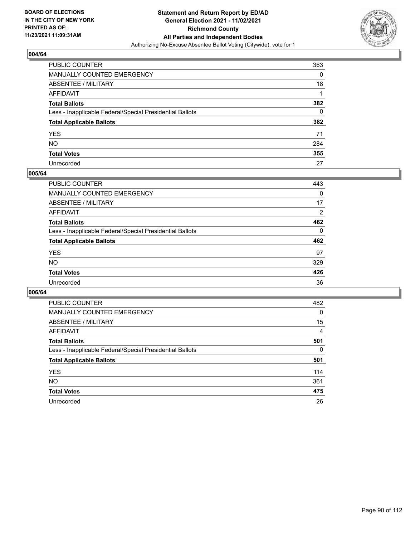

| PUBLIC COUNTER                                           | 363 |
|----------------------------------------------------------|-----|
| MANUALLY COUNTED EMERGENCY                               | 0   |
| ABSENTEE / MILITARY                                      | 18  |
| AFFIDAVIT                                                |     |
| Total Ballots                                            | 382 |
| Less - Inapplicable Federal/Special Presidential Ballots | 0   |
| <b>Total Applicable Ballots</b>                          | 382 |
| YES                                                      | 71  |
| NO.                                                      | 284 |
| <b>Total Votes</b>                                       | 355 |
| Unrecorded                                               | 27  |

#### **005/64**

| <b>PUBLIC COUNTER</b>                                    | 443            |
|----------------------------------------------------------|----------------|
| <b>MANUALLY COUNTED EMERGENCY</b>                        | $\Omega$       |
| ABSENTEE / MILITARY                                      | 17             |
| AFFIDAVIT                                                | $\overline{2}$ |
| <b>Total Ballots</b>                                     | 462            |
| Less - Inapplicable Federal/Special Presidential Ballots | $\Omega$       |
| <b>Total Applicable Ballots</b>                          | 462            |
| <b>YES</b>                                               | 97             |
| <b>NO</b>                                                | 329            |
| <b>Total Votes</b>                                       | 426            |
| Unrecorded                                               | 36             |

| PUBLIC COUNTER                                           | 482      |
|----------------------------------------------------------|----------|
| <b>MANUALLY COUNTED EMERGENCY</b>                        | $\Omega$ |
| ABSENTEE / MILITARY                                      | 15       |
| AFFIDAVIT                                                | 4        |
| <b>Total Ballots</b>                                     | 501      |
| Less - Inapplicable Federal/Special Presidential Ballots | 0        |
| <b>Total Applicable Ballots</b>                          | 501      |
| <b>YES</b>                                               | 114      |
| NO.                                                      | 361      |
| <b>Total Votes</b>                                       | 475      |
| Unrecorded                                               | 26       |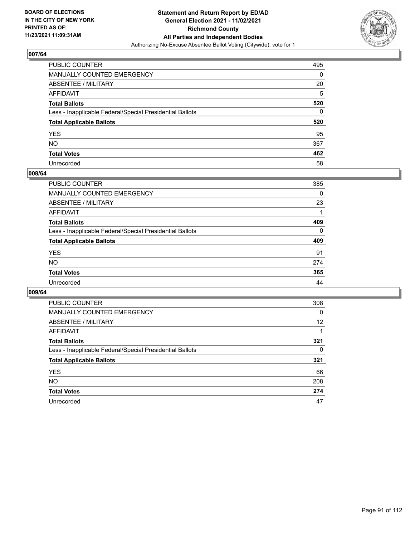

| PUBLIC COUNTER                                           | 495 |
|----------------------------------------------------------|-----|
| MANUALLY COUNTED EMERGENCY                               | 0   |
| ABSENTEE / MILITARY                                      | 20  |
| AFFIDAVIT                                                | 5   |
| Total Ballots                                            | 520 |
| Less - Inapplicable Federal/Special Presidential Ballots | 0   |
| <b>Total Applicable Ballots</b>                          | 520 |
| YES                                                      | 95  |
| NO.                                                      | 367 |
| <b>Total Votes</b>                                       | 462 |
| Unrecorded                                               | 58  |

#### **008/64**

| <b>PUBLIC COUNTER</b>                                    | 385      |
|----------------------------------------------------------|----------|
| MANUALLY COUNTED EMERGENCY                               | 0        |
| ABSENTEE / MILITARY                                      | 23       |
| AFFIDAVIT                                                |          |
| <b>Total Ballots</b>                                     | 409      |
| Less - Inapplicable Federal/Special Presidential Ballots | $\Omega$ |
| <b>Total Applicable Ballots</b>                          | 409      |
| <b>YES</b>                                               | 91       |
| <b>NO</b>                                                | 274      |
| <b>Total Votes</b>                                       | 365      |
| Unrecorded                                               | 44       |

| PUBLIC COUNTER                                           | 308      |
|----------------------------------------------------------|----------|
| <b>MANUALLY COUNTED EMERGENCY</b>                        | $\Omega$ |
| ABSENTEE / MILITARY                                      | 12       |
| AFFIDAVIT                                                |          |
| <b>Total Ballots</b>                                     | 321      |
| Less - Inapplicable Federal/Special Presidential Ballots | 0        |
| <b>Total Applicable Ballots</b>                          | 321      |
| <b>YES</b>                                               | 66       |
| <b>NO</b>                                                | 208      |
| <b>Total Votes</b>                                       | 274      |
| Unrecorded                                               | 47       |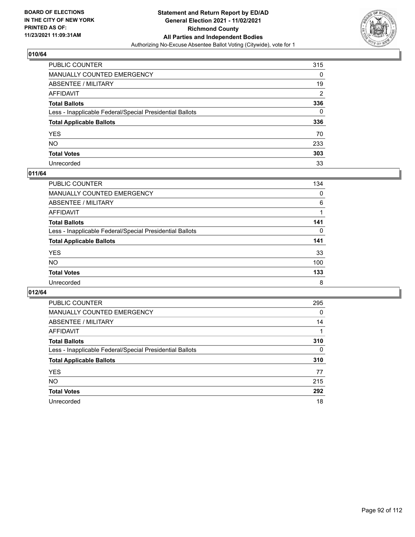

| PUBLIC COUNTER                                           | 315            |
|----------------------------------------------------------|----------------|
| MANUALLY COUNTED EMERGENCY                               | 0              |
| ABSENTEE / MILITARY                                      | 19             |
| AFFIDAVIT                                                | $\overline{2}$ |
| Total Ballots                                            | 336            |
| Less - Inapplicable Federal/Special Presidential Ballots | 0              |
| <b>Total Applicable Ballots</b>                          | 336            |
| YES                                                      | 70             |
| NO.                                                      | 233            |
| <b>Total Votes</b>                                       | 303            |
| Unrecorded                                               | 33             |

#### **011/64**

| PUBLIC COUNTER                                           | 134      |
|----------------------------------------------------------|----------|
| MANUALLY COUNTED EMERGENCY                               | 0        |
| ABSENTEE / MILITARY                                      | 6        |
| AFFIDAVIT                                                |          |
| <b>Total Ballots</b>                                     | 141      |
| Less - Inapplicable Federal/Special Presidential Ballots | $\Omega$ |
| <b>Total Applicable Ballots</b>                          | 141      |
| <b>YES</b>                                               | 33       |
| <b>NO</b>                                                | 100      |
| <b>Total Votes</b>                                       | 133      |
| Unrecorded                                               | 8        |

| PUBLIC COUNTER                                           | 295      |
|----------------------------------------------------------|----------|
| <b>MANUALLY COUNTED EMERGENCY</b>                        | 0        |
| ABSENTEE / MILITARY                                      | 14       |
| AFFIDAVIT                                                |          |
| <b>Total Ballots</b>                                     | 310      |
| Less - Inapplicable Federal/Special Presidential Ballots | $\Omega$ |
| <b>Total Applicable Ballots</b>                          | 310      |
| <b>YES</b>                                               | 77       |
| <b>NO</b>                                                | 215      |
| <b>Total Votes</b>                                       | 292      |
| Unrecorded                                               | 18       |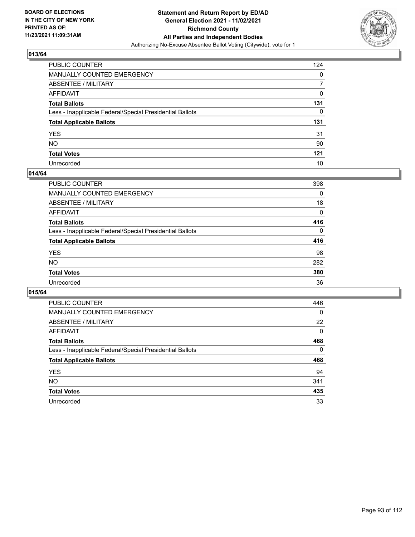

| PUBLIC COUNTER                                           | 124 |
|----------------------------------------------------------|-----|
| MANUALLY COUNTED EMERGENCY                               | 0   |
| ABSENTEE / MILITARY                                      | 7   |
| AFFIDAVIT                                                | 0   |
| Total Ballots                                            | 131 |
| Less - Inapplicable Federal/Special Presidential Ballots | 0   |
| <b>Total Applicable Ballots</b>                          | 131 |
| YES                                                      | 31  |
| NO.                                                      | 90  |
| <b>Total Votes</b>                                       | 121 |
| Unrecorded                                               | 10  |

#### **014/64**

| PUBLIC COUNTER                                           | 398      |
|----------------------------------------------------------|----------|
| <b>MANUALLY COUNTED EMERGENCY</b>                        | 0        |
| <b>ABSENTEE / MILITARY</b>                               | 18       |
| AFFIDAVIT                                                | $\Omega$ |
| <b>Total Ballots</b>                                     | 416      |
| Less - Inapplicable Federal/Special Presidential Ballots | $\Omega$ |
| <b>Total Applicable Ballots</b>                          | 416      |
| <b>YES</b>                                               | 98       |
| <b>NO</b>                                                | 282      |
| <b>Total Votes</b>                                       | 380      |
| Unrecorded                                               | 36       |

| PUBLIC COUNTER                                           | 446      |
|----------------------------------------------------------|----------|
| <b>MANUALLY COUNTED EMERGENCY</b>                        | $\Omega$ |
| ABSENTEE / MILITARY                                      | 22       |
| AFFIDAVIT                                                | 0        |
| <b>Total Ballots</b>                                     | 468      |
| Less - Inapplicable Federal/Special Presidential Ballots | 0        |
| <b>Total Applicable Ballots</b>                          | 468      |
| <b>YES</b>                                               | 94       |
| NO.                                                      | 341      |
| <b>Total Votes</b>                                       | 435      |
| Unrecorded                                               | 33       |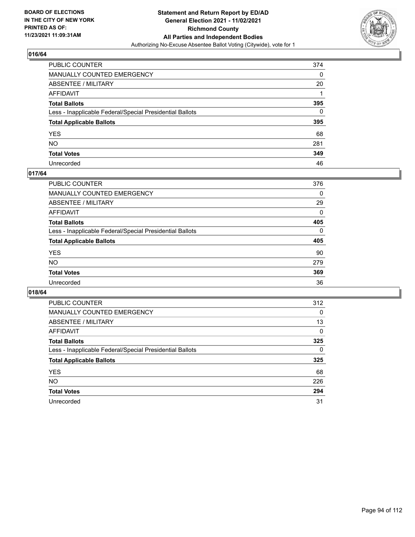

| PUBLIC COUNTER                                           | 374 |
|----------------------------------------------------------|-----|
| MANUALLY COUNTED EMERGENCY                               | 0   |
| ABSENTEE / MILITARY                                      | 20  |
| AFFIDAVIT                                                |     |
| Total Ballots                                            | 395 |
| Less - Inapplicable Federal/Special Presidential Ballots | 0   |
| <b>Total Applicable Ballots</b>                          | 395 |
| YES                                                      | 68  |
| NO.                                                      | 281 |
| <b>Total Votes</b>                                       | 349 |
| Unrecorded                                               | 46  |

### **017/64**

| <b>PUBLIC COUNTER</b>                                    | 376          |
|----------------------------------------------------------|--------------|
| <b>MANUALLY COUNTED EMERGENCY</b>                        | 0            |
| ABSENTEE / MILITARY                                      | 29           |
| AFFIDAVIT                                                | $\Omega$     |
| <b>Total Ballots</b>                                     | 405          |
| Less - Inapplicable Federal/Special Presidential Ballots | $\mathbf{0}$ |
| <b>Total Applicable Ballots</b>                          | 405          |
| <b>YES</b>                                               | 90           |
| NO                                                       | 279          |
| <b>Total Votes</b>                                       | 369          |
| Unrecorded                                               | 36           |

| PUBLIC COUNTER                                           | 312      |
|----------------------------------------------------------|----------|
| MANUALLY COUNTED EMERGENCY                               | 0        |
| ABSENTEE / MILITARY                                      | 13       |
| AFFIDAVIT                                                | $\Omega$ |
| <b>Total Ballots</b>                                     | 325      |
| Less - Inapplicable Federal/Special Presidential Ballots | $\Omega$ |
| <b>Total Applicable Ballots</b>                          | 325      |
| <b>YES</b>                                               | 68       |
| <b>NO</b>                                                | 226      |
| <b>Total Votes</b>                                       | 294      |
| Unrecorded                                               | 31       |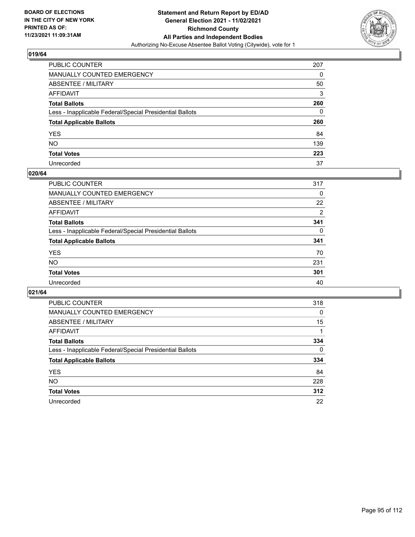

| PUBLIC COUNTER                                           | 207          |
|----------------------------------------------------------|--------------|
| MANUALLY COUNTED EMERGENCY                               | 0            |
| ABSENTEE / MILITARY                                      | 50           |
| AFFIDAVIT                                                | 3            |
| Total Ballots                                            | 260          |
| Less - Inapplicable Federal/Special Presidential Ballots | $\mathbf{0}$ |
| <b>Total Applicable Ballots</b>                          | 260          |
| YES                                                      | 84           |
| NO.                                                      | 139          |
| <b>Total Votes</b>                                       | 223          |
| Unrecorded                                               | 37           |

#### **020/64**

| <b>PUBLIC COUNTER</b>                                    | 317      |
|----------------------------------------------------------|----------|
| MANUALLY COUNTED EMERGENCY                               | 0        |
| ABSENTEE / MILITARY                                      | 22       |
| AFFIDAVIT                                                | 2        |
| <b>Total Ballots</b>                                     | 341      |
| Less - Inapplicable Federal/Special Presidential Ballots | $\Omega$ |
| <b>Total Applicable Ballots</b>                          | 341      |
| <b>YES</b>                                               | 70       |
| <b>NO</b>                                                | 231      |
| <b>Total Votes</b>                                       | 301      |
| Unrecorded                                               | 40       |

| PUBLIC COUNTER                                           | 318      |
|----------------------------------------------------------|----------|
| <b>MANUALLY COUNTED EMERGENCY</b>                        | 0        |
| ABSENTEE / MILITARY                                      | 15       |
| AFFIDAVIT                                                |          |
| <b>Total Ballots</b>                                     | 334      |
| Less - Inapplicable Federal/Special Presidential Ballots | $\Omega$ |
| <b>Total Applicable Ballots</b>                          | 334      |
| <b>YES</b>                                               | 84       |
| NO.                                                      | 228      |
| <b>Total Votes</b>                                       | 312      |
| Unrecorded                                               | 22       |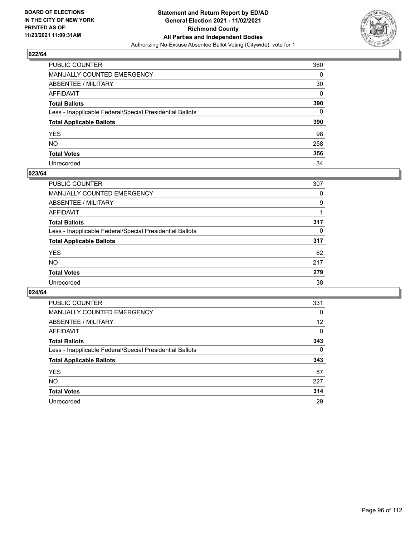

| PUBLIC COUNTER                                           | 360      |
|----------------------------------------------------------|----------|
| MANUALLY COUNTED EMERGENCY                               | 0        |
| ABSENTEE / MILITARY                                      | 30       |
| AFFIDAVIT                                                | $\Omega$ |
| Total Ballots                                            | 390      |
| Less - Inapplicable Federal/Special Presidential Ballots | $\Omega$ |
| <b>Total Applicable Ballots</b>                          | 390      |
| YES                                                      | 98       |
| NO.                                                      | 258      |
| <b>Total Votes</b>                                       | 356      |
| Unrecorded                                               | 34       |

#### **023/64**

| <b>PUBLIC COUNTER</b>                                    | 307      |
|----------------------------------------------------------|----------|
| MANUALLY COUNTED EMERGENCY                               | 0        |
| ABSENTEE / MILITARY                                      | 9        |
| AFFIDAVIT                                                |          |
| <b>Total Ballots</b>                                     | 317      |
| Less - Inapplicable Federal/Special Presidential Ballots | $\Omega$ |
| <b>Total Applicable Ballots</b>                          | 317      |
| <b>YES</b>                                               | 62       |
| <b>NO</b>                                                | 217      |
| <b>Total Votes</b>                                       | 279      |
| Unrecorded                                               | 38       |

| PUBLIC COUNTER                                           | 331      |
|----------------------------------------------------------|----------|
| MANUALLY COUNTED EMERGENCY                               | 0        |
| ABSENTEE / MILITARY                                      | 12       |
| AFFIDAVIT                                                | $\Omega$ |
| <b>Total Ballots</b>                                     | 343      |
| Less - Inapplicable Federal/Special Presidential Ballots | $\Omega$ |
| <b>Total Applicable Ballots</b>                          | 343      |
| <b>YES</b>                                               | 87       |
| NO.                                                      | 227      |
| <b>Total Votes</b>                                       | 314      |
| Unrecorded                                               | 29       |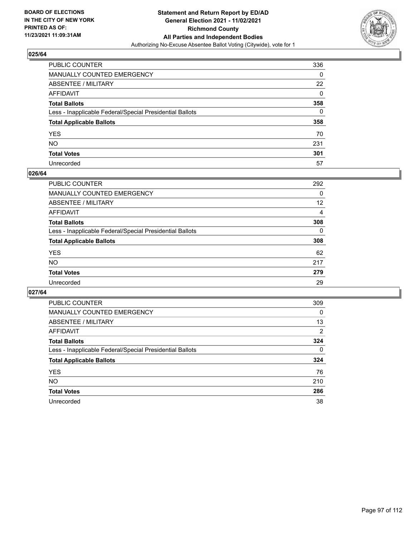

| PUBLIC COUNTER                                           | 336 |
|----------------------------------------------------------|-----|
| MANUALLY COUNTED EMERGENCY                               | 0   |
| ABSENTEE / MILITARY                                      | 22  |
| AFFIDAVIT                                                | 0   |
| Total Ballots                                            | 358 |
| Less - Inapplicable Federal/Special Presidential Ballots | 0   |
| <b>Total Applicable Ballots</b>                          | 358 |
| YES                                                      | 70  |
| NO.                                                      | 231 |
| <b>Total Votes</b>                                       | 301 |
| Unrecorded                                               | 57  |

#### **026/64**

| <b>PUBLIC COUNTER</b>                                    | 292      |
|----------------------------------------------------------|----------|
| <b>MANUALLY COUNTED EMERGENCY</b>                        | $\Omega$ |
| <b>ABSENTEE / MILITARY</b>                               | 12       |
| AFFIDAVIT                                                | 4        |
| <b>Total Ballots</b>                                     | 308      |
| Less - Inapplicable Federal/Special Presidential Ballots | $\Omega$ |
| <b>Total Applicable Ballots</b>                          | 308      |
| <b>YES</b>                                               | 62       |
| NO                                                       | 217      |
| <b>Total Votes</b>                                       | 279      |
| Unrecorded                                               | 29       |

| PUBLIC COUNTER                                           | 309      |
|----------------------------------------------------------|----------|
| MANUALLY COUNTED EMERGENCY                               | $\Omega$ |
| ABSENTEE / MILITARY                                      | 13       |
| AFFIDAVIT                                                | 2        |
| <b>Total Ballots</b>                                     | 324      |
| Less - Inapplicable Federal/Special Presidential Ballots | $\Omega$ |
| <b>Total Applicable Ballots</b>                          | 324      |
| <b>YES</b>                                               | 76       |
| NO.                                                      | 210      |
| <b>Total Votes</b>                                       | 286      |
| Unrecorded                                               | 38       |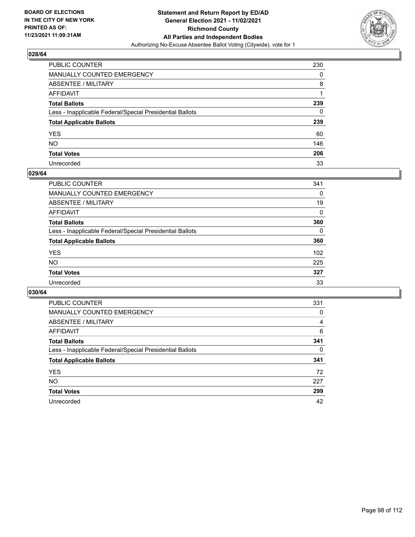

| PUBLIC COUNTER                                           | 230 |
|----------------------------------------------------------|-----|
| MANUALLY COUNTED EMERGENCY                               | 0   |
| <b>ABSENTEE / MILITARY</b>                               | 8   |
| AFFIDAVIT                                                |     |
| <b>Total Ballots</b>                                     | 239 |
| Less - Inapplicable Federal/Special Presidential Ballots | 0   |
| <b>Total Applicable Ballots</b>                          | 239 |
| YES                                                      | 60  |
| NO.                                                      | 146 |
| <b>Total Votes</b>                                       | 206 |
| Unrecorded                                               | 33  |

### **029/64**

| <b>PUBLIC COUNTER</b>                                    | 341      |
|----------------------------------------------------------|----------|
| <b>MANUALLY COUNTED EMERGENCY</b>                        | 0        |
| ABSENTEE / MILITARY                                      | 19       |
| AFFIDAVIT                                                | $\Omega$ |
| <b>Total Ballots</b>                                     | 360      |
| Less - Inapplicable Federal/Special Presidential Ballots | $\Omega$ |
| <b>Total Applicable Ballots</b>                          | 360      |
| <b>YES</b>                                               | 102      |
| <b>NO</b>                                                | 225      |
| <b>Total Votes</b>                                       | 327      |
| Unrecorded                                               | 33       |

| PUBLIC COUNTER                                           | 331      |
|----------------------------------------------------------|----------|
| MANUALLY COUNTED EMERGENCY                               | 0        |
| ABSENTEE / MILITARY                                      | 4        |
| AFFIDAVIT                                                | 6        |
| <b>Total Ballots</b>                                     | 341      |
| Less - Inapplicable Federal/Special Presidential Ballots | $\Omega$ |
| <b>Total Applicable Ballots</b>                          | 341      |
| <b>YES</b>                                               | 72       |
| <b>NO</b>                                                | 227      |
| <b>Total Votes</b>                                       | 299      |
| Unrecorded                                               | 42       |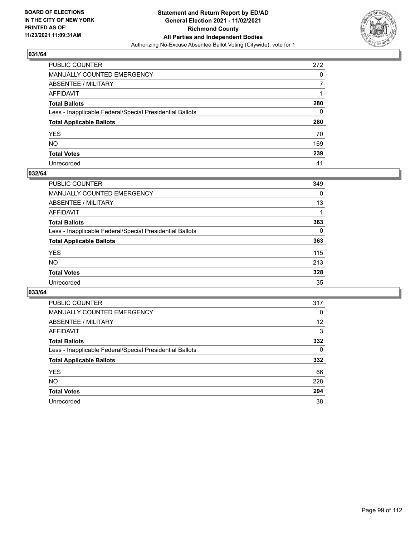

| PUBLIC COUNTER                                           | 272          |
|----------------------------------------------------------|--------------|
| MANUALLY COUNTED EMERGENCY                               | 0            |
| ABSENTEE / MILITARY                                      | 7            |
| AFFIDAVIT                                                |              |
| Total Ballots                                            | 280          |
| Less - Inapplicable Federal/Special Presidential Ballots | $\mathbf{0}$ |
| <b>Total Applicable Ballots</b>                          | 280          |
| YES                                                      | 70           |
| NO.                                                      | 169          |
| <b>Total Votes</b>                                       | 239          |
| Unrecorded                                               | 41           |

#### **032/64**

| <b>PUBLIC COUNTER</b>                                    | 349      |
|----------------------------------------------------------|----------|
| MANUALLY COUNTED EMERGENCY                               | 0        |
| ABSENTEE / MILITARY                                      | 13       |
| AFFIDAVIT                                                |          |
| <b>Total Ballots</b>                                     | 363      |
| Less - Inapplicable Federal/Special Presidential Ballots | $\Omega$ |
| <b>Total Applicable Ballots</b>                          | 363      |
| <b>YES</b>                                               | 115      |
| <b>NO</b>                                                | 213      |
| <b>Total Votes</b>                                       | 328      |
| Unrecorded                                               | 35       |

| PUBLIC COUNTER                                           | 317      |
|----------------------------------------------------------|----------|
| MANUALLY COUNTED EMERGENCY                               | 0        |
| ABSENTEE / MILITARY                                      | 12       |
| AFFIDAVIT                                                | 3        |
| <b>Total Ballots</b>                                     | 332      |
| Less - Inapplicable Federal/Special Presidential Ballots | $\Omega$ |
| <b>Total Applicable Ballots</b>                          | 332      |
| <b>YES</b>                                               | 66       |
| <b>NO</b>                                                | 228      |
| <b>Total Votes</b>                                       | 294      |
| Unrecorded                                               | 38       |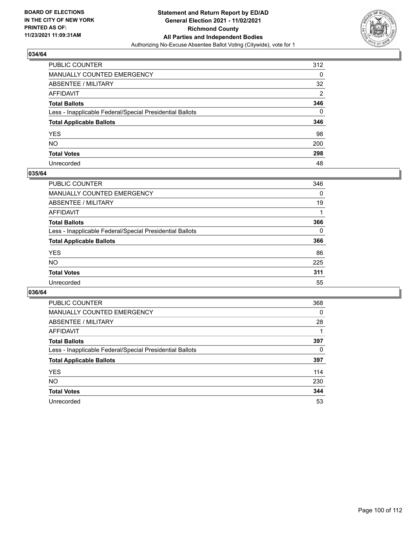

| PUBLIC COUNTER                                           | 312            |
|----------------------------------------------------------|----------------|
| MANUALLY COUNTED EMERGENCY                               | 0              |
| ABSENTEE / MILITARY                                      | 32             |
| AFFIDAVIT                                                | $\overline{2}$ |
| Total Ballots                                            | 346            |
| Less - Inapplicable Federal/Special Presidential Ballots | $\mathbf{0}$   |
| <b>Total Applicable Ballots</b>                          | 346            |
| YES                                                      | 98             |
| NO.                                                      | 200            |
| <b>Total Votes</b>                                       | 298            |
| Unrecorded                                               | 48             |

#### **035/64**

| <b>PUBLIC COUNTER</b>                                    | 346      |
|----------------------------------------------------------|----------|
| <b>MANUALLY COUNTED EMERGENCY</b>                        | 0        |
| <b>ABSENTEE / MILITARY</b>                               | 19       |
| AFFIDAVIT                                                |          |
| <b>Total Ballots</b>                                     | 366      |
| Less - Inapplicable Federal/Special Presidential Ballots | $\Omega$ |
| <b>Total Applicable Ballots</b>                          | 366      |
| <b>YES</b>                                               | 86       |
| NO                                                       | 225      |
| <b>Total Votes</b>                                       | 311      |
| Unrecorded                                               | 55       |

| PUBLIC COUNTER                                           | 368 |
|----------------------------------------------------------|-----|
| MANUALLY COUNTED EMERGENCY                               | 0   |
| ABSENTEE / MILITARY                                      | 28  |
| AFFIDAVIT                                                |     |
| <b>Total Ballots</b>                                     | 397 |
| Less - Inapplicable Federal/Special Presidential Ballots | 0   |
| <b>Total Applicable Ballots</b>                          | 397 |
| <b>YES</b>                                               | 114 |
| <b>NO</b>                                                | 230 |
| <b>Total Votes</b>                                       | 344 |
| Unrecorded                                               | 53  |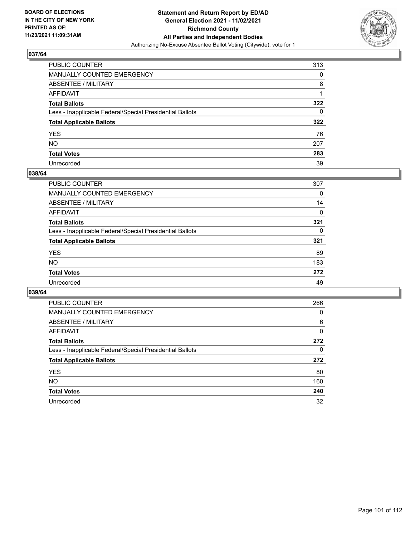

| PUBLIC COUNTER                                           | 313 |
|----------------------------------------------------------|-----|
| <b>MANUALLY COUNTED EMERGENCY</b>                        | 0   |
| <b>ABSENTEE / MILITARY</b>                               | 8   |
| AFFIDAVIT                                                |     |
| <b>Total Ballots</b>                                     | 322 |
| Less - Inapplicable Federal/Special Presidential Ballots | 0   |
| <b>Total Applicable Ballots</b>                          | 322 |
| YES.                                                     | 76  |
| NO.                                                      | 207 |
| <b>Total Votes</b>                                       | 283 |
| Unrecorded                                               | 39  |

#### **038/64**

| <b>PUBLIC COUNTER</b>                                    | 307      |
|----------------------------------------------------------|----------|
| <b>MANUALLY COUNTED EMERGENCY</b>                        | 0        |
| ABSENTEE / MILITARY                                      | 14       |
| AFFIDAVIT                                                | 0        |
| <b>Total Ballots</b>                                     | 321      |
| Less - Inapplicable Federal/Special Presidential Ballots | $\Omega$ |
| <b>Total Applicable Ballots</b>                          | 321      |
| <b>YES</b>                                               | 89       |
| <b>NO</b>                                                | 183      |
| <b>Total Votes</b>                                       | 272      |
| Unrecorded                                               | 49       |

| PUBLIC COUNTER                                           | 266 |
|----------------------------------------------------------|-----|
| MANUALLY COUNTED EMERGENCY                               | 0   |
| ABSENTEE / MILITARY                                      | 6   |
| AFFIDAVIT                                                | 0   |
| <b>Total Ballots</b>                                     | 272 |
| Less - Inapplicable Federal/Special Presidential Ballots | 0   |
| <b>Total Applicable Ballots</b>                          | 272 |
| <b>YES</b>                                               | 80  |
| NO.                                                      | 160 |
| <b>Total Votes</b>                                       | 240 |
| Unrecorded                                               | 32  |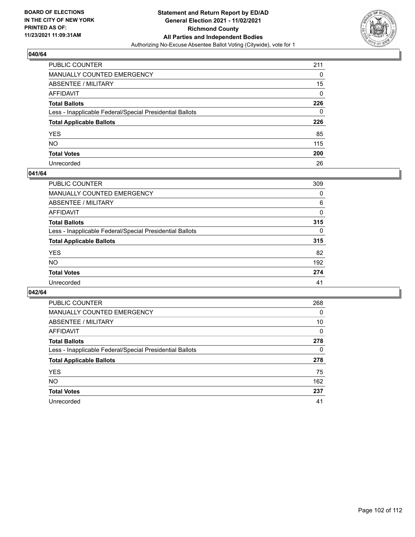

| PUBLIC COUNTER                                           | 211 |
|----------------------------------------------------------|-----|
| MANUALLY COUNTED EMERGENCY                               | 0   |
| <b>ABSENTEE / MILITARY</b>                               | 15  |
| AFFIDAVIT                                                | 0   |
| <b>Total Ballots</b>                                     | 226 |
| Less - Inapplicable Federal/Special Presidential Ballots | 0   |
| <b>Total Applicable Ballots</b>                          | 226 |
| YES                                                      | 85  |
| NO.                                                      | 115 |
| <b>Total Votes</b>                                       | 200 |
| Unrecorded                                               | 26  |

#### **041/64**

| PUBLIC COUNTER                                           | 309      |
|----------------------------------------------------------|----------|
| <b>MANUALLY COUNTED EMERGENCY</b>                        | 0        |
| ABSENTEE / MILITARY                                      | 6        |
| AFFIDAVIT                                                | $\Omega$ |
| <b>Total Ballots</b>                                     | 315      |
| Less - Inapplicable Federal/Special Presidential Ballots | $\Omega$ |
| <b>Total Applicable Ballots</b>                          | 315      |
| <b>YES</b>                                               | 82       |
| <b>NO</b>                                                | 192      |
| <b>Total Votes</b>                                       | 274      |
| Unrecorded                                               | 41       |

| PUBLIC COUNTER                                           | 268      |
|----------------------------------------------------------|----------|
| MANUALLY COUNTED EMERGENCY                               | 0        |
| ABSENTEE / MILITARY                                      | 10       |
| AFFIDAVIT                                                | $\Omega$ |
| <b>Total Ballots</b>                                     | 278      |
| Less - Inapplicable Federal/Special Presidential Ballots | 0        |
| <b>Total Applicable Ballots</b>                          | 278      |
| <b>YES</b>                                               | 75       |
| <b>NO</b>                                                | 162      |
| <b>Total Votes</b>                                       | 237      |
| Unrecorded                                               | 41       |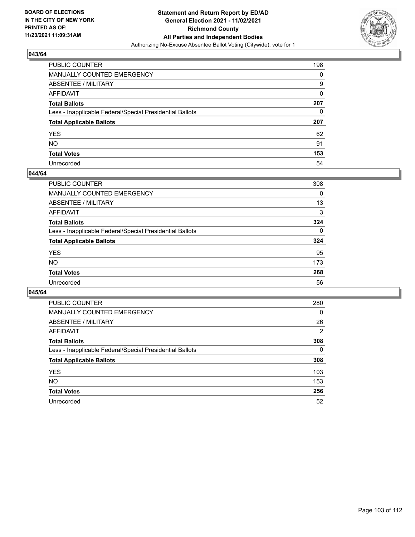

| PUBLIC COUNTER                                           | 198          |
|----------------------------------------------------------|--------------|
| MANUALLY COUNTED EMERGENCY                               | 0            |
| ABSENTEE / MILITARY                                      | 9            |
| <b>AFFIDAVIT</b>                                         | $\mathbf{0}$ |
| <b>Total Ballots</b>                                     | 207          |
| Less - Inapplicable Federal/Special Presidential Ballots | 0            |
| <b>Total Applicable Ballots</b>                          | 207          |
| YES.                                                     | 62           |
| <b>NO</b>                                                | 91           |
| <b>Total Votes</b>                                       | 153          |
| Unrecorded                                               | 54           |

#### **044/64**

| <b>PUBLIC COUNTER</b>                                    | 308      |
|----------------------------------------------------------|----------|
| MANUALLY COUNTED EMERGENCY                               | 0        |
| ABSENTEE / MILITARY                                      | 13       |
| AFFIDAVIT                                                | 3        |
| <b>Total Ballots</b>                                     | 324      |
| Less - Inapplicable Federal/Special Presidential Ballots | $\Omega$ |
| <b>Total Applicable Ballots</b>                          | 324      |
| <b>YES</b>                                               | 95       |
| <b>NO</b>                                                | 173      |
| <b>Total Votes</b>                                       | 268      |
| Unrecorded                                               | 56       |

| PUBLIC COUNTER                                           | 280      |
|----------------------------------------------------------|----------|
| MANUALLY COUNTED EMERGENCY                               | $\Omega$ |
| ABSENTEE / MILITARY                                      | 26       |
| AFFIDAVIT                                                | 2        |
| <b>Total Ballots</b>                                     | 308      |
| Less - Inapplicable Federal/Special Presidential Ballots | $\Omega$ |
| <b>Total Applicable Ballots</b>                          | 308      |
| <b>YES</b>                                               | 103      |
| NO.                                                      | 153      |
| <b>Total Votes</b>                                       | 256      |
| Unrecorded                                               | 52       |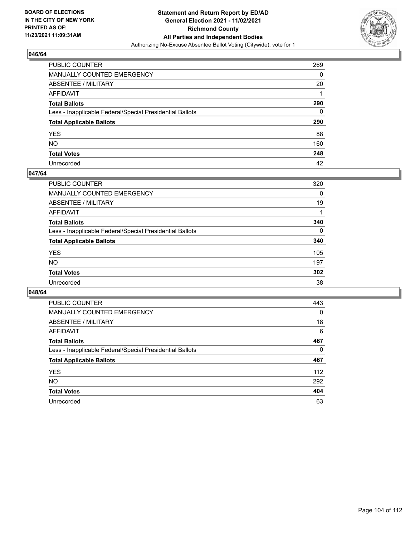

| PUBLIC COUNTER                                           | 269 |
|----------------------------------------------------------|-----|
| MANUALLY COUNTED EMERGENCY                               | 0   |
| <b>ABSENTEE / MILITARY</b>                               | 20  |
| AFFIDAVIT                                                |     |
| <b>Total Ballots</b>                                     | 290 |
| Less - Inapplicable Federal/Special Presidential Ballots | 0   |
| <b>Total Applicable Ballots</b>                          | 290 |
| YES.                                                     | 88  |
| NO.                                                      | 160 |
| <b>Total Votes</b>                                       | 248 |
| Unrecorded                                               | 42  |

### **047/64**

| <b>PUBLIC COUNTER</b>                                    | 320      |
|----------------------------------------------------------|----------|
| <b>MANUALLY COUNTED EMERGENCY</b>                        | 0        |
| ABSENTEE / MILITARY                                      | 19       |
| AFFIDAVIT                                                |          |
| <b>Total Ballots</b>                                     | 340      |
| Less - Inapplicable Federal/Special Presidential Ballots | $\Omega$ |
| <b>Total Applicable Ballots</b>                          | 340      |
| <b>YES</b>                                               | 105      |
| <b>NO</b>                                                | 197      |
| <b>Total Votes</b>                                       | 302      |
| Unrecorded                                               | 38       |

| PUBLIC COUNTER                                           | 443      |
|----------------------------------------------------------|----------|
| MANUALLY COUNTED EMERGENCY                               | 0        |
| ABSENTEE / MILITARY                                      | 18       |
| AFFIDAVIT                                                | 6        |
| <b>Total Ballots</b>                                     | 467      |
| Less - Inapplicable Federal/Special Presidential Ballots | $\Omega$ |
| <b>Total Applicable Ballots</b>                          | 467      |
| <b>YES</b>                                               | 112      |
| <b>NO</b>                                                | 292      |
| <b>Total Votes</b>                                       | 404      |
| Unrecorded                                               | 63       |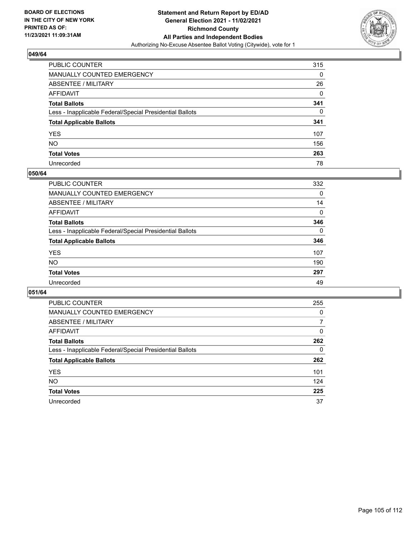

| PUBLIC COUNTER                                           | 315      |
|----------------------------------------------------------|----------|
| MANUALLY COUNTED EMERGENCY                               | 0        |
| <b>ABSENTEE / MILITARY</b>                               | 26       |
| AFFIDAVIT                                                | 0        |
| <b>Total Ballots</b>                                     | 341      |
| Less - Inapplicable Federal/Special Presidential Ballots | $\Omega$ |
| <b>Total Applicable Ballots</b>                          | 341      |
| YES                                                      | 107      |
| NO.                                                      | 156      |
| <b>Total Votes</b>                                       | 263      |
| Unrecorded                                               | 78       |

#### **050/64**

| <b>PUBLIC COUNTER</b>                                    | 332      |
|----------------------------------------------------------|----------|
| <b>MANUALLY COUNTED EMERGENCY</b>                        | 0        |
| ABSENTEE / MILITARY                                      | 14       |
| AFFIDAVIT                                                | 0        |
| <b>Total Ballots</b>                                     | 346      |
| Less - Inapplicable Federal/Special Presidential Ballots | $\Omega$ |
| <b>Total Applicable Ballots</b>                          | 346      |
| <b>YES</b>                                               | 107      |
| <b>NO</b>                                                | 190      |
| <b>Total Votes</b>                                       | 297      |
| Unrecorded                                               | 49       |

| PUBLIC COUNTER                                           | 255      |
|----------------------------------------------------------|----------|
| MANUALLY COUNTED EMERGENCY                               | 0        |
| ABSENTEE / MILITARY                                      | 7        |
| AFFIDAVIT                                                | $\Omega$ |
| <b>Total Ballots</b>                                     | 262      |
| Less - Inapplicable Federal/Special Presidential Ballots | 0        |
| <b>Total Applicable Ballots</b>                          | 262      |
| <b>YES</b>                                               | 101      |
| <b>NO</b>                                                | 124      |
| <b>Total Votes</b>                                       | 225      |
| Unrecorded                                               | 37       |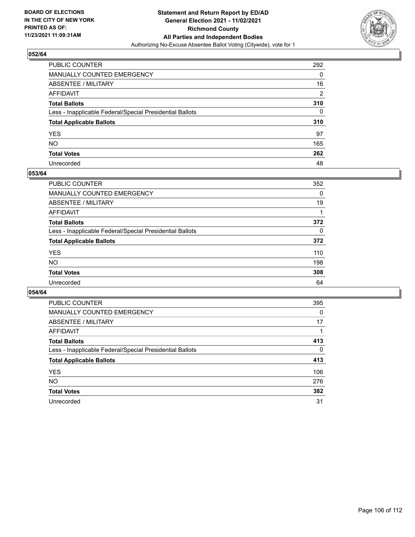

| PUBLIC COUNTER                                           | 292            |
|----------------------------------------------------------|----------------|
| MANUALLY COUNTED EMERGENCY                               | 0              |
| ABSENTEE / MILITARY                                      | 16             |
| AFFIDAVIT                                                | $\overline{2}$ |
| Total Ballots                                            | 310            |
| Less - Inapplicable Federal/Special Presidential Ballots | $\mathbf{0}$   |
| <b>Total Applicable Ballots</b>                          | 310            |
| YES                                                      | 97             |
| NO.                                                      | 165            |
| <b>Total Votes</b>                                       | 262            |
| Unrecorded                                               | 48             |

#### **053/64**

| PUBLIC COUNTER                                           | 352      |
|----------------------------------------------------------|----------|
| <b>MANUALLY COUNTED EMERGENCY</b>                        | $\Omega$ |
| ABSENTEE / MILITARY                                      | 19       |
| AFFIDAVIT                                                |          |
| <b>Total Ballots</b>                                     | 372      |
| Less - Inapplicable Federal/Special Presidential Ballots | $\Omega$ |
| <b>Total Applicable Ballots</b>                          | 372      |
| <b>YES</b>                                               | 110      |
| <b>NO</b>                                                | 198      |
| <b>Total Votes</b>                                       | 308      |
| Unrecorded                                               | 64       |

| PUBLIC COUNTER                                           | 395      |
|----------------------------------------------------------|----------|
| MANUALLY COUNTED EMERGENCY                               | 0        |
| ABSENTEE / MILITARY                                      | 17       |
| AFFIDAVIT                                                |          |
| <b>Total Ballots</b>                                     | 413      |
| Less - Inapplicable Federal/Special Presidential Ballots | $\Omega$ |
| <b>Total Applicable Ballots</b>                          | 413      |
| <b>YES</b>                                               | 106      |
| <b>NO</b>                                                | 276      |
| <b>Total Votes</b>                                       | 382      |
| Unrecorded                                               | 31       |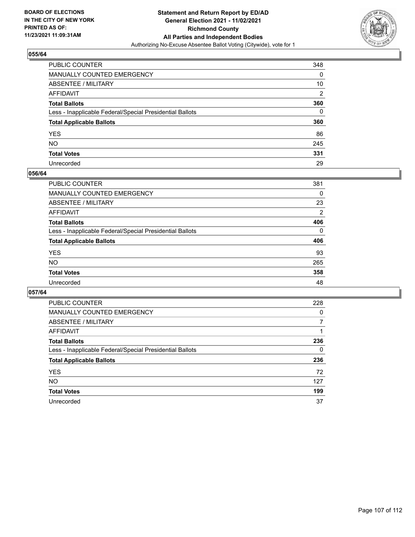

| PUBLIC COUNTER                                           | 348      |
|----------------------------------------------------------|----------|
| MANUALLY COUNTED EMERGENCY                               | 0        |
| <b>ABSENTEE / MILITARY</b>                               | 10       |
| AFFIDAVIT                                                | 2        |
| <b>Total Ballots</b>                                     | 360      |
| Less - Inapplicable Federal/Special Presidential Ballots | $\Omega$ |
| <b>Total Applicable Ballots</b>                          | 360      |
| YES                                                      | 86       |
| NO.                                                      | 245      |
| <b>Total Votes</b>                                       | 331      |
| Unrecorded                                               | 29       |

#### **056/64**

| PUBLIC COUNTER                                           | 381      |
|----------------------------------------------------------|----------|
| <b>MANUALLY COUNTED EMERGENCY</b>                        | 0        |
| <b>ABSENTEE / MILITARY</b>                               | 23       |
| AFFIDAVIT                                                | 2        |
| <b>Total Ballots</b>                                     | 406      |
| Less - Inapplicable Federal/Special Presidential Ballots | $\Omega$ |
| <b>Total Applicable Ballots</b>                          | 406      |
| <b>YES</b>                                               | 93       |
| <b>NO</b>                                                | 265      |
| <b>Total Votes</b>                                       | 358      |
| Unrecorded                                               | 48       |

| PUBLIC COUNTER                                           | 228 |
|----------------------------------------------------------|-----|
| <b>MANUALLY COUNTED EMERGENCY</b>                        | 0   |
| ABSENTEE / MILITARY                                      |     |
| AFFIDAVIT                                                |     |
| <b>Total Ballots</b>                                     | 236 |
| Less - Inapplicable Federal/Special Presidential Ballots | 0   |
| <b>Total Applicable Ballots</b>                          | 236 |
| <b>YES</b>                                               | 72  |
| <b>NO</b>                                                | 127 |
| <b>Total Votes</b>                                       | 199 |
| Unrecorded                                               | 37  |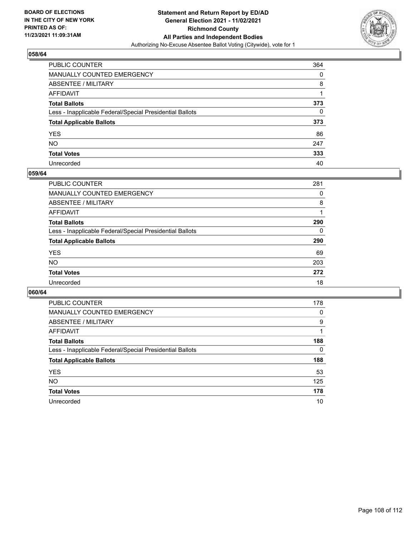

| PUBLIC COUNTER                                           | 364      |
|----------------------------------------------------------|----------|
| MANUALLY COUNTED EMERGENCY                               | 0        |
| <b>ABSENTEE / MILITARY</b>                               | 8        |
| AFFIDAVIT                                                |          |
| <b>Total Ballots</b>                                     | 373      |
| Less - Inapplicable Federal/Special Presidential Ballots | $\Omega$ |
| <b>Total Applicable Ballots</b>                          | 373      |
| YES                                                      | 86       |
| NO.                                                      | 247      |
| <b>Total Votes</b>                                       | 333      |
| Unrecorded                                               | 40       |

#### **059/64**

| PUBLIC COUNTER                                           | 281 |
|----------------------------------------------------------|-----|
| <b>MANUALLY COUNTED EMERGENCY</b>                        | 0   |
| ABSENTEE / MILITARY                                      | 8   |
| AFFIDAVIT                                                |     |
| <b>Total Ballots</b>                                     | 290 |
| Less - Inapplicable Federal/Special Presidential Ballots | 0   |
| <b>Total Applicable Ballots</b>                          | 290 |
| <b>YES</b>                                               | 69  |
| <b>NO</b>                                                | 203 |
| <b>Total Votes</b>                                       | 272 |
| Unrecorded                                               | 18  |

| PUBLIC COUNTER                                           | 178 |
|----------------------------------------------------------|-----|
| MANUALLY COUNTED EMERGENCY                               | 0   |
| ABSENTEE / MILITARY                                      | 9   |
| AFFIDAVIT                                                |     |
| <b>Total Ballots</b>                                     | 188 |
| Less - Inapplicable Federal/Special Presidential Ballots | 0   |
| <b>Total Applicable Ballots</b>                          | 188 |
| <b>YES</b>                                               | 53  |
| NO.                                                      | 125 |
| <b>Total Votes</b>                                       | 178 |
| Unrecorded                                               | 10  |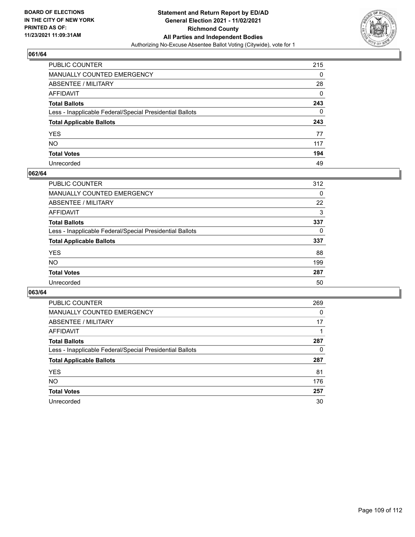

## **061/64**

| PUBLIC COUNTER                                           | 215      |
|----------------------------------------------------------|----------|
| MANUALLY COUNTED EMERGENCY                               | 0        |
| ABSENTEE / MILITARY                                      | 28       |
| AFFIDAVIT                                                | 0        |
| Total Ballots                                            | 243      |
| Less - Inapplicable Federal/Special Presidential Ballots | $\Omega$ |
| <b>Total Applicable Ballots</b>                          | 243      |
| YES                                                      | 77       |
| NO.                                                      | 117      |
| <b>Total Votes</b>                                       | 194      |
| Unrecorded                                               | 49       |

### **062/64**

| <b>PUBLIC COUNTER</b>                                    | 312      |
|----------------------------------------------------------|----------|
| <b>MANUALLY COUNTED EMERGENCY</b>                        | 0        |
| ABSENTEE / MILITARY                                      | 22       |
| AFFIDAVIT                                                | 3        |
| <b>Total Ballots</b>                                     | 337      |
| Less - Inapplicable Federal/Special Presidential Ballots | $\Omega$ |
| <b>Total Applicable Ballots</b>                          | 337      |
| <b>YES</b>                                               | 88       |
| <b>NO</b>                                                | 199      |
| <b>Total Votes</b>                                       | 287      |
| Unrecorded                                               | 50       |

### **063/64**

| <b>PUBLIC COUNTER</b>                                    | 269      |
|----------------------------------------------------------|----------|
| MANUALLY COUNTED EMERGENCY                               | $\Omega$ |
| ABSENTEE / MILITARY                                      | 17       |
| AFFIDAVIT                                                |          |
| <b>Total Ballots</b>                                     | 287      |
| Less - Inapplicable Federal/Special Presidential Ballots | 0        |
| <b>Total Applicable Ballots</b>                          | 287      |
| <b>YES</b>                                               | 81       |
| NO.                                                      | 176      |
| <b>Total Votes</b>                                       | 257      |
| Unrecorded                                               | 30       |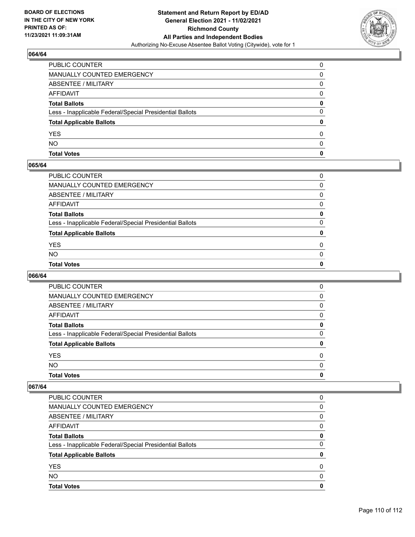

# **064/64**

| <b>Total Votes</b>                                       | 0            |
|----------------------------------------------------------|--------------|
| <b>NO</b>                                                | $\Omega$     |
| <b>YES</b>                                               | 0            |
| <b>Total Applicable Ballots</b>                          | 0            |
| Less - Inapplicable Federal/Special Presidential Ballots | 0            |
| <b>Total Ballots</b>                                     | $\mathbf{0}$ |
| <b>AFFIDAVIT</b>                                         | 0            |
| <b>ABSENTEE / MILITARY</b>                               | 0            |
| MANUALLY COUNTED EMERGENCY                               | 0            |
| PUBLIC COUNTER                                           | $\Omega$     |

### **065/64**

| PUBLIC COUNTER                                           | 0        |
|----------------------------------------------------------|----------|
| MANUALLY COUNTED EMERGENCY                               | 0        |
| ABSENTEE / MILITARY                                      | $\Omega$ |
| AFFIDAVIT                                                | 0        |
| Total Ballots                                            | 0        |
| Less - Inapplicable Federal/Special Presidential Ballots | $\Omega$ |
| <b>Total Applicable Ballots</b>                          | 0        |
| <b>YES</b>                                               | $\Omega$ |
| NO.                                                      | $\Omega$ |
| <b>Total Votes</b>                                       | 0        |
|                                                          |          |

# **066/64**

| <b>Total Votes</b>                                       | 0        |
|----------------------------------------------------------|----------|
| <b>NO</b>                                                | $\Omega$ |
| <b>YES</b>                                               | 0        |
| <b>Total Applicable Ballots</b>                          | 0        |
| Less - Inapplicable Federal/Special Presidential Ballots | 0        |
| <b>Total Ballots</b>                                     | 0        |
| AFFIDAVIT                                                | 0        |
| <b>ABSENTEE / MILITARY</b>                               | 0        |
| <b>MANUALLY COUNTED EMERGENCY</b>                        | 0        |
| PUBLIC COUNTER                                           | 0        |

### **067/64**

| <b>Total Votes</b>                                       | O |
|----------------------------------------------------------|---|
| NO.                                                      | O |
| <b>YES</b>                                               | 0 |
| <b>Total Applicable Ballots</b>                          |   |
| Less - Inapplicable Federal/Special Presidential Ballots | 0 |
| <b>Total Ballots</b>                                     | 0 |
| AFFIDAVIT                                                | 0 |
| ABSENTEE / MILITARY                                      | 0 |
| MANUALLY COUNTED EMERGENCY                               | 0 |
| PUBLIC COUNTER                                           | 0 |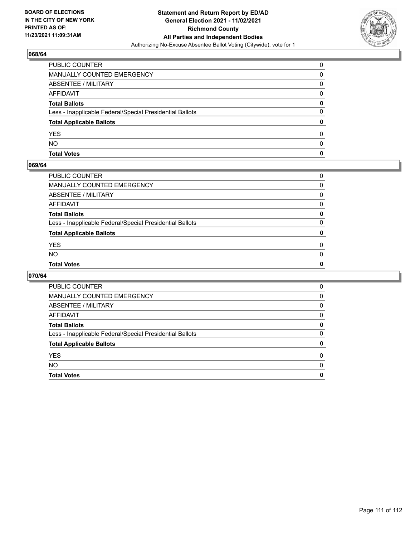

## **068/64**

| <b>Total Votes</b>                                       | 0            |
|----------------------------------------------------------|--------------|
| <b>NO</b>                                                | 0            |
| <b>YES</b>                                               | <sup>0</sup> |
| <b>Total Applicable Ballots</b>                          | 0            |
| Less - Inapplicable Federal/Special Presidential Ballots | 0            |
| <b>Total Ballots</b>                                     | 0            |
| <b>AFFIDAVIT</b>                                         | <sup>0</sup> |
| <b>ABSENTEE / MILITARY</b>                               | 0            |
| MANUALLY COUNTED EMERGENCY                               | 0            |
| PUBLIC COUNTER                                           | 0            |

### **069/64**

| PUBLIC COUNTER                                           | 0        |
|----------------------------------------------------------|----------|
| MANUALLY COUNTED EMERGENCY                               | $\Omega$ |
| ABSENTEE / MILITARY                                      | 0        |
| AFFIDAVIT                                                | $\Omega$ |
| Total Ballots                                            | 0        |
| Less - Inapplicable Federal/Special Presidential Ballots | $\Omega$ |
| <b>Total Applicable Ballots</b>                          | 0        |
| YES                                                      | $\Omega$ |
| NO.                                                      | $\Omega$ |
| <b>Total Votes</b>                                       | 0        |
|                                                          |          |

# **070/64**

| <b>Total Votes</b>                                       | 0 |
|----------------------------------------------------------|---|
| <b>NO</b>                                                | 0 |
| <b>YES</b>                                               | 0 |
| <b>Total Applicable Ballots</b>                          | 0 |
| Less - Inapplicable Federal/Special Presidential Ballots | 0 |
| <b>Total Ballots</b>                                     | 0 |
| AFFIDAVIT                                                | 0 |
| ABSENTEE / MILITARY                                      | 0 |
| <b>MANUALLY COUNTED EMERGENCY</b>                        | 0 |
| PUBLIC COUNTER                                           | 0 |